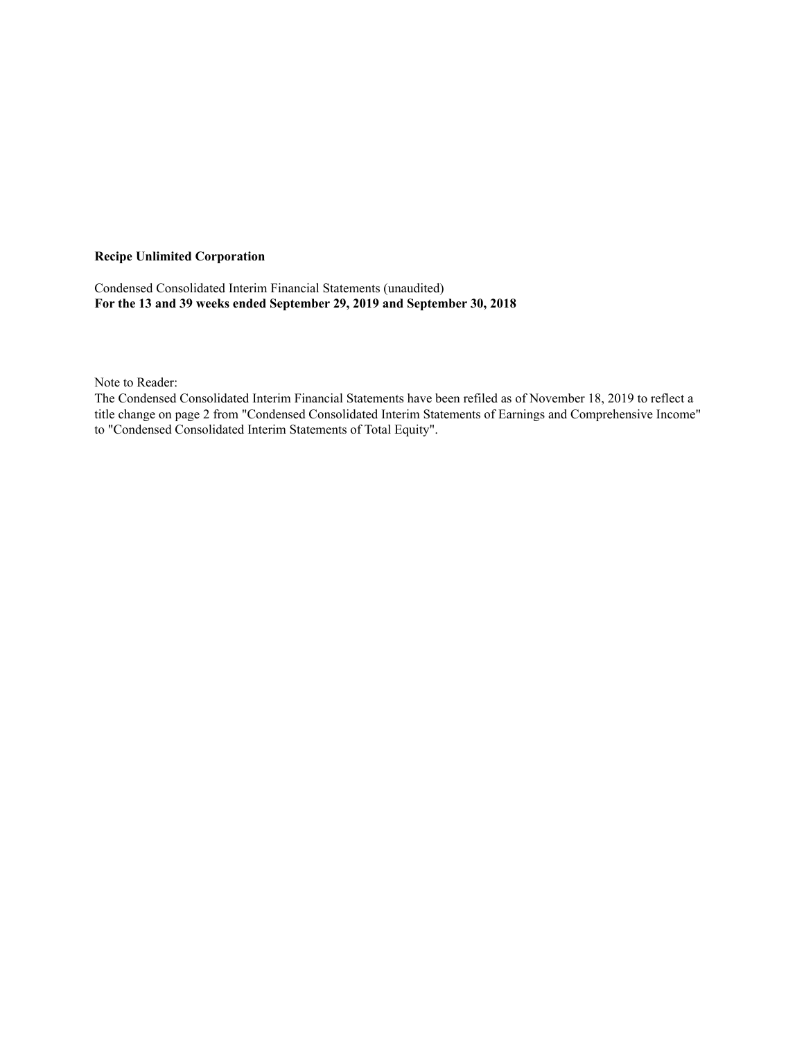### **Recipe Unlimited Corporation**

Condensed Consolidated Interim Financial Statements (unaudited) **For the 13 and 39 weeks ended September 29, 2019 and September 30, 2018**

Note to Reader:

The Condensed Consolidated Interim Financial Statements have been refiled as of November 18, 2019 to reflect a title change on page 2 from "Condensed Consolidated Interim Statements of Earnings and Comprehensive Income" to "Condensed Consolidated Interim Statements of Total Equity".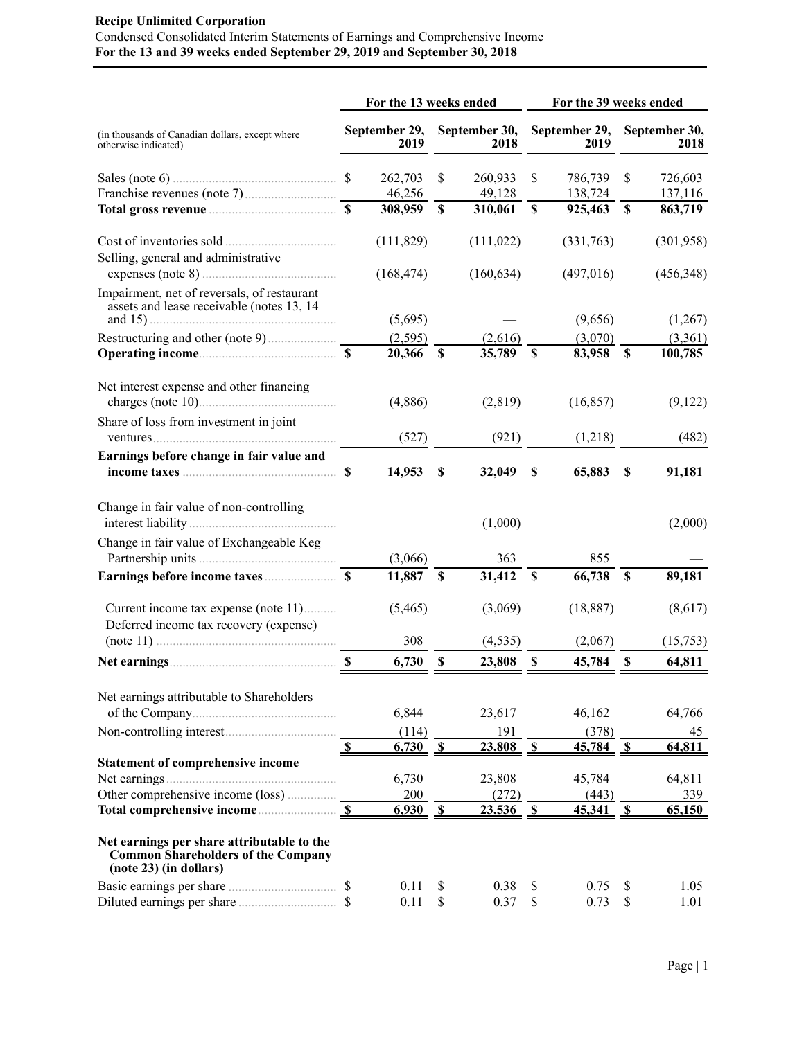# **Recipe Unlimited Corporation** Condensed Consolidated Interim Statements of Earnings and Comprehensive Income **For the 13 and 39 weeks ended September 29, 2019 and September 30, 2018**

|                                                                                                                   |              | For the 13 weeks ended |                           |                       | For the 39 weeks ended    |                       |              |                       |  |  |
|-------------------------------------------------------------------------------------------------------------------|--------------|------------------------|---------------------------|-----------------------|---------------------------|-----------------------|--------------|-----------------------|--|--|
| (in thousands of Canadian dollars, except where<br>otherwise indicated)                                           |              | September 29,<br>2019  |                           | September 30,<br>2018 |                           | September 29,<br>2019 |              | September 30,<br>2018 |  |  |
| Sales (note 6) $\ldots$ \$                                                                                        |              | 262,703                | \$                        | 260,933               | \$                        | 786,739               | \$           | 726,603               |  |  |
|                                                                                                                   |              | 46,256                 |                           | 49,128                |                           | 138,724               |              | 137,116               |  |  |
|                                                                                                                   |              | 308,959                | $\boldsymbol{\mathsf{S}}$ | 310,061               | $\boldsymbol{\mathsf{S}}$ | 925,463               | $\mathbf S$  | 863,719               |  |  |
| Selling, general and administrative                                                                               |              | (111, 829)             |                           | (111, 022)            |                           | (331,763)             |              | (301,958)             |  |  |
|                                                                                                                   |              | (168, 474)             |                           | (160, 634)            |                           | (497,016)             |              | (456, 348)            |  |  |
| Impairment, net of reversals, of restaurant<br>assets and lease receivable (notes 13, 14                          |              | (5,695)                |                           |                       |                           | (9,656)               |              | (1,267)               |  |  |
|                                                                                                                   |              | (2,595)                |                           | (2,616)               |                           | (3,070)               |              | (3,361)               |  |  |
|                                                                                                                   |              | 20,366                 | \$                        | 35,789                | \$                        | 83,958                | $\mathbf S$  | 100,785               |  |  |
| Net interest expense and other financing                                                                          |              | (4,886)                |                           | (2,819)               |                           | (16, 857)             |              | (9,122)               |  |  |
| Share of loss from investment in joint                                                                            |              |                        |                           |                       |                           |                       |              |                       |  |  |
|                                                                                                                   |              | (527)                  |                           | (921)                 |                           | (1,218)               |              | (482)                 |  |  |
| Earnings before change in fair value and                                                                          |              | 14,953                 | \$                        | 32,049                | \$                        | 65,883                | \$           | 91,181                |  |  |
| Change in fair value of non-controlling                                                                           |              |                        |                           | (1,000)               |                           |                       |              | (2,000)               |  |  |
| Change in fair value of Exchangeable Keg                                                                          |              |                        |                           |                       |                           |                       |              |                       |  |  |
|                                                                                                                   |              | (3,066)                |                           | 363                   |                           | 855                   |              |                       |  |  |
|                                                                                                                   |              | 11,887 \$              |                           | 31,412                | $\mathbf{s}$              | 66,738                | $\mathbf s$  | 89,181                |  |  |
| Current income tax expense (note 11)<br>Deferred income tax recovery (expense)                                    |              | (5,465)                |                           | (3,069)               |                           | (18, 887)             |              | (8,617)               |  |  |
|                                                                                                                   |              | 308                    |                           | (4, 535)              |                           | (2,067)               |              | (15,753)              |  |  |
|                                                                                                                   |              | 6,730                  | S.                        | 23,808                | S,                        | 45,784                | -S           | 64,811                |  |  |
| Net earnings attributable to Shareholders                                                                         |              |                        |                           |                       |                           |                       |              |                       |  |  |
|                                                                                                                   |              | 6,844                  |                           | 23,617                |                           | 46,162                |              | 64,766                |  |  |
|                                                                                                                   |              | (114)                  |                           | 191                   |                           | (378)                 |              | 45                    |  |  |
|                                                                                                                   | $\mathbf{s}$ | 6,730                  | $\mathbf{s}$              | 23,808                | $\mathbf{s}$              | 45,784                | $\mathbf{s}$ | 64,811                |  |  |
| <b>Statement of comprehensive income</b>                                                                          |              |                        |                           |                       |                           |                       |              |                       |  |  |
|                                                                                                                   |              | 6,730                  |                           | 23,808                |                           | 45,784                |              | 64,811                |  |  |
| Other comprehensive income (loss)                                                                                 |              | 200                    |                           | (272)                 |                           | (443)                 |              | 339                   |  |  |
|                                                                                                                   | $\mathbf{s}$ | 6,930                  | $\mathbf{s}$              | 23,536                | $\sqrt{\frac{2}{3}}$      | 45,341                | $\mathbf{s}$ | 65,150                |  |  |
| Net earnings per share attributable to the<br><b>Common Shareholders of the Company</b><br>(note 23) (in dollars) |              |                        |                           |                       |                           |                       |              |                       |  |  |
|                                                                                                                   |              | 0.11                   | \$                        | 0.38                  | \$                        | 0.75                  | \$           | 1.05                  |  |  |
|                                                                                                                   |              | 0.11                   | $\mathbb S$               | 0.37                  | \$                        | 0.73                  | \$           | 1.01                  |  |  |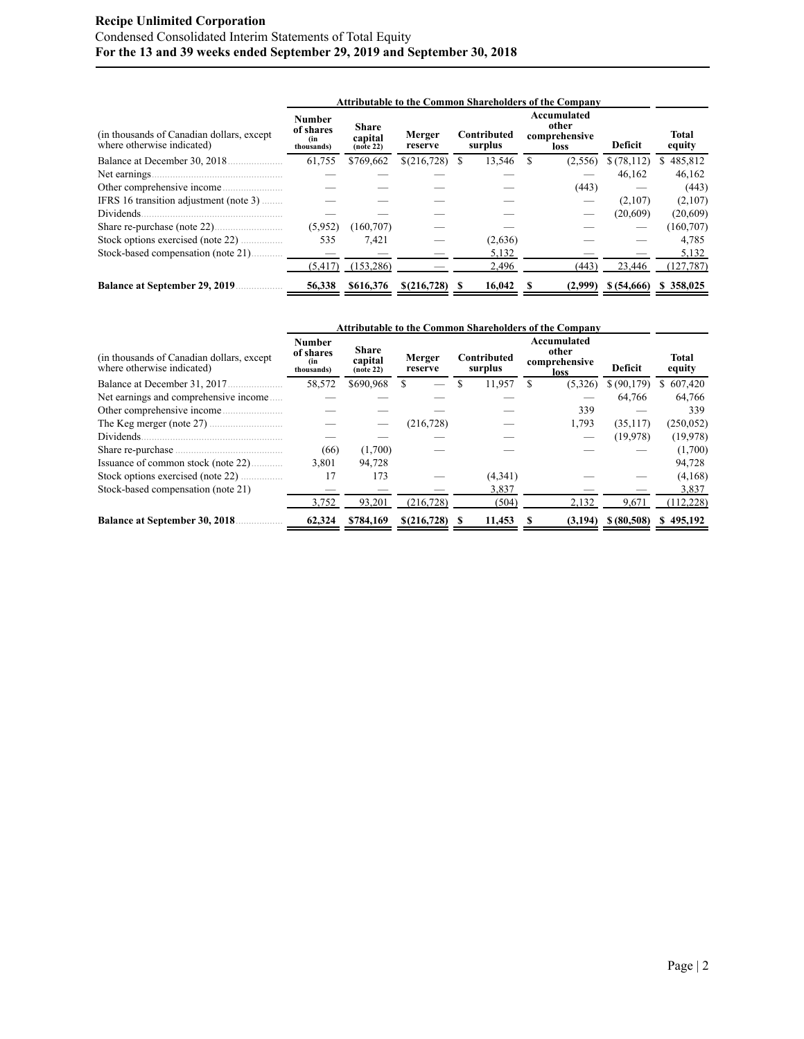# **Recipe Unlimited Corporation** Condensed Consolidated Interim Statements of Total Equity **For the 13 and 39 weeks ended September 29, 2019 and September 30, 2018**

|                                                                          |                                                 |                                                  |                   |   |                        | <b>Attributable to the Common Shareholders of the Company</b> |            |                        |
|--------------------------------------------------------------------------|-------------------------------------------------|--------------------------------------------------|-------------------|---|------------------------|---------------------------------------------------------------|------------|------------------------|
| (in thousands of Canadian dollars, except)<br>where otherwise indicated) | <b>Number</b><br>of shares<br>(in<br>thousands) | <b>Share</b><br>capital<br>(no <sup>te</sup> 22) | Merger<br>reserve |   | Contributed<br>surplus | Accumulated<br>other<br>comprehensive<br>loss                 | Deficit    | <b>Total</b><br>equity |
| Balance at December 30, 2018.                                            | 61,755                                          | \$769,662                                        | \$(216,728)       | S | 13,546                 | (2,556)                                                       | \$(78,112) | \$485,812              |
| Net earnings                                                             |                                                 |                                                  |                   |   |                        |                                                               | 46,162     | 46,162                 |
|                                                                          |                                                 |                                                  |                   |   |                        | (443)                                                         |            | (443)                  |
| IFRS 16 transition adjustment (note 3)                                   |                                                 |                                                  |                   |   |                        |                                                               | (2,107)    | (2,107)                |
| <b>Dividends</b>                                                         |                                                 |                                                  |                   |   |                        |                                                               | (20,609)   | (20,609)               |
| Share re-purchase (note 22)                                              | (5,952)                                         | (160, 707)                                       |                   |   |                        |                                                               |            | (160, 707)             |
|                                                                          | 535                                             | 7.421                                            |                   |   | (2,636)                |                                                               |            | 4.785                  |
| Stock-based compensation (note 21)                                       |                                                 |                                                  |                   |   | 5,132                  |                                                               |            | 5,132                  |
|                                                                          | (5, 417)                                        | (153, 286)                                       |                   |   | 2.496                  | (443)                                                         | 23,446     | (127, 787)             |
| <b>Balance at September 29, 2019</b>                                     | 56,338                                          | \$616,376                                        | \$(216,728)       |   | 16,042                 | (2,999)                                                       | \$(54,666) | \$358,025              |

|                                                                          |                                                 |                                                  |                   |                        | <b>Attributable to the Common Shareholders of the Company</b> |             |                 |
|--------------------------------------------------------------------------|-------------------------------------------------|--------------------------------------------------|-------------------|------------------------|---------------------------------------------------------------|-------------|-----------------|
| (in thousands of Canadian dollars, except)<br>where otherwise indicated) | <b>Number</b><br>of shares<br>(in<br>thousands) | <b>Share</b><br>capital<br>(no <sup>te</sup> 22) | Merger<br>reserve | Contributed<br>surplus | Accumulated<br>other<br>comprehensive<br>loss                 | Deficit     | Total<br>equity |
|                                                                          | 58,572                                          | \$690,968                                        |                   | 11,957                 | (5,326)                                                       | \$ (90,179) | 607,420<br>S.   |
| Net earnings and comprehensive income                                    |                                                 |                                                  |                   |                        |                                                               | 64,766      | 64,766          |
|                                                                          |                                                 |                                                  |                   |                        | 339                                                           |             | 339             |
|                                                                          |                                                 |                                                  | (216, 728)        |                        | 1,793                                                         | (35, 117)   | (250, 052)      |
| Dividends.                                                               |                                                 |                                                  |                   |                        |                                                               | (19,978)    | (19,978)        |
|                                                                          | (66)                                            | (1,700)                                          |                   |                        |                                                               |             | (1,700)         |
| Issuance of common stock (note 22)                                       | 3.801                                           | 94,728                                           |                   |                        |                                                               |             | 94,728          |
|                                                                          | 17                                              | 173                                              |                   | (4,341)                |                                                               |             | (4,168)         |
| Stock-based compensation (note 21)                                       |                                                 |                                                  |                   | 3,837                  |                                                               |             | 3,837           |
|                                                                          | 3,752                                           | 93,201                                           | (216, 728)        | (504)                  | 2,132                                                         | 9,671       | (112, 228)      |
| <b>Balance at September 30, 2018</b>                                     | 62,324                                          | \$784,169                                        | \$(216,728)       | 11,453                 | (3,194)                                                       | \$ (80,508) | \$495,192       |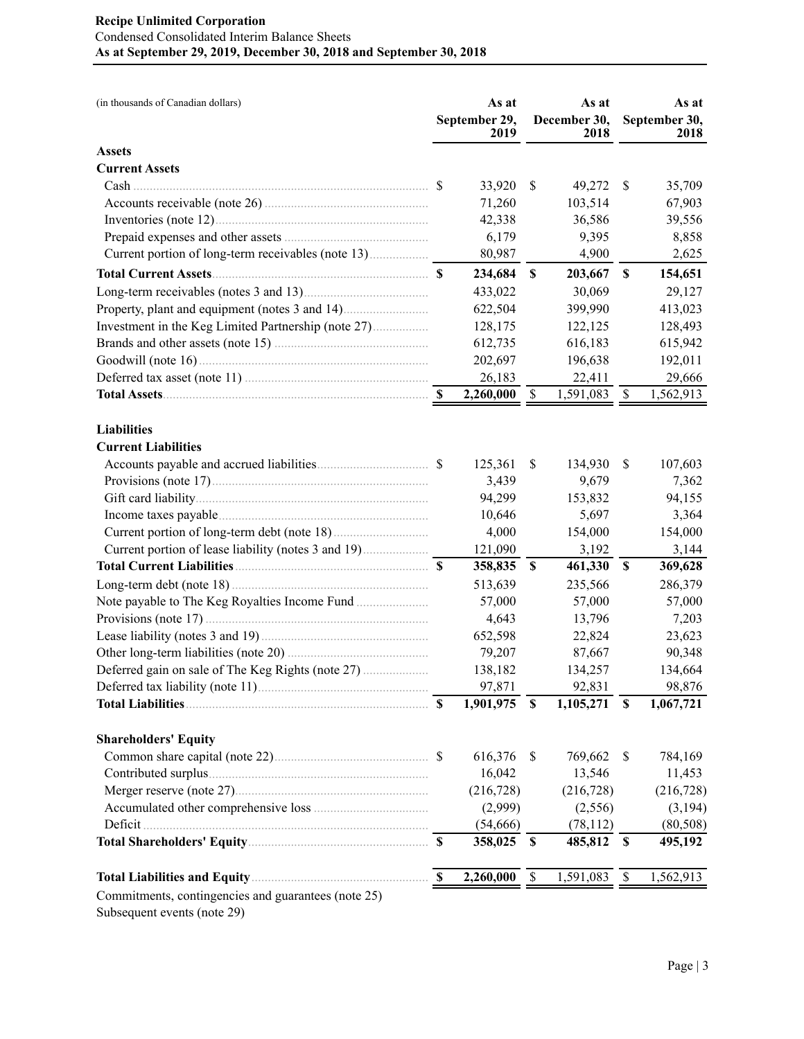# **Recipe Unlimited Corporation** Condensed Consolidated Interim Balance Sheets **As at September 29, 2019, December 30, 2018 and September 30, 2018**

| (in thousands of Canadian dollars)                  | As at<br>September 29,<br>2019 |            |                           | As at<br>December 30,<br>2018 |                           | As at<br>September 30,<br>2018 |
|-----------------------------------------------------|--------------------------------|------------|---------------------------|-------------------------------|---------------------------|--------------------------------|
| <b>Assets</b>                                       |                                |            |                           |                               |                           |                                |
| <b>Current Assets</b>                               |                                |            |                           |                               |                           |                                |
|                                                     |                                | 33,920     | <sup>\$</sup>             | 49,272                        | S                         | 35,709                         |
|                                                     |                                | 71,260     |                           | 103,514                       |                           | 67,903                         |
|                                                     |                                | 42,338     |                           | 36,586                        |                           | 39,556                         |
|                                                     |                                | 6,179      |                           | 9,395                         |                           | 8,858                          |
|                                                     |                                | 80,987     |                           | 4,900                         |                           | 2,625                          |
|                                                     |                                | 234,684    | $\boldsymbol{\mathsf{S}}$ | 203,667                       | \$                        | 154,651                        |
|                                                     |                                | 433,022    |                           | 30,069                        |                           | 29,127                         |
|                                                     |                                | 622,504    |                           | 399,990                       |                           | 413,023                        |
| Investment in the Keg Limited Partnership (note 27) |                                | 128,175    |                           | 122,125                       |                           | 128,493                        |
|                                                     |                                | 612,735    |                           | 616,183                       |                           | 615,942                        |
|                                                     |                                | 202,697    |                           | 196,638                       |                           | 192,011                        |
|                                                     |                                | 26,183     |                           | 22,411                        |                           | 29,666                         |
|                                                     |                                | 2,260,000  | $\boldsymbol{\mathsf{S}}$ | 1,591,083                     | \$                        | 1,562,913                      |
| <b>Liabilities</b>                                  |                                |            |                           |                               |                           |                                |
| <b>Current Liabilities</b>                          |                                |            |                           |                               |                           |                                |
|                                                     | <sup>S</sup>                   | 125,361    | \$                        | 134,930                       | \$                        | 107,603                        |
|                                                     |                                | 3,439      |                           | 9,679                         |                           | 7,362                          |
|                                                     |                                | 94,299     |                           | 153,832                       |                           | 94,155                         |
|                                                     |                                | 10,646     |                           | 5,697                         |                           | 3,364                          |
|                                                     |                                | 4,000      |                           | 154,000                       |                           | 154,000                        |
|                                                     |                                | 121,090    |                           | 3,192                         |                           | 3,144                          |
|                                                     |                                | 358,835    | \$                        | 461,330                       | \$                        | 369,628                        |
|                                                     |                                | 513,639    |                           | 235,566                       |                           | 286,379                        |
|                                                     |                                | 57,000     |                           | 57,000                        |                           | 57,000                         |
|                                                     |                                | 4,643      |                           | 13,796                        |                           | 7,203                          |
|                                                     |                                | 652,598    |                           | 22,824                        |                           | 23,623                         |
|                                                     |                                | 79,207     |                           | 87,667                        |                           | 90,348                         |
|                                                     |                                | 138,182    |                           | 134,257                       |                           | 134,664                        |
|                                                     |                                | 97,871     |                           | 92,831                        |                           | 98,876                         |
| <b>Total Liabilities</b>                            | $\boldsymbol{\mathsf{S}}$      | 1,901,975  | $\boldsymbol{\mathsf{S}}$ | 1,105,271                     | $\boldsymbol{\mathsf{S}}$ | 1,067,721                      |
|                                                     |                                |            |                           |                               |                           |                                |
| <b>Shareholders' Equity</b>                         |                                |            |                           |                               |                           |                                |
| Common share capital (note 22)                      | <sup>S</sup>                   | 616,376    | \$                        | 769,662                       | \$                        | 784,169                        |
|                                                     |                                | 16,042     |                           | 13,546                        |                           | 11,453                         |
|                                                     |                                | (216, 728) |                           | (216, 728)                    |                           | (216, 728)                     |
|                                                     |                                | (2,999)    |                           | (2,556)                       |                           | (3,194)                        |
| Deficit.                                            |                                | (54, 666)  |                           | (78, 112)                     |                           | (80, 508)                      |
|                                                     |                                | 358,025    | \$                        | 485,812                       | - \$                      | 495,192                        |
|                                                     | $\mathbf S$                    | 2,260,000  | \$                        | 1,591,083                     | \$                        | 1,562,913                      |
| Commitments, contingencies and guarantees (note 25) |                                |            |                           |                               |                           |                                |

Subsequent events (note 29)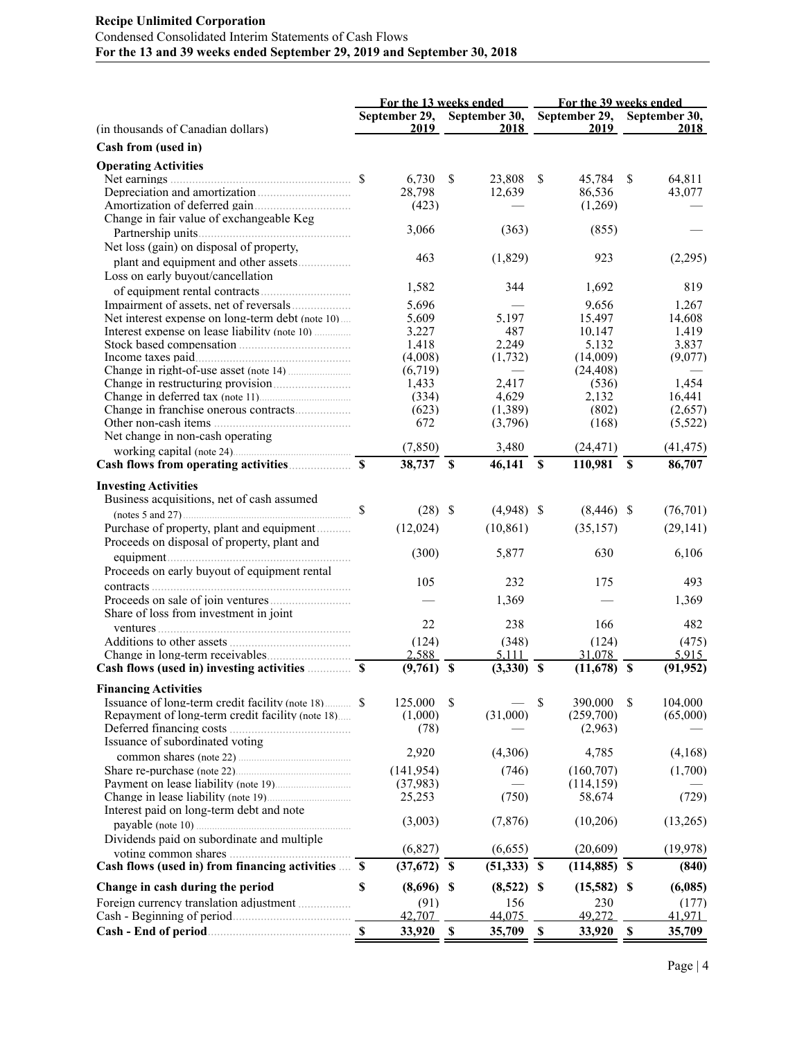# **Recipe Unlimited Corporation** Condensed Consolidated Interim Statements of Cash Flows **For the 13 and 39 weeks ended September 29, 2019 and September 30, 2018**

|                                                    |    |                       |             |                       |             | For the 13 weeks ended _________ For the 39 weeks ended |                           |                       |  |  |  |
|----------------------------------------------------|----|-----------------------|-------------|-----------------------|-------------|---------------------------------------------------------|---------------------------|-----------------------|--|--|--|
| (in thousands of Canadian dollars)                 |    | September 29,<br>2019 |             | September 30,<br>2018 |             | September 29,<br>2019                                   |                           | September 30,<br>2018 |  |  |  |
| Cash from (used in)                                |    |                       |             |                       |             |                                                         |                           |                       |  |  |  |
|                                                    |    |                       |             |                       |             |                                                         |                           |                       |  |  |  |
| <b>Operating Activities</b>                        |    |                       |             |                       |             |                                                         |                           |                       |  |  |  |
|                                                    |    | 6,730<br>28,798       | S           | 23,808<br>12,639      | \$          | 45,784<br>86,536                                        | <sup>S</sup>              | 64,811<br>43.077      |  |  |  |
|                                                    |    | (423)                 |             |                       |             | (1,269)                                                 |                           |                       |  |  |  |
| Change in fair value of exchangeable Keg           |    |                       |             |                       |             |                                                         |                           |                       |  |  |  |
|                                                    |    | 3,066                 |             | (363)                 |             | (855)                                                   |                           |                       |  |  |  |
| Net loss (gain) on disposal of property,           |    |                       |             |                       |             |                                                         |                           |                       |  |  |  |
|                                                    |    | 463                   |             | (1,829)               |             | 923                                                     |                           | (2,295)               |  |  |  |
| Loss on early buyout/cancellation                  |    |                       |             |                       |             |                                                         |                           |                       |  |  |  |
|                                                    |    | 1,582                 |             | 344                   |             | 1,692                                                   |                           | 819                   |  |  |  |
|                                                    |    | 5,696                 |             |                       |             | 9,656                                                   |                           | 1,267                 |  |  |  |
| Net interest expense on long-term debt (note 10)   |    | 5,609                 |             | 5,197                 |             | 15,497                                                  |                           | 14,608                |  |  |  |
| Interest expense on lease liability (note 10)      |    | 3.227                 |             | 487                   |             | 10,147                                                  |                           | 1.419                 |  |  |  |
|                                                    |    | 1,418                 |             | 2,249                 |             | 5,132                                                   |                           | 3,837                 |  |  |  |
|                                                    |    | (4,008)               |             | (1,732)               |             | (14,009)                                                |                           | (9,077)               |  |  |  |
|                                                    |    | (6,719)               |             |                       |             | (24, 408)                                               |                           |                       |  |  |  |
|                                                    |    | 1,433                 |             | 2.417                 |             | (536)                                                   |                           | 1,454                 |  |  |  |
|                                                    |    | (334)                 |             | 4,629                 |             | 2,132                                                   |                           | 16,441                |  |  |  |
|                                                    |    | (623)                 |             | (1,389)               |             | (802)                                                   |                           | (2,657)               |  |  |  |
| Net change in non-cash operating                   |    | 672                   |             | (3,796)               |             | (168)                                                   |                           | (5,522)               |  |  |  |
|                                                    |    | (7, 850)              |             | 3,480                 |             | (24, 471)                                               |                           | (41, 475)             |  |  |  |
|                                                    |    | 38,737 \$             |             | $46,141$ \$           |             | 110,981                                                 | <b>S</b>                  | 86,707                |  |  |  |
|                                                    |    |                       |             |                       |             |                                                         |                           |                       |  |  |  |
| <b>Investing Activities</b>                        |    |                       |             |                       |             |                                                         |                           |                       |  |  |  |
| Business acquisitions, net of cash assumed         | \$ | $(28)$ \$             |             | $(4,948)$ \$          |             |                                                         |                           |                       |  |  |  |
|                                                    |    |                       |             |                       |             | $(8,446)$ \$                                            |                           | (76, 701)             |  |  |  |
| Purchase of property, plant and equipment          |    | (12,024)              |             | (10, 861)             |             | (35, 157)                                               |                           | (29, 141)             |  |  |  |
| Proceeds on disposal of property, plant and        |    |                       |             |                       |             |                                                         |                           |                       |  |  |  |
| equipment                                          |    | (300)                 |             | 5,877                 |             | 630                                                     |                           | 6,106                 |  |  |  |
| Proceeds on early buyout of equipment rental       |    |                       |             | 232                   |             |                                                         |                           |                       |  |  |  |
|                                                    |    | 105                   |             |                       |             | 175                                                     |                           | 493                   |  |  |  |
|                                                    |    |                       |             | 1,369                 |             |                                                         |                           | 1,369                 |  |  |  |
| Share of loss from investment in joint             |    | 22                    |             | 238                   |             | 166                                                     |                           | 482                   |  |  |  |
|                                                    |    |                       |             |                       |             |                                                         |                           |                       |  |  |  |
|                                                    |    | (124)                 |             | (348)                 |             | (124)                                                   |                           | (475)                 |  |  |  |
|                                                    |    | 2.588<br>$(9,761)$ \$ |             | 5.111<br>$(3,330)$ \$ |             | 31.078<br>$(11,678)$ \$                                 |                           | 5.915<br>(91, 952)    |  |  |  |
|                                                    |    |                       |             |                       |             |                                                         |                           |                       |  |  |  |
| <b>Financing Activities</b>                        |    |                       |             |                       |             |                                                         |                           |                       |  |  |  |
|                                                    |    | 125,000               | \$          |                       | S           | 390,000                                                 | S.                        | 104,000               |  |  |  |
| Repayment of long-term credit facility (note 18)   |    | (1,000)               |             | (31,000)              |             | (259,700)                                               |                           | (65,000)              |  |  |  |
| Issuance of subordinated voting                    |    | (78)                  |             |                       |             | (2.963)                                                 |                           |                       |  |  |  |
|                                                    |    | 2,920                 |             | (4,306)               |             | 4,785                                                   |                           | (4,168)               |  |  |  |
| Share re-purchase (note 22)                        |    | (141.954)             |             | (746)                 |             | (160, 707)                                              |                           | (1,700)               |  |  |  |
|                                                    |    | (37.983)              |             |                       |             | (114, 159)                                              |                           |                       |  |  |  |
|                                                    |    | 25,253                |             | (750)                 |             | 58,674                                                  |                           | (729)                 |  |  |  |
| Interest paid on long-term debt and note           |    |                       |             |                       |             |                                                         |                           |                       |  |  |  |
|                                                    |    | (3,003)               |             | (7, 876)              |             | (10,206)                                                |                           | (13,265)              |  |  |  |
| Dividends paid on subordinate and multiple         |    |                       |             |                       |             |                                                         |                           |                       |  |  |  |
|                                                    |    | (6, 827)              |             | (6,655)               |             | (20, 609)                                               |                           | (19, 978)             |  |  |  |
| Cash flows (used in) from financing activities  \$ |    | $(37,672)$ \$         |             | $(51,333)$ \$         |             | $(114, 885)$ \$                                         |                           | (840)                 |  |  |  |
|                                                    |    |                       |             |                       |             |                                                         |                           |                       |  |  |  |
| Change in cash during the period                   | \$ | $(8,696)$ \$          |             | $(8,522)$ \$          |             | $(15,582)$ \$                                           |                           | (6,085)               |  |  |  |
|                                                    |    | (91)<br>42.707        |             | 156<br>44.075         |             | 230<br>49.272                                           |                           | (177)<br>41.971       |  |  |  |
|                                                    |    | 33,920                | $\mathbb S$ |                       | $\mathbb S$ |                                                         | $\boldsymbol{\mathsf{S}}$ | 35,709                |  |  |  |
|                                                    |    |                       |             | 35,709                |             | 33,920                                                  |                           |                       |  |  |  |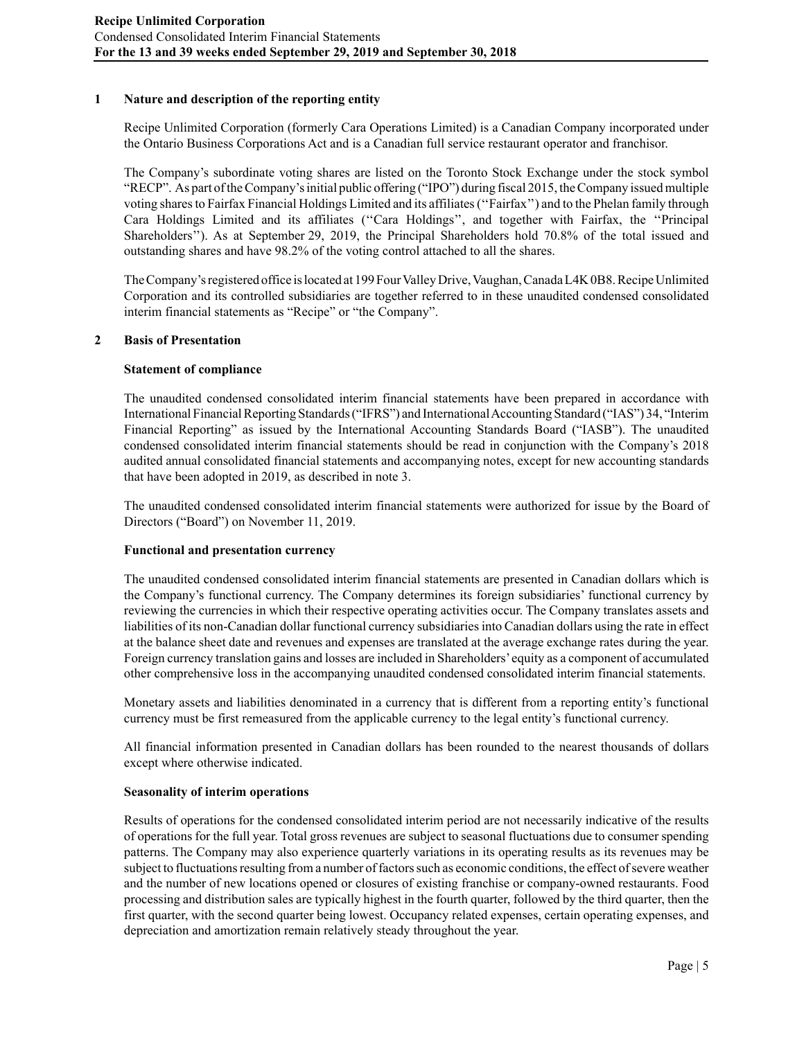# **1 Nature and description of the reporting entity**

Recipe Unlimited Corporation (formerly Cara Operations Limited) is a Canadian Company incorporated under the Ontario Business Corporations Act and is a Canadian full service restaurant operator and franchisor.

The Company's subordinate voting shares are listed on the Toronto Stock Exchange under the stock symbol "RECP". As part of the Company's initial public offering ("IPO") during fiscal 2015, the Company issued multiple voting shares to Fairfax Financial Holdings Limited and its affiliates (''Fairfax'') and to the Phelan family through Cara Holdings Limited and its affiliates (''Cara Holdings'', and together with Fairfax, the ''Principal Shareholders''). As at September 29, 2019, the Principal Shareholders hold 70.8% of the total issued and outstanding shares and have 98.2% of the voting control attached to all the shares.

The Company's registered office is located at 199 Four Valley Drive, Vaughan, Canada L4K 0B8. Recipe Unlimited Corporation and its controlled subsidiaries are together referred to in these unaudited condensed consolidated interim financial statements as "Recipe" or "the Company".

### **2 Basis of Presentation**

### **Statement of compliance**

The unaudited condensed consolidated interim financial statements have been prepared in accordance with International Financial Reporting Standards ("IFRS") and International Accounting Standard ("IAS") 34, "Interim Financial Reporting" as issued by the International Accounting Standards Board ("IASB"). The unaudited condensed consolidated interim financial statements should be read in conjunction with the Company's 2018 audited annual consolidated financial statements and accompanying notes, except for new accounting standards that have been adopted in 2019, as described in note 3.

The unaudited condensed consolidated interim financial statements were authorized for issue by the Board of Directors ("Board") on November 11, 2019.

#### **Functional and presentation currency**

The unaudited condensed consolidated interim financial statements are presented in Canadian dollars which is the Company's functional currency. The Company determines its foreign subsidiaries' functional currency by reviewing the currencies in which their respective operating activities occur. The Company translates assets and liabilities of its non-Canadian dollar functional currency subsidiaries into Canadian dollars using the rate in effect at the balance sheet date and revenues and expenses are translated at the average exchange rates during the year. Foreign currency translation gains and losses are included in Shareholders' equity as a component of accumulated other comprehensive loss in the accompanying unaudited condensed consolidated interim financial statements.

Monetary assets and liabilities denominated in a currency that is different from a reporting entity's functional currency must be first remeasured from the applicable currency to the legal entity's functional currency.

All financial information presented in Canadian dollars has been rounded to the nearest thousands of dollars except where otherwise indicated.

#### **Seasonality of interim operations**

Results of operations for the condensed consolidated interim period are not necessarily indicative of the results of operations for the full year. Total gross revenues are subject to seasonal fluctuations due to consumer spending patterns. The Company may also experience quarterly variations in its operating results as its revenues may be subject to fluctuations resulting from a number of factors such as economic conditions, the effect of severe weather and the number of new locations opened or closures of existing franchise or company-owned restaurants. Food processing and distribution sales are typically highest in the fourth quarter, followed by the third quarter, then the first quarter, with the second quarter being lowest. Occupancy related expenses, certain operating expenses, and depreciation and amortization remain relatively steady throughout the year.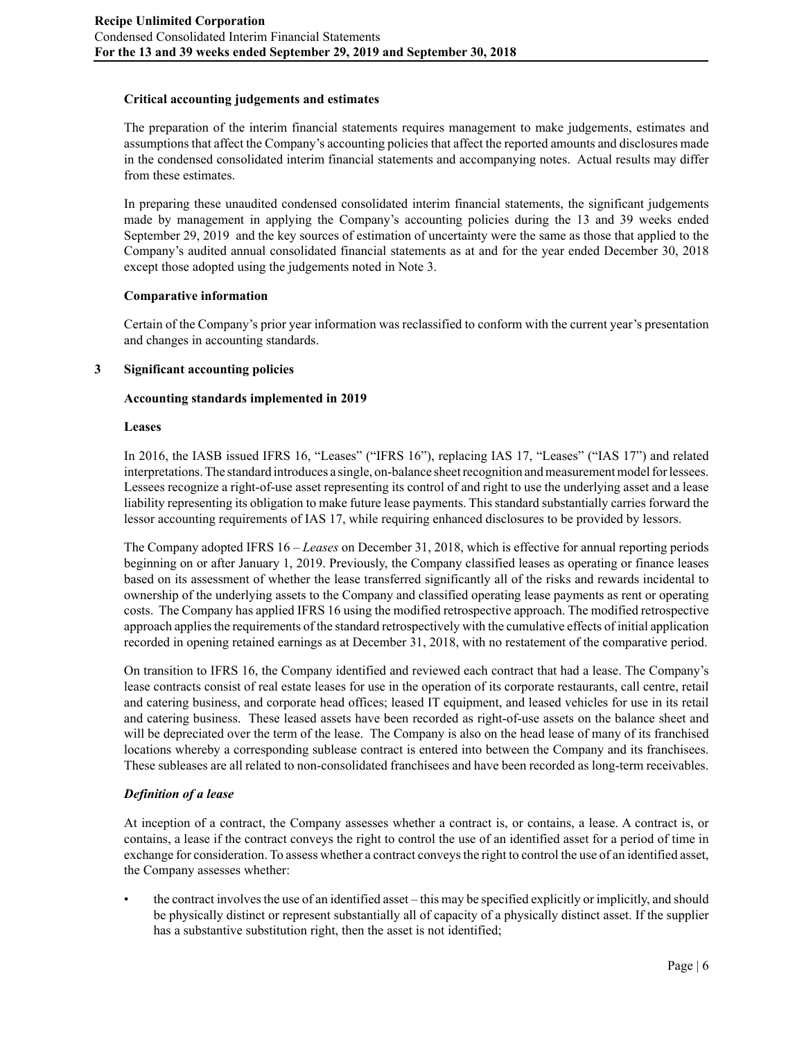# **Critical accounting judgements and estimates**

The preparation of the interim financial statements requires management to make judgements, estimates and assumptions that affect the Company's accounting policies that affect the reported amounts and disclosures made in the condensed consolidated interim financial statements and accompanying notes. Actual results may differ from these estimates.

In preparing these unaudited condensed consolidated interim financial statements, the significant judgements made by management in applying the Company's accounting policies during the 13 and 39 weeks ended September 29, 2019 and the key sources of estimation of uncertainty were the same as those that applied to the Company's audited annual consolidated financial statements as at and for the year ended December 30, 2018 except those adopted using the judgements noted in Note 3.

### **Comparative information**

Certain of the Company's prior year information was reclassified to conform with the current year's presentation and changes in accounting standards.

### **3 Significant accounting policies**

### **Accounting standards implemented in 2019**

#### **Leases**

In 2016, the IASB issued IFRS 16, "Leases" ("IFRS 16"), replacing IAS 17, "Leases" ("IAS 17") and related interpretations. The standard introduces a single, on-balance sheet recognition and measurement model for lessees. Lessees recognize a right-of-use asset representing its control of and right to use the underlying asset and a lease liability representing its obligation to make future lease payments. This standard substantially carries forward the lessor accounting requirements of IAS 17, while requiring enhanced disclosures to be provided by lessors.

The Company adopted IFRS 16 – *Leases* on December 31, 2018, which is effective for annual reporting periods beginning on or after January 1, 2019. Previously, the Company classified leases as operating or finance leases based on its assessment of whether the lease transferred significantly all of the risks and rewards incidental to ownership of the underlying assets to the Company and classified operating lease payments as rent or operating costs. The Company has applied IFRS 16 using the modified retrospective approach. The modified retrospective approach applies the requirements of the standard retrospectively with the cumulative effects of initial application recorded in opening retained earnings as at December 31, 2018, with no restatement of the comparative period.

On transition to IFRS 16, the Company identified and reviewed each contract that had a lease. The Company's lease contracts consist of real estate leases for use in the operation of its corporate restaurants, call centre, retail and catering business, and corporate head offices; leased IT equipment, and leased vehicles for use in its retail and catering business. These leased assets have been recorded as right-of-use assets on the balance sheet and will be depreciated over the term of the lease. The Company is also on the head lease of many of its franchised locations whereby a corresponding sublease contract is entered into between the Company and its franchisees. These subleases are all related to non-consolidated franchisees and have been recorded as long-term receivables.

# *Definition of a lease*

At inception of a contract, the Company assesses whether a contract is, or contains, a lease. A contract is, or contains, a lease if the contract conveys the right to control the use of an identified asset for a period of time in exchange for consideration. To assess whether a contract conveys the right to control the use of an identified asset, the Company assesses whether:

• the contract involves the use of an identified asset – this may be specified explicitly or implicitly, and should be physically distinct or represent substantially all of capacity of a physically distinct asset. If the supplier has a substantive substitution right, then the asset is not identified;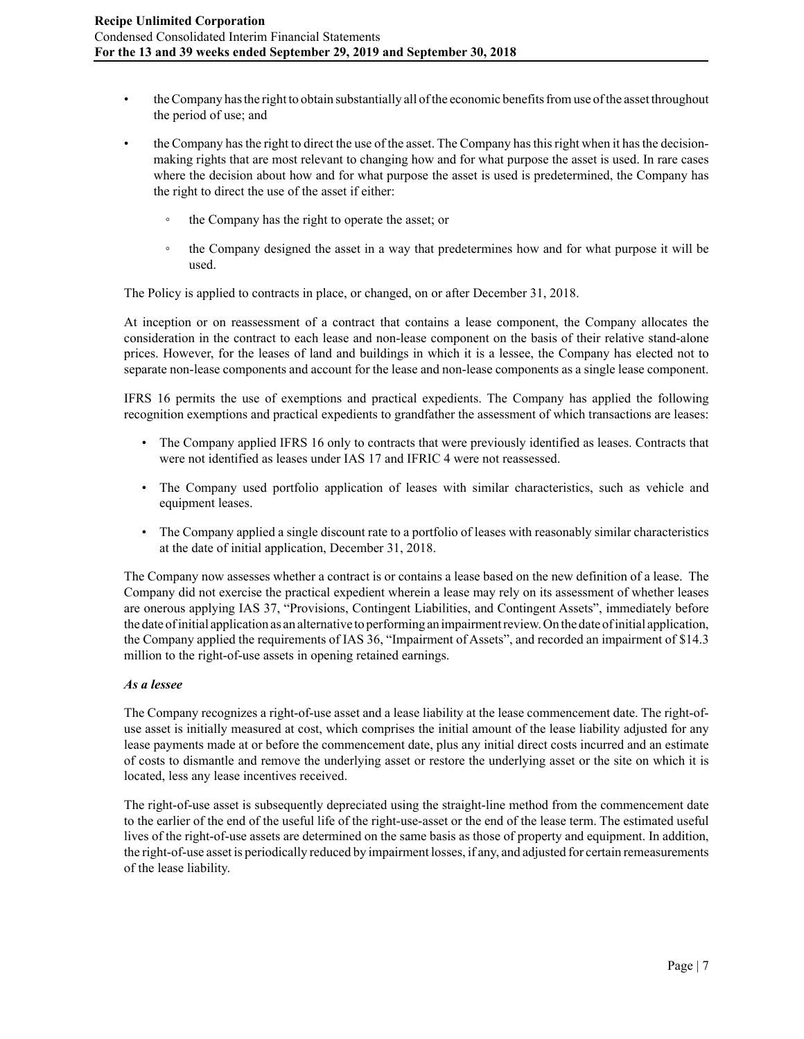- the Company has the right to obtain substantially all of the economic benefits from use of the asset throughout the period of use; and
- the Company has the right to direct the use of the asset. The Company has this right when it has the decisionmaking rights that are most relevant to changing how and for what purpose the asset is used. In rare cases where the decision about how and for what purpose the asset is used is predetermined, the Company has the right to direct the use of the asset if either:
	- the Company has the right to operate the asset; or
	- the Company designed the asset in a way that predetermines how and for what purpose it will be used.

The Policy is applied to contracts in place, or changed, on or after December 31, 2018.

At inception or on reassessment of a contract that contains a lease component, the Company allocates the consideration in the contract to each lease and non-lease component on the basis of their relative stand-alone prices. However, for the leases of land and buildings in which it is a lessee, the Company has elected not to separate non-lease components and account for the lease and non-lease components as a single lease component.

IFRS 16 permits the use of exemptions and practical expedients. The Company has applied the following recognition exemptions and practical expedients to grandfather the assessment of which transactions are leases:

- The Company applied IFRS 16 only to contracts that were previously identified as leases. Contracts that were not identified as leases under IAS 17 and IFRIC 4 were not reassessed.
- The Company used portfolio application of leases with similar characteristics, such as vehicle and equipment leases.
- The Company applied a single discount rate to a portfolio of leases with reasonably similar characteristics at the date of initial application, December 31, 2018.

The Company now assesses whether a contract is or contains a lease based on the new definition of a lease. The Company did not exercise the practical expedient wherein a lease may rely on its assessment of whether leases are onerous applying IAS 37, "Provisions, Contingent Liabilities, and Contingent Assets", immediately before the date of initial application as an alternative to performing an impairment review. On the date of initial application, the Company applied the requirements of IAS 36, "Impairment of Assets", and recorded an impairment of \$14.3 million to the right-of-use assets in opening retained earnings.

#### *As a lessee*

The Company recognizes a right-of-use asset and a lease liability at the lease commencement date. The right-ofuse asset is initially measured at cost, which comprises the initial amount of the lease liability adjusted for any lease payments made at or before the commencement date, plus any initial direct costs incurred and an estimate of costs to dismantle and remove the underlying asset or restore the underlying asset or the site on which it is located, less any lease incentives received.

The right-of-use asset is subsequently depreciated using the straight-line method from the commencement date to the earlier of the end of the useful life of the right-use-asset or the end of the lease term. The estimated useful lives of the right-of-use assets are determined on the same basis as those of property and equipment. In addition, the right-of-use asset is periodically reduced by impairment losses, if any, and adjusted for certain remeasurements of the lease liability.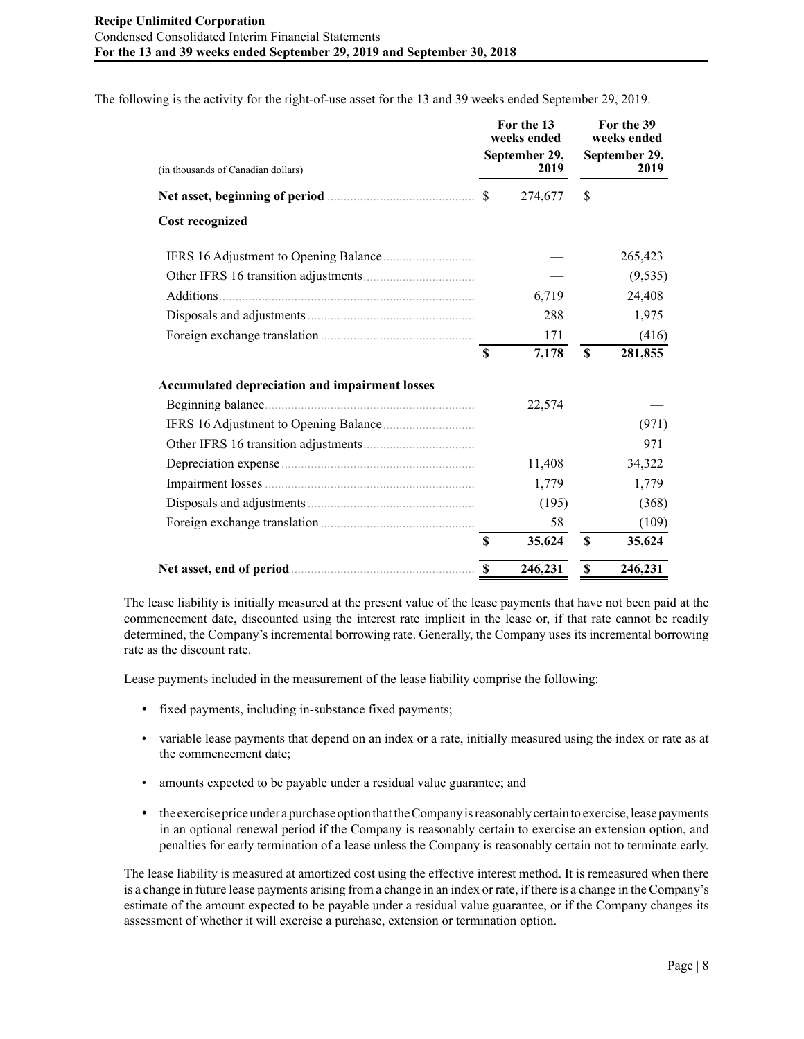The following is the activity for the right-of-use asset for the 13 and 39 weeks ended September 29, 2019.

| (in thousands of Canadian dollars)                    |               | For the 13<br>weeks ended<br>September 29,<br>2019 | For the 39<br>weeks ended<br>September 29,<br>2019 |          |  |  |
|-------------------------------------------------------|---------------|----------------------------------------------------|----------------------------------------------------|----------|--|--|
|                                                       | <sup>\$</sup> | 274,677                                            | \$                                                 |          |  |  |
| <b>Cost recognized</b>                                |               |                                                    |                                                    |          |  |  |
| IFRS 16 Adjustment to Opening Balance                 |               |                                                    |                                                    | 265,423  |  |  |
|                                                       |               |                                                    |                                                    | (9, 535) |  |  |
| Additions.                                            |               | 6,719                                              |                                                    | 24,408   |  |  |
|                                                       |               | 288                                                |                                                    | 1,975    |  |  |
|                                                       |               | 171                                                |                                                    | (416)    |  |  |
|                                                       | \$            | 7,178                                              | $\mathbf S$                                        | 281,855  |  |  |
| <b>Accumulated depreciation and impairment losses</b> |               |                                                    |                                                    |          |  |  |
| Beginning balance.                                    |               | 22,574                                             |                                                    |          |  |  |
|                                                       |               |                                                    |                                                    | (971)    |  |  |
|                                                       |               |                                                    |                                                    | 971      |  |  |
|                                                       |               | 11,408                                             |                                                    | 34,322   |  |  |
|                                                       |               | 1,779                                              |                                                    | 1,779    |  |  |
|                                                       |               | (195)                                              |                                                    | (368)    |  |  |
|                                                       |               | 58                                                 |                                                    | (109)    |  |  |
|                                                       | <sup>\$</sup> | 35,624                                             | <sup>\$</sup>                                      | 35,624   |  |  |
|                                                       | <sup>\$</sup> | 246,231                                            | \$                                                 | 246,231  |  |  |

The lease liability is initially measured at the present value of the lease payments that have not been paid at the commencement date, discounted using the interest rate implicit in the lease or, if that rate cannot be readily determined, the Company's incremental borrowing rate. Generally, the Company uses its incremental borrowing rate as the discount rate.

Lease payments included in the measurement of the lease liability comprise the following:

- fixed payments, including in-substance fixed payments;
- variable lease payments that depend on an index or a rate, initially measured using the index or rate as at the commencement date;
- amounts expected to be payable under a residual value guarantee; and
- the exercise price under a purchase option that the Company is reasonably certain to exercise, lease payments in an optional renewal period if the Company is reasonably certain to exercise an extension option, and penalties for early termination of a lease unless the Company is reasonably certain not to terminate early.

The lease liability is measured at amortized cost using the effective interest method. It is remeasured when there is a change in future lease payments arising from a change in an index or rate, if there is a change in the Company's estimate of the amount expected to be payable under a residual value guarantee, or if the Company changes its assessment of whether it will exercise a purchase, extension or termination option.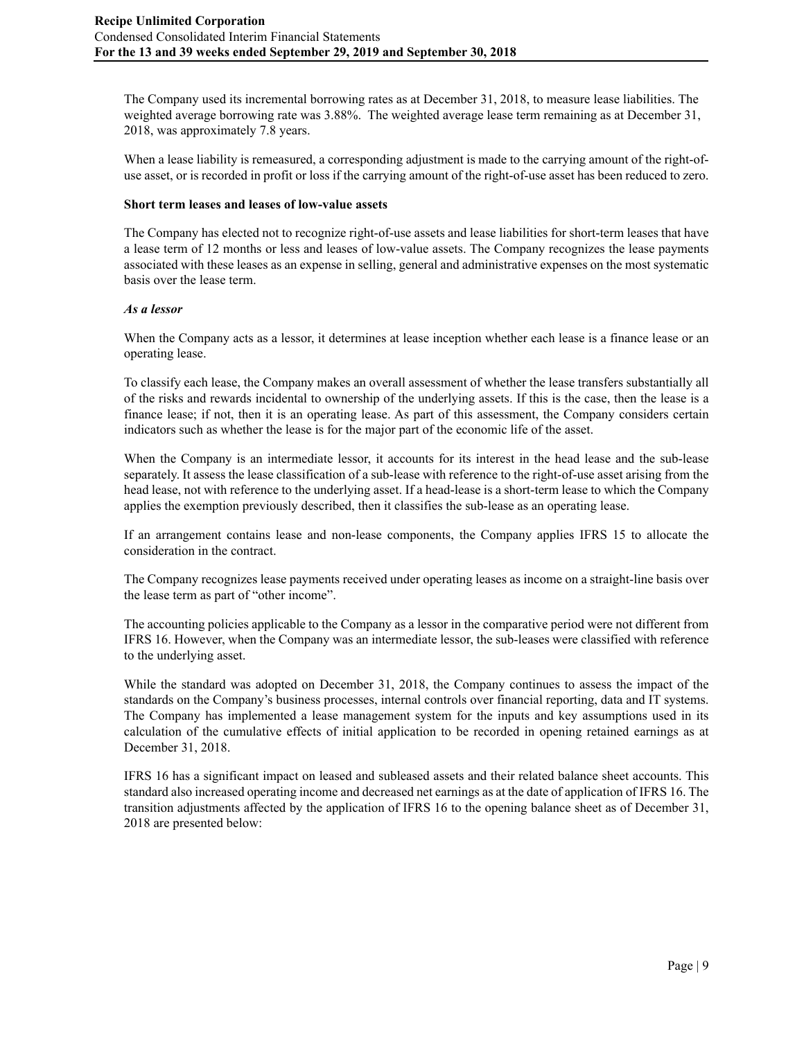The Company used its incremental borrowing rates as at December 31, 2018, to measure lease liabilities. The weighted average borrowing rate was 3.88%. The weighted average lease term remaining as at December 31, 2018, was approximately 7.8 years.

When a lease liability is remeasured, a corresponding adjustment is made to the carrying amount of the right-ofuse asset, or is recorded in profit or loss if the carrying amount of the right-of-use asset has been reduced to zero.

### **Short term leases and leases of low-value assets**

The Company has elected not to recognize right-of-use assets and lease liabilities for short-term leases that have a lease term of 12 months or less and leases of low-value assets. The Company recognizes the lease payments associated with these leases as an expense in selling, general and administrative expenses on the most systematic basis over the lease term.

### *As a lessor*

When the Company acts as a lessor, it determines at lease inception whether each lease is a finance lease or an operating lease.

To classify each lease, the Company makes an overall assessment of whether the lease transfers substantially all of the risks and rewards incidental to ownership of the underlying assets. If this is the case, then the lease is a finance lease; if not, then it is an operating lease. As part of this assessment, the Company considers certain indicators such as whether the lease is for the major part of the economic life of the asset.

When the Company is an intermediate lessor, it accounts for its interest in the head lease and the sub-lease separately. It assess the lease classification of a sub-lease with reference to the right-of-use asset arising from the head lease, not with reference to the underlying asset. If a head-lease is a short-term lease to which the Company applies the exemption previously described, then it classifies the sub-lease as an operating lease.

If an arrangement contains lease and non-lease components, the Company applies IFRS 15 to allocate the consideration in the contract.

The Company recognizes lease payments received under operating leases as income on a straight-line basis over the lease term as part of "other income".

The accounting policies applicable to the Company as a lessor in the comparative period were not different from IFRS 16. However, when the Company was an intermediate lessor, the sub-leases were classified with reference to the underlying asset.

While the standard was adopted on December 31, 2018, the Company continues to assess the impact of the standards on the Company's business processes, internal controls over financial reporting, data and IT systems. The Company has implemented a lease management system for the inputs and key assumptions used in its calculation of the cumulative effects of initial application to be recorded in opening retained earnings as at December 31, 2018.

IFRS 16 has a significant impact on leased and subleased assets and their related balance sheet accounts. This standard also increased operating income and decreased net earnings as at the date of application of IFRS 16. The transition adjustments affected by the application of IFRS 16 to the opening balance sheet as of December 31, 2018 are presented below: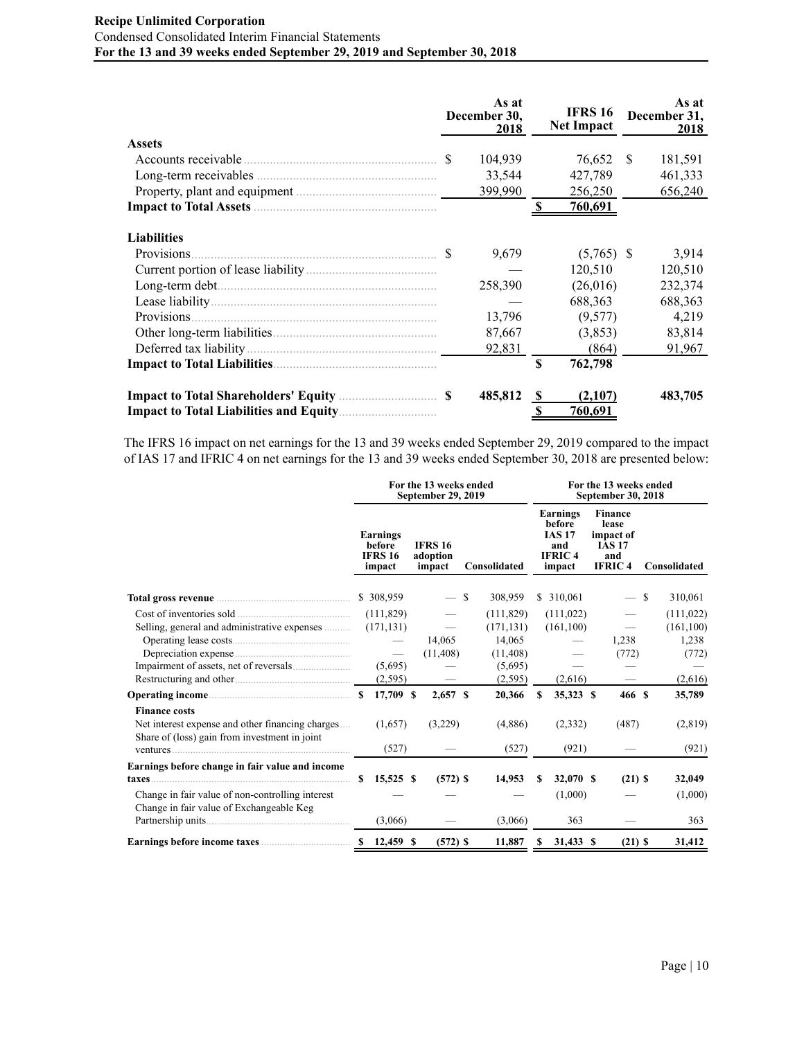# **Recipe Unlimited Corporation** Condensed Consolidated Interim Financial Statements **For the 13 and 39 weeks ended September 29, 2019 and September 30, 2018**

|                     |               | As at<br>December 30,<br>2018 |             | <b>IFRS 16</b><br><b>Net Impact</b> |     | As at<br>December 31,<br>2018 |
|---------------------|---------------|-------------------------------|-------------|-------------------------------------|-----|-------------------------------|
| <b>Assets</b>       |               |                               |             |                                     |     |                               |
| Accounts receivable | <sup>\$</sup> | 104,939                       |             | 76,652                              | \$. | 181,591                       |
|                     |               | 33,544                        |             | 427,789                             |     | 461,333                       |
|                     |               | 399,990                       |             | 256,250                             |     | 656,240                       |
|                     |               |                               |             | <u>760,691</u>                      |     |                               |
| <b>Liabilities</b>  |               |                               |             |                                     |     |                               |
| Provisions.         |               | 9,679                         |             | $(5,765)$ \$                        |     | 3.914                         |
|                     |               |                               |             | 120,510                             |     | 120,510                       |
|                     |               | 258,390                       |             | (26,016)                            |     | 232,374                       |
|                     |               |                               |             | 688,363                             |     | 688,363                       |
| Provisions.         |               | 13,796                        |             | (9,577)                             |     | 4,219                         |
|                     |               | 87,667                        |             | (3,853)                             |     | 83,814                        |
|                     |               | 92,831                        |             | (864)                               |     | 91,967                        |
|                     |               |                               | $\mathbf S$ | 762,798                             |     |                               |
|                     |               | 485,812                       | -S          | (2,107)                             |     | 483,705                       |
|                     |               |                               |             | 760,691                             |     |                               |

The IFRS 16 impact on net earnings for the 13 and 39 weeks ended September 29, 2019 compared to the impact of IAS 17 and IFRIC 4 on net earnings for the 13 and 39 weeks ended September 30, 2018 are presented below:

|                                                                                                                                                                                                                                      | For the 13 weeks ended<br><b>September 29, 2019</b> |                                                                                             |  |                                      |  |                                                                                 | For the 13 weeks ended<br><b>September 30, 2018</b> |                                                                       |  |                                                                               |   |                                                                 |  |  |
|--------------------------------------------------------------------------------------------------------------------------------------------------------------------------------------------------------------------------------------|-----------------------------------------------------|---------------------------------------------------------------------------------------------|--|--------------------------------------|--|---------------------------------------------------------------------------------|-----------------------------------------------------|-----------------------------------------------------------------------|--|-------------------------------------------------------------------------------|---|-----------------------------------------------------------------|--|--|
|                                                                                                                                                                                                                                      |                                                     | Earnings<br>before<br><b>IFRS 16</b><br>impact                                              |  | <b>IFRS 16</b><br>adoption<br>impact |  | Consolidated                                                                    |                                                     | Earnings<br>before<br><b>IAS 17</b><br>and<br><b>IFRIC4</b><br>impact |  | <b>Finance</b><br>lease<br>impact of<br><b>IAS 17</b><br>and<br><b>IFRIC4</b> |   | Consolidated                                                    |  |  |
| Total gross revenue <b>contract to the contract of the contract of the contract of the contract of the contract of the contract of the contract of the contract of the contract of the contract of the contract of the contract </b> |                                                     | \$ 308,959                                                                                  |  | $-$ \$                               |  | 308,959                                                                         |                                                     | \$ 310,061                                                            |  | $\overline{\phantom{0}}$                                                      | S | 310,061                                                         |  |  |
| Cost of inventories sold<br>Selling, general and administrative expenses                                                                                                                                                             |                                                     | (111, 829)<br>(171, 131)<br>$\overline{\phantom{m}}$<br>(5,695)<br>(2, 595)<br>$$17,709$ \$ |  | 14,065<br>(11, 408)<br>$2,657$ \$    |  | (111, 829)<br>(171, 131)<br>14,065<br>(11, 408)<br>(5,695)<br>(2,595)<br>20,366 | s                                                   | (111, 022)<br>(161, 100)<br>(2,616)<br>35,323 \$                      |  | 1,238<br>(772)<br>$\qquad \qquad \longleftarrow$<br>466 S                     |   | (111, 022)<br>(161, 100)<br>1,238<br>(772)<br>(2,616)<br>35,789 |  |  |
| <b>Finance costs</b><br>Net interest expense and other financing charges<br>Share of (loss) gain from investment in joint                                                                                                            |                                                     | (1.657)<br>(527)                                                                            |  | (3,229)                              |  | (4,886)<br>(527)                                                                |                                                     | (2,332)<br>(921)                                                      |  | (487)                                                                         |   | (2,819)<br>(921)                                                |  |  |
| Earnings before change in fair value and income<br>Change in fair value of non-controlling interest<br>Change in fair value of Exchangeable Keg                                                                                      | S.                                                  | $15,525$ \$<br>(3,066)                                                                      |  | $(572)$ \$                           |  | 14,953<br>(3,066)                                                               | \$.                                                 | 32,070 S<br>(1,000)<br>363                                            |  | $(21)$ \$                                                                     |   | 32,049<br>(1,000)<br>363                                        |  |  |
| Earnings before income taxes <b>Earnings</b> before income taxes                                                                                                                                                                     |                                                     |                                                                                             |  | $(572)$ \$                           |  | 11,887                                                                          | S                                                   | 31,433 \$                                                             |  | $(21)$ \$                                                                     |   | 31,412                                                          |  |  |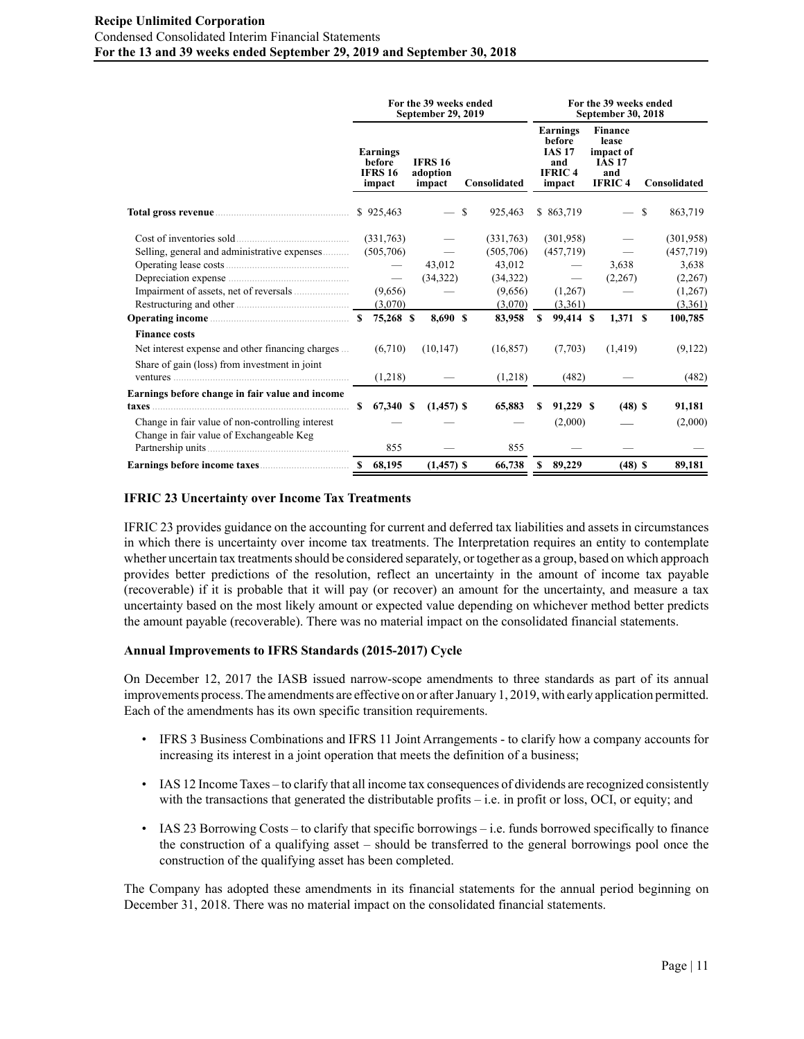|                                                                                                                                                                                                                                      | For the 39 weeks ended<br><b>September 29, 2019</b> |                                                |  |                                      |  |              |     | For the 39 weeks ended<br>September 30, 2018                          |  |                                                                               |  |              |  |  |  |
|--------------------------------------------------------------------------------------------------------------------------------------------------------------------------------------------------------------------------------------|-----------------------------------------------------|------------------------------------------------|--|--------------------------------------|--|--------------|-----|-----------------------------------------------------------------------|--|-------------------------------------------------------------------------------|--|--------------|--|--|--|
|                                                                                                                                                                                                                                      |                                                     | Earnings<br>before<br><b>IFRS 16</b><br>impact |  | <b>IFRS 16</b><br>adoption<br>impact |  | Consolidated |     | Earnings<br>before<br><b>IAS 17</b><br>and<br><b>IFRIC4</b><br>impact |  | <b>Finance</b><br>lease<br>impact of<br><b>IAS 17</b><br>and<br><b>IFRIC4</b> |  | Consolidated |  |  |  |
| Total gross revenue <b>contract to the contract of the contract of the contract of the contract of the contract of the contract of the contract of the contract of the contract of the contract of the contract of the contract </b> |                                                     | \$925,463                                      |  | $-$ \$                               |  | 925,463      |     | \$ 863,719                                                            |  | $-$ \$                                                                        |  | 863,719      |  |  |  |
|                                                                                                                                                                                                                                      |                                                     | (331,763)                                      |  | $\hspace{0.1mm}-\hspace{0.1mm}$      |  | (331,763)    |     | (301,958)                                                             |  |                                                                               |  | (301,958)    |  |  |  |
| Selling, general and administrative expenses                                                                                                                                                                                         |                                                     | (505,706)                                      |  |                                      |  | (505,706)    |     | (457,719)                                                             |  |                                                                               |  | (457, 719)   |  |  |  |
|                                                                                                                                                                                                                                      |                                                     | $\overline{\phantom{m}}$                       |  | 43,012                               |  | 43,012       |     | $\hspace{0.1mm}-\hspace{0.1mm}$                                       |  | 3.638                                                                         |  | 3,638        |  |  |  |
|                                                                                                                                                                                                                                      |                                                     | $\overline{\phantom{m}}$                       |  | (34,322)                             |  | (34,322)     |     | $\hspace{0.1mm}-\hspace{0.1mm}$                                       |  | (2,267)                                                                       |  | (2,267)      |  |  |  |
|                                                                                                                                                                                                                                      |                                                     | (9,656)                                        |  |                                      |  | (9,656)      |     | (1,267)                                                               |  |                                                                               |  | (1,267)      |  |  |  |
|                                                                                                                                                                                                                                      |                                                     | (3,070)                                        |  |                                      |  | (3,070)      |     | (3,361)                                                               |  |                                                                               |  | (3,361)      |  |  |  |
|                                                                                                                                                                                                                                      |                                                     | 75,268 \$                                      |  | 8,690 S                              |  | 83,958       | S   | 99,414 \$                                                             |  | $1,371$ \$                                                                    |  | 100,785      |  |  |  |
| <b>Finance costs</b>                                                                                                                                                                                                                 |                                                     |                                                |  |                                      |  |              |     |                                                                       |  |                                                                               |  |              |  |  |  |
| Net interest expense and other financing charges                                                                                                                                                                                     |                                                     | (6,710)                                        |  | (10, 147)                            |  | (16, 857)    |     | (7,703)                                                               |  | (1, 419)                                                                      |  | (9,122)      |  |  |  |
| Share of gain (loss) from investment in joint                                                                                                                                                                                        |                                                     |                                                |  |                                      |  |              |     |                                                                       |  |                                                                               |  |              |  |  |  |
|                                                                                                                                                                                                                                      |                                                     | (1,218)                                        |  |                                      |  | (1,218)      |     | (482)                                                                 |  |                                                                               |  | (482)        |  |  |  |
| Earnings before change in fair value and income                                                                                                                                                                                      |                                                     |                                                |  |                                      |  |              |     |                                                                       |  |                                                                               |  |              |  |  |  |
|                                                                                                                                                                                                                                      | S.                                                  | 67,340 \$                                      |  | $(1,457)$ \$                         |  | 65,883       | \$. | 91,229 \$                                                             |  | $(48)$ \$                                                                     |  | 91,181       |  |  |  |
| Change in fair value of non-controlling interest                                                                                                                                                                                     |                                                     |                                                |  |                                      |  |              |     | (2,000)                                                               |  |                                                                               |  | (2,000)      |  |  |  |
| Change in fair value of Exchangeable Keg                                                                                                                                                                                             |                                                     |                                                |  |                                      |  |              |     |                                                                       |  |                                                                               |  |              |  |  |  |
|                                                                                                                                                                                                                                      |                                                     | 855                                            |  |                                      |  | 855          |     |                                                                       |  |                                                                               |  |              |  |  |  |
|                                                                                                                                                                                                                                      |                                                     |                                                |  | $(1,457)$ \$                         |  | 66,738       | S   | 89,229                                                                |  | $(48)$ \$                                                                     |  | 89,181       |  |  |  |

# **IFRIC 23 Uncertainty over Income Tax Treatments**

IFRIC 23 provides guidance on the accounting for current and deferred tax liabilities and assets in circumstances in which there is uncertainty over income tax treatments. The Interpretation requires an entity to contemplate whether uncertain tax treatments should be considered separately, or together as a group, based on which approach provides better predictions of the resolution, reflect an uncertainty in the amount of income tax payable (recoverable) if it is probable that it will pay (or recover) an amount for the uncertainty, and measure a tax uncertainty based on the most likely amount or expected value depending on whichever method better predicts the amount payable (recoverable). There was no material impact on the consolidated financial statements.

# **Annual Improvements to IFRS Standards (2015-2017) Cycle**

On December 12, 2017 the IASB issued narrow-scope amendments to three standards as part of its annual improvements process. The amendments are effective on or after January 1, 2019, with early application permitted. Each of the amendments has its own specific transition requirements.

- IFRS 3 Business Combinations and IFRS 11 Joint Arrangements to clarify how a company accounts for increasing its interest in a joint operation that meets the definition of a business;
- IAS 12 Income Taxes to clarify that all income tax consequences of dividends are recognized consistently with the transactions that generated the distributable profits  $-$  i.e. in profit or loss, OCI, or equity; and
- IAS 23 Borrowing Costs to clarify that specific borrowings i.e. funds borrowed specifically to finance the construction of a qualifying asset – should be transferred to the general borrowings pool once the construction of the qualifying asset has been completed.

The Company has adopted these amendments in its financial statements for the annual period beginning on December 31, 2018. There was no material impact on the consolidated financial statements.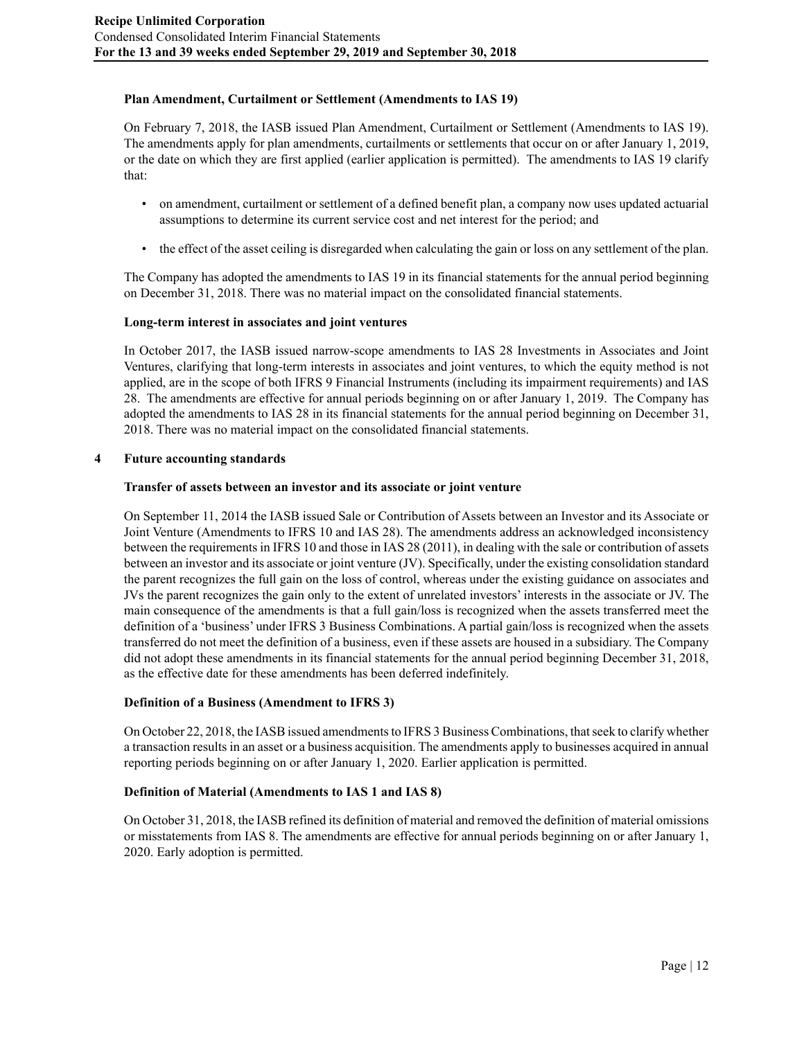# **Plan Amendment, Curtailment or Settlement (Amendments to IAS 19)**

On February 7, 2018, the IASB issued Plan Amendment, Curtailment or Settlement (Amendments to IAS 19). The amendments apply for plan amendments, curtailments or settlements that occur on or after January 1, 2019, or the date on which they are first applied (earlier application is permitted). The amendments to IAS 19 clarify that:

- on amendment, curtailment or settlement of a defined benefit plan, a company now uses updated actuarial assumptions to determine its current service cost and net interest for the period; and
- the effect of the asset ceiling is disregarded when calculating the gain or loss on any settlement of the plan.

The Company has adopted the amendments to IAS 19 in its financial statements for the annual period beginning on December 31, 2018. There was no material impact on the consolidated financial statements.

# **Long-term interest in associates and joint ventures**

In October 2017, the IASB issued narrow-scope amendments to IAS 28 Investments in Associates and Joint Ventures, clarifying that long-term interests in associates and joint ventures, to which the equity method is not applied, are in the scope of both IFRS 9 Financial Instruments (including its impairment requirements) and IAS 28. The amendments are effective for annual periods beginning on or after January 1, 2019. The Company has adopted the amendments to IAS 28 in its financial statements for the annual period beginning on December 31, 2018. There was no material impact on the consolidated financial statements.

# **4 Future accounting standards**

# **Transfer of assets between an investor and its associate or joint venture**

On September 11, 2014 the IASB issued Sale or Contribution of Assets between an Investor and its Associate or Joint Venture (Amendments to IFRS 10 and IAS 28). The amendments address an acknowledged inconsistency between the requirements in IFRS 10 and those in IAS 28 (2011), in dealing with the sale or contribution of assets between an investor and its associate or joint venture (JV). Specifically, under the existing consolidation standard the parent recognizes the full gain on the loss of control, whereas under the existing guidance on associates and JVs the parent recognizes the gain only to the extent of unrelated investors' interests in the associate or JV. The main consequence of the amendments is that a full gain/loss is recognized when the assets transferred meet the definition of a 'business' under IFRS 3 Business Combinations. A partial gain/loss is recognized when the assets transferred do not meet the definition of a business, even if these assets are housed in a subsidiary. The Company did not adopt these amendments in its financial statements for the annual period beginning December 31, 2018, as the effective date for these amendments has been deferred indefinitely.

# **Definition of a Business (Amendment to IFRS 3)**

On October 22, 2018, the IASB issued amendments to IFRS 3 Business Combinations, that seek to clarify whether a transaction results in an asset or a business acquisition. The amendments apply to businesses acquired in annual reporting periods beginning on or after January 1, 2020. Earlier application is permitted.

# **Definition of Material (Amendments to IAS 1 and IAS 8)**

On October 31, 2018, the IASB refined its definition of material and removed the definition of material omissions or misstatements from IAS 8. The amendments are effective for annual periods beginning on or after January 1, 2020. Early adoption is permitted.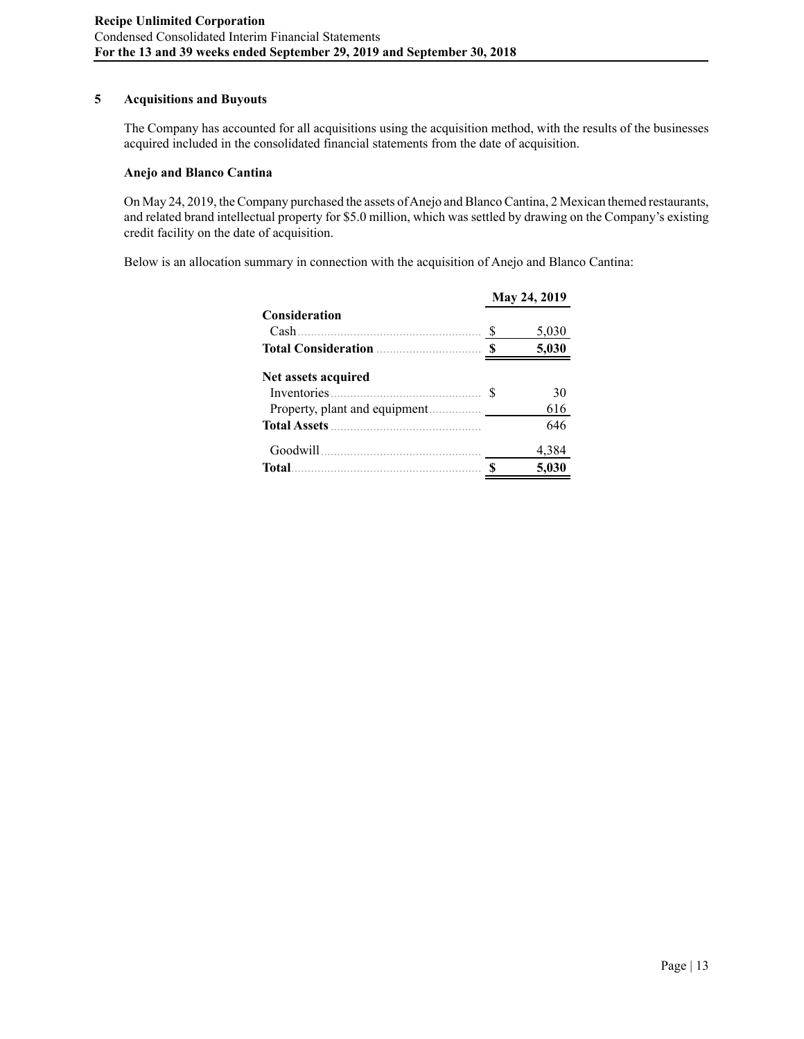# **5 Acquisitions and Buyouts**

The Company has accounted for all acquisitions using the acquisition method, with the results of the businesses acquired included in the consolidated financial statements from the date of acquisition.

### **Anejo and Blanco Cantina**

On May 24, 2019, the Company purchased the assets of Anejo and Blanco Cantina, 2 Mexican themed restaurants, and related brand intellectual property for \$5.0 million, which was settled by drawing on the Company's existing credit facility on the date of acquisition.

Below is an allocation summary in connection with the acquisition of Anejo and Blanco Cantina:

|                      | May 24, 2019 |
|----------------------|--------------|
| <b>Consideration</b> |              |
|                      | 5,030        |
|                      | 5,030        |
| Net assets acquired  |              |
| Inventories S        | 30           |
|                      | 616          |
|                      | 646          |
|                      | 4,384        |
| Total                | 5,030        |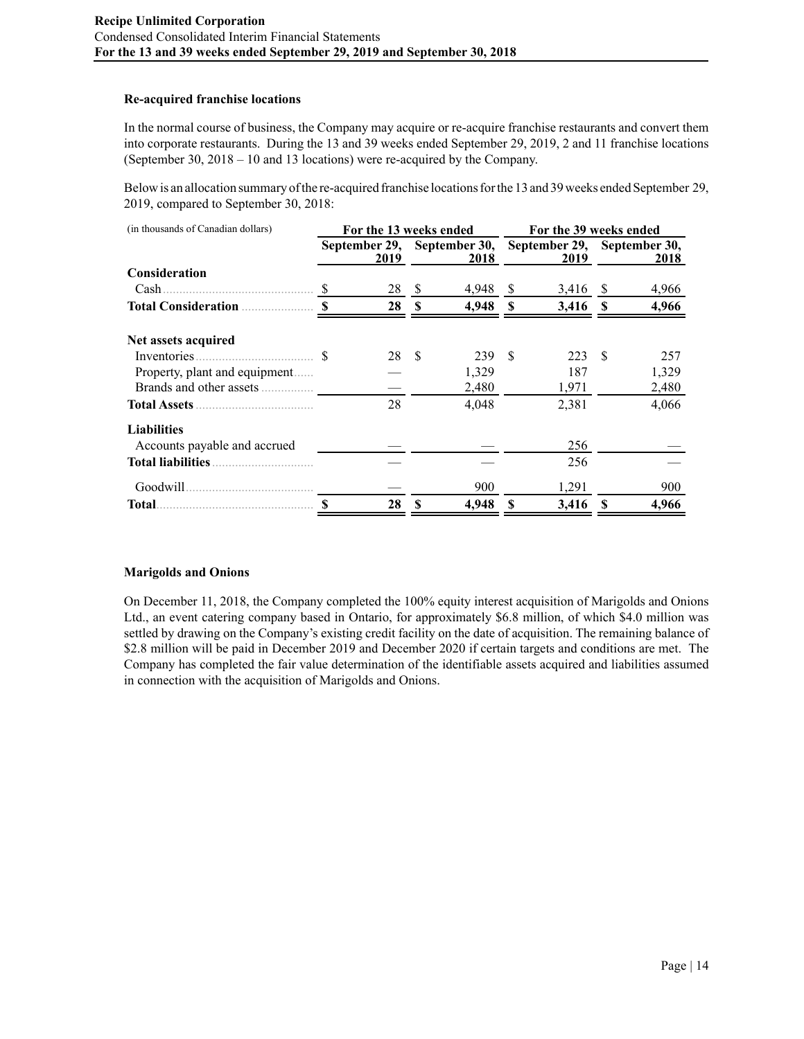# **Re-acquired franchise locations**

In the normal course of business, the Company may acquire or re-acquire franchise restaurants and convert them into corporate restaurants. During the 13 and 39 weeks ended September 29, 2019, 2 and 11 franchise locations (September 30, 2018 – 10 and 13 locations) were re-acquired by the Company.

Below is an allocation summary of the re-acquired franchise locations for the 13 and 39 weeks ended September 29, 2019, compared to September 30, 2018:

| (in thousands of Canadian dollars) |                                                                 | For the 13 weeks ended |               |            | For the 39 weeks ended |            |          |       |  |  |  |
|------------------------------------|-----------------------------------------------------------------|------------------------|---------------|------------|------------------------|------------|----------|-------|--|--|--|
|                                    | September 29, September 30, September 29, September 30,<br>2019 |                        |               | 2018       |                        | 2019       |          | 2018  |  |  |  |
| <b>Consideration</b>               |                                                                 |                        |               |            |                        |            |          |       |  |  |  |
|                                    | <sup>\$</sup>                                                   | 28                     | <sup>\$</sup> | 4,948      | <sup>S</sup>           | 3,416 \$   |          | 4,966 |  |  |  |
| <b>Total Consideration</b>         | $\mathbf{\hat{S}}$                                              | 28S                    |               | $4,948$ \$ |                        | $3,416$ \$ |          | 4,966 |  |  |  |
| Net assets acquired                |                                                                 |                        |               |            |                        |            |          |       |  |  |  |
|                                    |                                                                 | 28                     | -\$           | 239        | -\$                    | 223        | -\$      | 257   |  |  |  |
| Property, plant and equipment      |                                                                 |                        |               | 1,329      |                        | 187        |          | 1,329 |  |  |  |
|                                    |                                                                 |                        |               | 2,480      |                        | 1,971      |          | 2,480 |  |  |  |
|                                    |                                                                 | 28                     |               | 4,048      |                        | 2,381      |          | 4,066 |  |  |  |
| <b>Liabilities</b>                 |                                                                 |                        |               |            |                        |            |          |       |  |  |  |
| Accounts payable and accrued       |                                                                 |                        |               |            |                        | 256        |          |       |  |  |  |
| <b>Total liabilities</b>           |                                                                 |                        |               |            |                        | 256        |          |       |  |  |  |
| Goodwill                           |                                                                 |                        |               | 900        |                        | 1,291      |          | 900   |  |  |  |
| Total.                             |                                                                 | 28                     | \$            | 4,948      | <b>S</b>               | 3,416      | <b>S</b> | 4,966 |  |  |  |

#### **Marigolds and Onions**

On December 11, 2018, the Company completed the 100% equity interest acquisition of Marigolds and Onions Ltd., an event catering company based in Ontario, for approximately \$6.8 million, of which \$4.0 million was settled by drawing on the Company's existing credit facility on the date of acquisition. The remaining balance of \$2.8 million will be paid in December 2019 and December 2020 if certain targets and conditions are met. The Company has completed the fair value determination of the identifiable assets acquired and liabilities assumed in connection with the acquisition of Marigolds and Onions.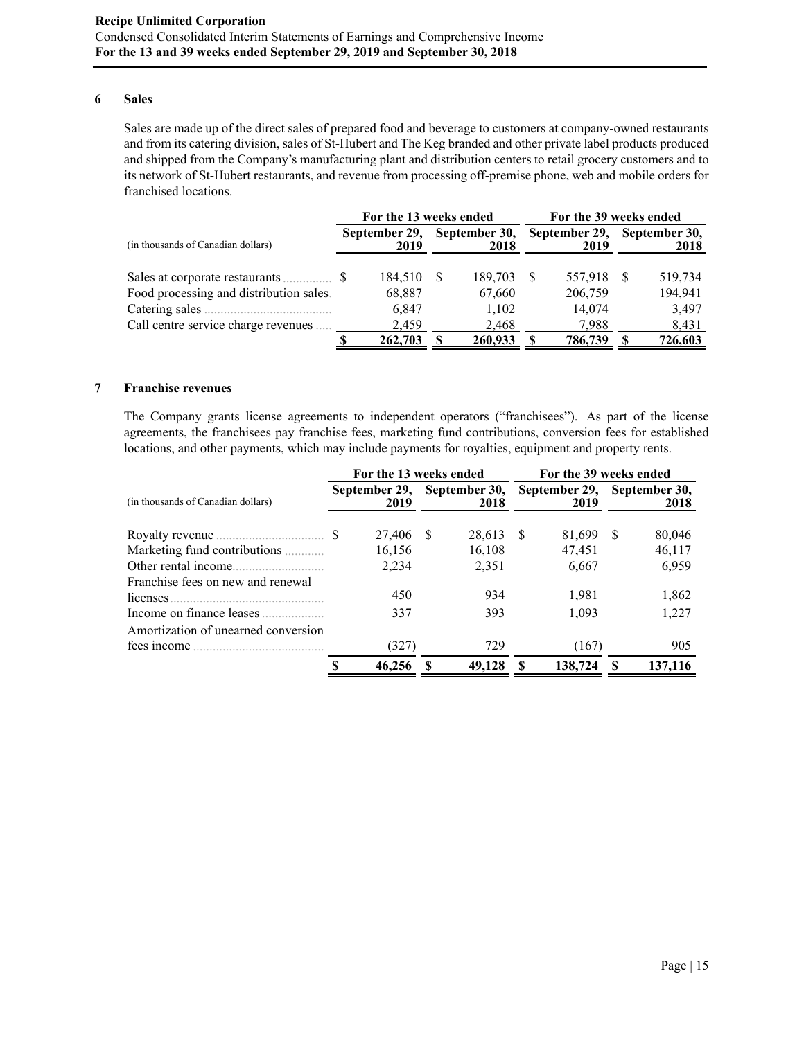#### **6 Sales**

Sales are made up of the direct sales of prepared food and beverage to customers at company-owned restaurants and from its catering division, sales of St-Hubert and The Keg branded and other private label products produced and shipped from the Company's manufacturing plant and distribution centers to retail grocery customers and to its network of St-Hubert restaurants, and revenue from processing off-premise phone, web and mobile orders for franchised locations.

|                                         |  | For the 13 weeks ended |    |                       | For the 39 weeks ended |                       |    |                       |  |  |  |
|-----------------------------------------|--|------------------------|----|-----------------------|------------------------|-----------------------|----|-----------------------|--|--|--|
| (in thousands of Canadian dollars)      |  | September 29,<br>2019  |    | September 30,<br>2018 |                        | September 29,<br>2019 |    | September 30,<br>2018 |  |  |  |
|                                         |  | 184,510                | -S | 189,703               | -S                     | 557,918               | -S | 519,734               |  |  |  |
| Food processing and distribution sales. |  | 68,887                 |    | 67,660                |                        | 206,759               |    | 194,941               |  |  |  |
|                                         |  | 6,847                  |    | 1,102                 |                        | 14,074                |    | 3,497                 |  |  |  |
| Call centre service charge revenues.    |  | 2.459                  |    | 2,468                 |                        | 7.988                 |    | 8,431                 |  |  |  |
|                                         |  | 262,703                |    | 260,933               |                        | 786,739               |    | 726,603               |  |  |  |

#### **7 Franchise revenues**

The Company grants license agreements to independent operators ("franchisees"). As part of the license agreements, the franchisees pay franchise fees, marketing fund contributions, conversion fees for established locations, and other payments, which may include payments for royalties, equipment and property rents.

|                                                |  | For the 13 weeks ended |    |                       | For the 39 weeks ended |                       |                       |         |  |  |  |
|------------------------------------------------|--|------------------------|----|-----------------------|------------------------|-----------------------|-----------------------|---------|--|--|--|
| (in thousands of Canadian dollars)             |  | September 29,<br>2019  |    | September 30,<br>2018 |                        | September 29,<br>2019 | September 30,<br>2018 |         |  |  |  |
|                                                |  | 27.406                 | -S | 28,613                | - S                    | 81,699                | -S                    | 80,046  |  |  |  |
| Marketing fund contributions                   |  | 16,156                 |    | 16,108                |                        | 47,451                |                       | 46,117  |  |  |  |
| Other rental income                            |  | 2,234                  |    | 2,351                 |                        | 6,667                 |                       | 6,959   |  |  |  |
| Franchise fees on new and renewal<br>licenses. |  | 450                    |    | 934                   |                        | 1,981                 |                       | 1,862   |  |  |  |
|                                                |  | 337                    |    | 393                   |                        | 1,093                 |                       | 1,227   |  |  |  |
| Amortization of unearned conversion            |  |                        |    |                       |                        |                       |                       |         |  |  |  |
|                                                |  | (327)                  |    | 729                   |                        | (167)                 |                       | 905     |  |  |  |
|                                                |  | 46,256                 |    | 49.128                |                        | 138,724               |                       | 137,116 |  |  |  |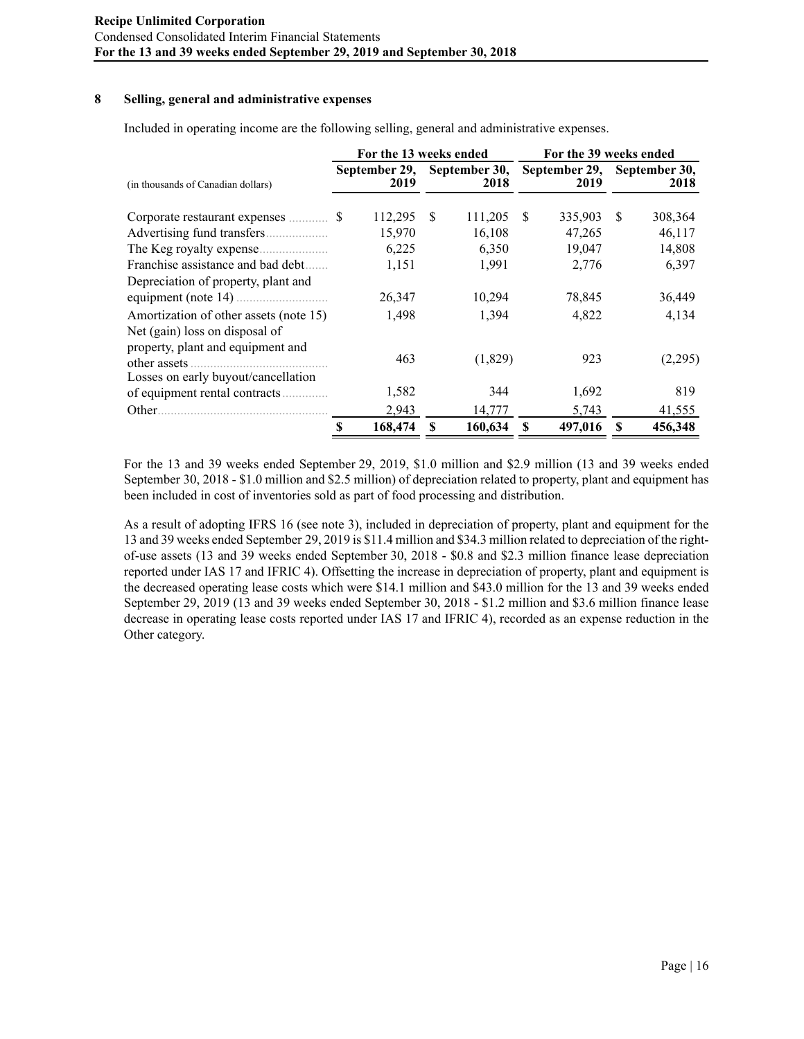### **8 Selling, general and administrative expenses**

Included in operating income are the following selling, general and administrative expenses.

|                                                                          |   | For the 13 weeks ended |          |                                     | For the 39 weeks ended |                                     |    |         |  |  |  |
|--------------------------------------------------------------------------|---|------------------------|----------|-------------------------------------|------------------------|-------------------------------------|----|---------|--|--|--|
| (in thousands of Canadian dollars)                                       |   | 2019                   |          | September 29, September 30,<br>2018 |                        | September 29, September 30,<br>2019 |    | 2018    |  |  |  |
|                                                                          |   | 112,295                | -S       | 111,205                             | -S                     | 335,903                             | -S | 308,364 |  |  |  |
|                                                                          |   | 15,970                 |          | 16,108                              |                        | 47,265                              |    | 46,117  |  |  |  |
| The Keg royalty expense<br>.                                             |   | 6,225                  |          | 6,350                               |                        | 19,047                              |    | 14,808  |  |  |  |
| Franchise assistance and bad debt                                        |   | 1,151                  |          | 1,991                               |                        | 2,776                               |    | 6,397   |  |  |  |
| Depreciation of property, plant and                                      |   | 26,347                 |          | 10,294                              |                        | 78,845                              |    | 36,449  |  |  |  |
| Amortization of other assets (note 15)<br>Net (gain) loss on disposal of |   | 1,498                  |          | 1,394                               |                        | 4,822                               |    | 4,134   |  |  |  |
| property, plant and equipment and<br>Losses on early buyout/cancellation |   | 463                    |          | (1,829)                             |                        | 923                                 |    | (2,295) |  |  |  |
| of equipment rental contracts.                                           |   | 1,582                  |          | 344                                 |                        | 1,692                               |    | 819     |  |  |  |
| Other.                                                                   |   | 2,943                  |          | 14,777                              |                        | 5,743                               |    | 41,555  |  |  |  |
|                                                                          | S | 168,474                | <b>S</b> | 160,634                             | <b>S</b>               | 497,016                             | S  | 456,348 |  |  |  |

For the 13 and 39 weeks ended September 29, 2019, \$1.0 million and \$2.9 million (13 and 39 weeks ended September 30, 2018 - \$1.0 million and \$2.5 million) of depreciation related to property, plant and equipment has been included in cost of inventories sold as part of food processing and distribution.

As a result of adopting IFRS 16 (see note 3), included in depreciation of property, plant and equipment for the 13 and 39 weeks ended September 29, 2019 is \$11.4 million and \$34.3 million related to depreciation of the rightof-use assets (13 and 39 weeks ended September 30, 2018 - \$0.8 and \$2.3 million finance lease depreciation reported under IAS 17 and IFRIC 4). Offsetting the increase in depreciation of property, plant and equipment is the decreased operating lease costs which were \$14.1 million and \$43.0 million for the 13 and 39 weeks ended September 29, 2019 (13 and 39 weeks ended September 30, 2018 - \$1.2 million and \$3.6 million finance lease decrease in operating lease costs reported under IAS 17 and IFRIC 4), recorded as an expense reduction in the Other category.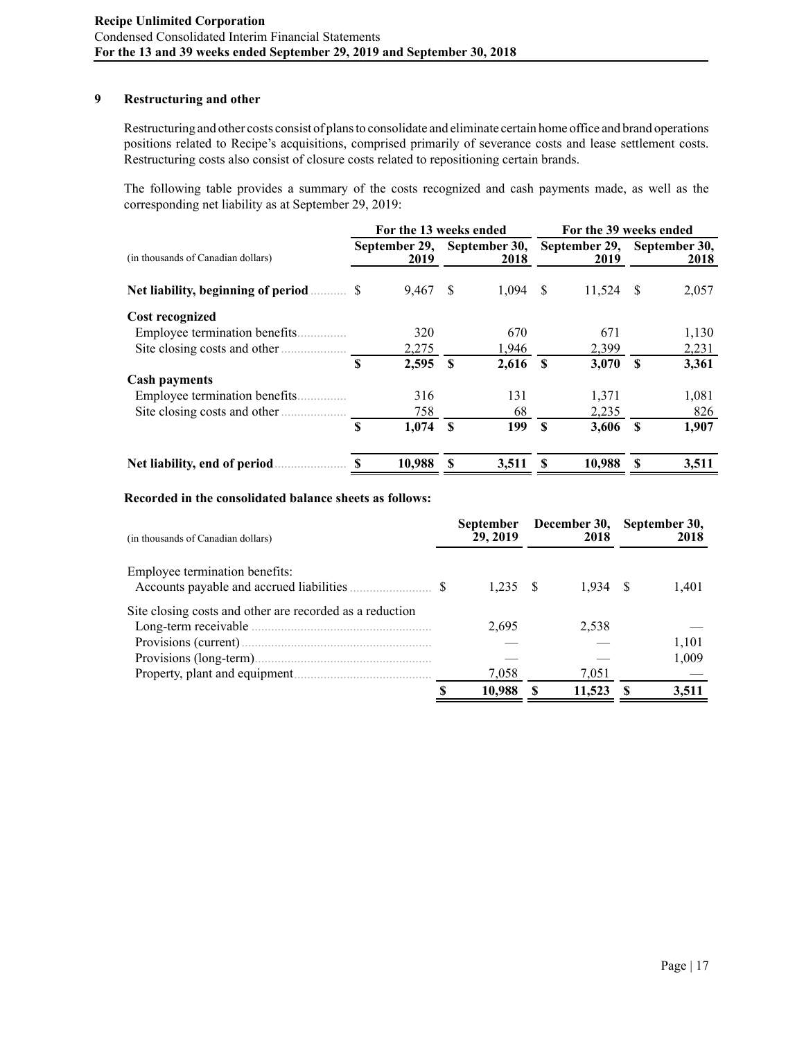# **9 Restructuring and other**

Restructuring and other costs consist of plans to consolidate and eliminate certain home office and brand operations positions related to Recipe's acquisitions, comprised primarily of severance costs and lease settlement costs. Restructuring costs also consist of closure costs related to repositioning certain brands.

The following table provides a summary of the costs recognized and cash payments made, as well as the corresponding net liability as at September 29, 2019:

|                                    |    | For the 13 weeks ended |               |               | For the 39 weeks ended |                       |              |       |                       |                       |  |  |
|------------------------------------|----|------------------------|---------------|---------------|------------------------|-----------------------|--------------|-------|-----------------------|-----------------------|--|--|
| (in thousands of Canadian dollars) |    | 2019                   |               | September 29, |                        | September 30,<br>2018 |              |       | September 29,<br>2019 | September 30,<br>2018 |  |  |
|                                    |    | 9,467                  | <sup>\$</sup> | 1.094         | - \$                   | 11,524                | <sup>S</sup> | 2,057 |                       |                       |  |  |
| <b>Cost recognized</b>             |    |                        |               |               |                        |                       |              |       |                       |                       |  |  |
| Employee termination benefits.     |    | 320                    |               | 670           |                        | 671                   |              | 1,130 |                       |                       |  |  |
| Site closing costs and other.<br>. |    | 2,275                  |               | 1,946         |                        | 2,399                 |              | 2,231 |                       |                       |  |  |
|                                    | \$ | 2,595                  | \$            | 2,616         | <b>S</b>               | 3,070                 | <b>S</b>     | 3,361 |                       |                       |  |  |
| <b>Cash payments</b>               |    |                        |               |               |                        |                       |              |       |                       |                       |  |  |
| Employee termination benefits.     |    | 316                    |               | 131           |                        | 1,371                 |              | 1,081 |                       |                       |  |  |
| Site closing costs and other       |    | 758                    |               | 68            |                        | 2,235                 |              | 826   |                       |                       |  |  |
|                                    | \$ | 1,074                  | \$            | 199           | <b>S</b>               | 3,606                 | $\mathbf{s}$ | 1,907 |                       |                       |  |  |
| Net liability, end of period       | S  | 10,988                 | S             | 3,511         | S                      | 10,988                | S            | 3,511 |                       |                       |  |  |

### **Recorded in the consolidated balance sheets as follows:**

| (in thousands of Canadian dollars)                       | <b>September</b><br>29, 2019 | December 30,<br>2018 | September 30,<br>2018 |
|----------------------------------------------------------|------------------------------|----------------------|-----------------------|
| Employee termination benefits:                           |                              |                      |                       |
|                                                          | 1.235 S                      | 1.934 S              | 1,401                 |
| Site closing costs and other are recorded as a reduction |                              |                      |                       |
|                                                          | 2,695                        | 2,538                |                       |
|                                                          |                              |                      | 1,101                 |
|                                                          |                              |                      | 1,009                 |
|                                                          | 7.058                        | 7,051                |                       |
|                                                          | 10.988                       | 11,523               | 3.511                 |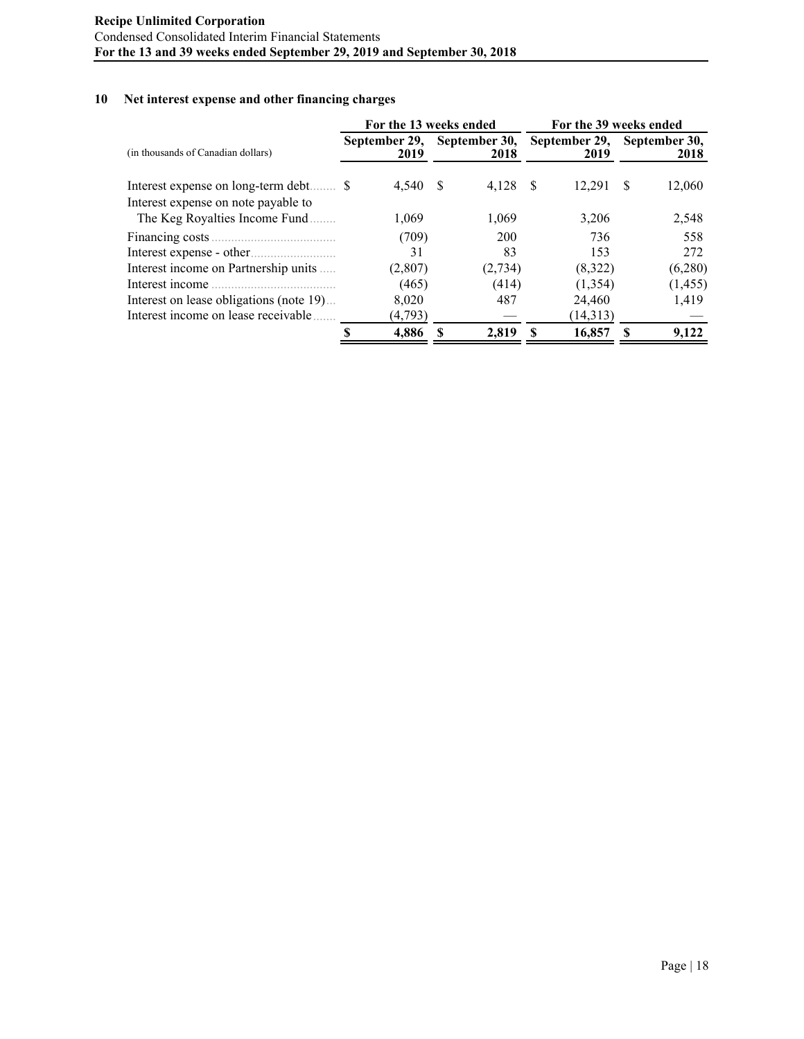# **10 Net interest expense and other financing charges**

|                                         |   | For the 13 weeks ended |              |                       | For the 39 weeks ended |                       |   |                       |  |  |  |
|-----------------------------------------|---|------------------------|--------------|-----------------------|------------------------|-----------------------|---|-----------------------|--|--|--|
| (in thousands of Canadian dollars)      |   | September 29,<br>2019  |              | September 30,<br>2018 |                        | September 29,<br>2019 |   | September 30,<br>2018 |  |  |  |
| Interest expense on long-term debt \$   |   | 4,540                  | <sup>S</sup> | 4,128                 | - \$                   | 12.291                | S | 12,060                |  |  |  |
| Interest expense on note payable to     |   |                        |              |                       |                        |                       |   |                       |  |  |  |
| The Keg Royalties Income Fund           |   | 1,069                  |              | 1,069                 |                        | 3,206                 |   | 2,548                 |  |  |  |
|                                         |   | (709)                  |              | 200                   |                        | 736                   |   | 558                   |  |  |  |
|                                         |   | 31                     |              | 83                    |                        | 153                   |   | 272                   |  |  |  |
| Interest income on Partnership units    |   | (2,807)                |              | (2,734)               |                        | (8,322)               |   | (6,280)               |  |  |  |
| Interest income                         |   | (465)                  |              | (414)                 |                        | (1,354)               |   | (1, 455)              |  |  |  |
| Interest on lease obligations (note 19) |   | 8,020                  |              | 487                   |                        | 24,460                |   | 1,419                 |  |  |  |
| Interest income on lease receivable     |   | (4,793)                |              |                       |                        | (14,313)              |   |                       |  |  |  |
|                                         | S | 4.886                  | S            | 2.819                 | S                      | 16.857                | S | 9.122                 |  |  |  |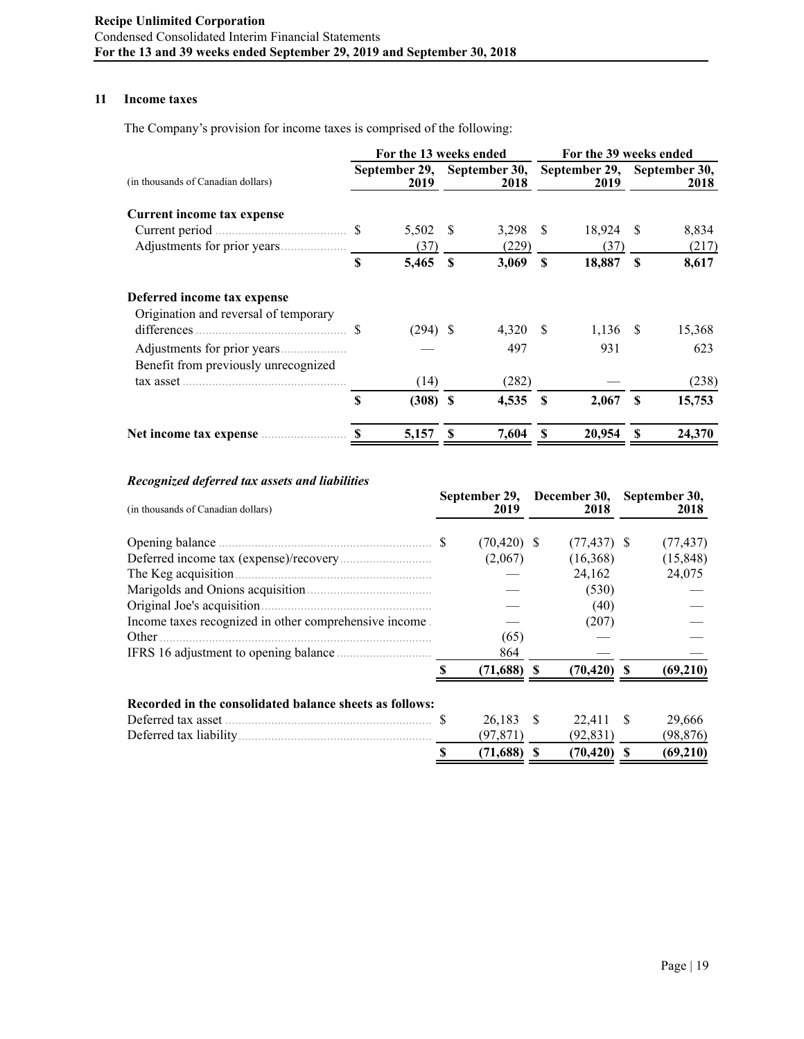# **11 Income taxes**

The Company's provision for income taxes is comprised of the following:

|                                       |    | For the 13 weeks ended |              |            | For the 39 weeks ended |                             |               |        |                                     |  |  |      |
|---------------------------------------|----|------------------------|--------------|------------|------------------------|-----------------------------|---------------|--------|-------------------------------------|--|--|------|
| (in thousands of Canadian dollars)    |    | 2019                   |              |            |                        | September 29, September 30, |               | 2018   | September 29, September 30,<br>2019 |  |  | 2018 |
| Current income tax expense            |    |                        |              |            |                        |                             |               |        |                                     |  |  |      |
|                                       |    | 5,502 \$               |              | $3,298$ \$ |                        | 18,924                      | -S            | 8,834  |                                     |  |  |      |
|                                       |    | (37)                   |              | (229)      |                        | (37)                        |               | (217)  |                                     |  |  |      |
|                                       | S  | 5,465                  | $\mathbf{s}$ | 3,069      | <b>S</b>               | 18,887                      | <sup>\$</sup> | 8,617  |                                     |  |  |      |
| Deferred income tax expense           |    |                        |              |            |                        |                             |               |        |                                     |  |  |      |
| Origination and reversal of temporary |    |                        |              |            |                        |                             |               |        |                                     |  |  |      |
|                                       | S  | $(294)$ \$             |              | 4,320 \$   |                        | $1,136$ \$                  |               | 15,368 |                                     |  |  |      |
|                                       |    |                        |              | 497        |                        | 931                         |               | 623    |                                     |  |  |      |
| Benefit from previously unrecognized  |    |                        |              |            |                        |                             |               |        |                                     |  |  |      |
| $\text{tax asset}$                    |    | (14)                   |              | (282)      |                        |                             |               | (238)  |                                     |  |  |      |
|                                       | \$ | $(308)$ \$             |              | 4,535      | -S                     | 2,067                       | <b>S</b>      | 15,753 |                                     |  |  |      |
|                                       |    | 5,157                  |              | 7,604      |                        | 20,954                      | S             | 24,370 |                                     |  |  |      |

# *Recognized deferred tax assets and liabilities*

| (in thousands of Canadian dollars)                                                                                                                                                                                                  | September 29,<br>2019 | December 30,<br>2018 |   | September 30,<br>2018 |
|-------------------------------------------------------------------------------------------------------------------------------------------------------------------------------------------------------------------------------------|-----------------------|----------------------|---|-----------------------|
| Opening balance <u>communications</u> states and states of states and states of states of states and states and states of states and states of states and states of states and states of states and states of states and states are | $(70, 420)$ \$        | $(77, 437)$ \$       |   | (77, 437)             |
|                                                                                                                                                                                                                                     | (2,067)               | (16,368)             |   | (15, 848)             |
|                                                                                                                                                                                                                                     |                       | 24,162               |   | 24,075                |
|                                                                                                                                                                                                                                     |                       | (530)                |   |                       |
| Original Joe's acquisition.                                                                                                                                                                                                         |                       | (40)                 |   |                       |
| Income taxes recognized in other comprehensive income.                                                                                                                                                                              |                       | (207)                |   |                       |
| Other                                                                                                                                                                                                                               | (65)                  |                      |   |                       |
|                                                                                                                                                                                                                                     | 864                   |                      |   |                       |
|                                                                                                                                                                                                                                     | (71,688)              | $(70, 420)$ \$       |   | (69, 210)             |
| Recorded in the consolidated balance sheets as follows:                                                                                                                                                                             |                       |                      |   |                       |
|                                                                                                                                                                                                                                     | 26,183 \$             | 22.411 \$            |   | 29,666                |
|                                                                                                                                                                                                                                     | (97, 871)             | (92, 831)            |   | (98, 876)             |
|                                                                                                                                                                                                                                     | (71,688)              | (70, 420)            | S | (69,210)              |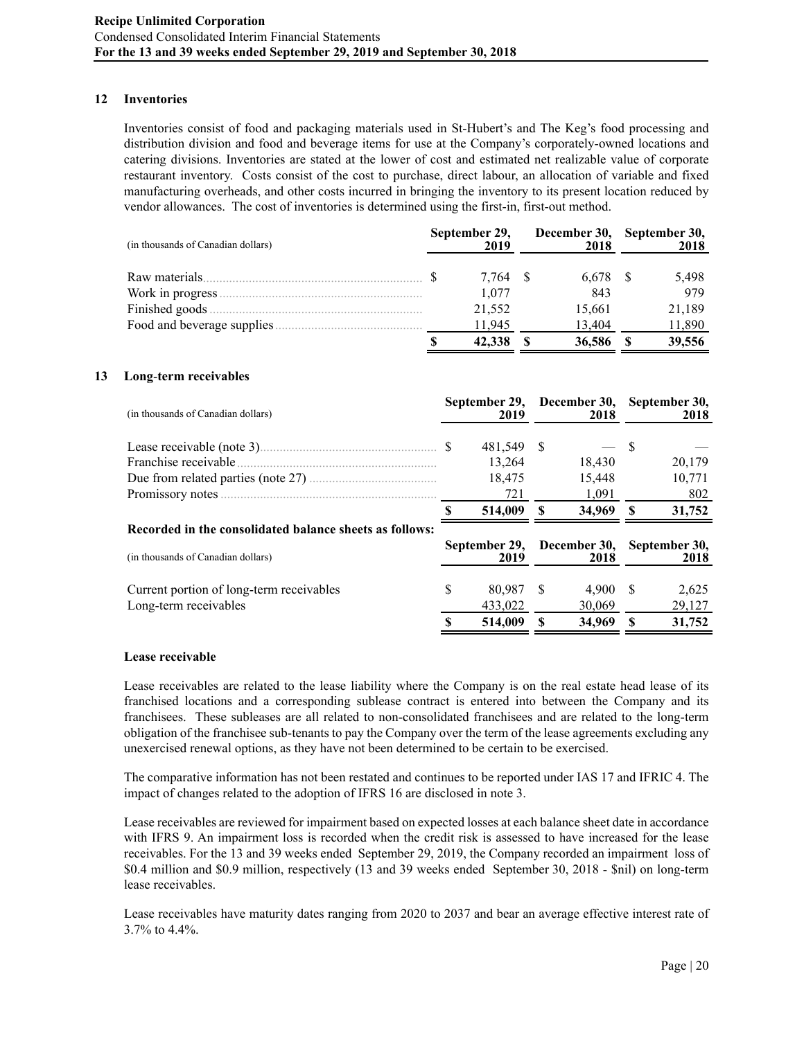### **12 Inventories**

Inventories consist of food and packaging materials used in St-Hubert's and The Keg's food processing and distribution division and food and beverage items for use at the Company's corporately-owned locations and catering divisions. Inventories are stated at the lower of cost and estimated net realizable value of corporate restaurant inventory. Costs consist of the cost to purchase, direct labour, an allocation of variable and fixed manufacturing overheads, and other costs incurred in bringing the inventory to its present location reduced by vendor allowances. The cost of inventories is determined using the first-in, first-out method.

| (in thousands of Canadian dollars) | September 29,<br>2019 | December 30,<br>2018 | September 30,<br>2018 |
|------------------------------------|-----------------------|----------------------|-----------------------|
|                                    | 7.764                 | 6.678 \$             | 5,498                 |
| Work in progress.                  | 1.077                 | 843                  | 979                   |
|                                    | 21,552                | 15,661               | 21,189                |
| Food and beverage supplies         | 11.945                | 13.404               | 11,890                |
|                                    | 42,338                | 36,586               | 39,556                |

#### **13 Long**-**term receivables**

| (in thousands of Canadian dollars)                                |   | September 29,<br>2019 |    | December 30,<br>2018 | September 30,<br>2018 |                       |  |
|-------------------------------------------------------------------|---|-----------------------|----|----------------------|-----------------------|-----------------------|--|
|                                                                   |   | 481,549 \$            |    |                      | S                     |                       |  |
|                                                                   |   | 13,264                |    | 18,430               |                       | 20,179                |  |
|                                                                   |   | 18,475                |    | 15,448               |                       | 10,771                |  |
|                                                                   |   | 721                   |    | 1,091                |                       | 802                   |  |
|                                                                   |   | 514,009               | -S | 34,969               | - \$                  | 31,752                |  |
| Recorded in the consolidated balance sheets as follows:           |   |                       |    |                      |                       |                       |  |
| (in thousands of Canadian dollars)                                |   | September 29,<br>2019 |    | December 30,<br>2018 |                       | September 30,<br>2018 |  |
| Current portion of long-term receivables<br>Long-term receivables | S | 80.987<br>433,022     | -S | 4.900<br>30,069      | <sup>\$</sup>         | 2,625<br>29,127       |  |
|                                                                   |   | 514,009               |    | 34,969               | -S                    | 31,752                |  |

#### **Lease receivable**

Lease receivables are related to the lease liability where the Company is on the real estate head lease of its franchised locations and a corresponding sublease contract is entered into between the Company and its franchisees. These subleases are all related to non-consolidated franchisees and are related to the long-term obligation of the franchisee sub-tenants to pay the Company over the term of the lease agreements excluding any unexercised renewal options, as they have not been determined to be certain to be exercised.

The comparative information has not been restated and continues to be reported under IAS 17 and IFRIC 4. The impact of changes related to the adoption of IFRS 16 are disclosed in note 3.

Lease receivables are reviewed for impairment based on expected losses at each balance sheet date in accordance with IFRS 9. An impairment loss is recorded when the credit risk is assessed to have increased for the lease receivables. For the 13 and 39 weeks ended September 29, 2019, the Company recorded an impairment loss of \$0.4 million and \$0.9 million, respectively (13 and 39 weeks ended September 30, 2018 - \$nil) on long-term lease receivables.

Lease receivables have maturity dates ranging from 2020 to 2037 and bear an average effective interest rate of 3.7% to 4.4%.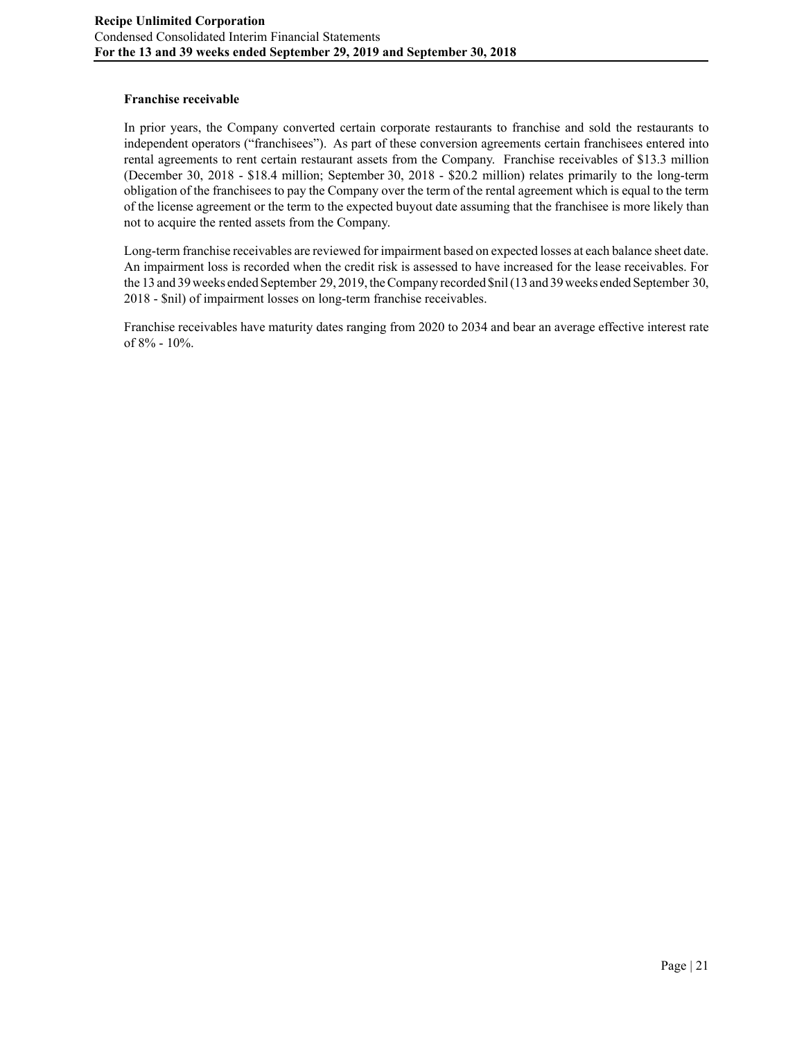# **Franchise receivable**

In prior years, the Company converted certain corporate restaurants to franchise and sold the restaurants to independent operators ("franchisees"). As part of these conversion agreements certain franchisees entered into rental agreements to rent certain restaurant assets from the Company. Franchise receivables of \$13.3 million (December 30, 2018 - \$18.4 million; September 30, 2018 - \$20.2 million) relates primarily to the long-term obligation of the franchisees to pay the Company over the term of the rental agreement which is equal to the term of the license agreement or the term to the expected buyout date assuming that the franchisee is more likely than not to acquire the rented assets from the Company.

Long-term franchise receivables are reviewed for impairment based on expected losses at each balance sheet date. An impairment loss is recorded when the credit risk is assessed to have increased for the lease receivables. For the 13 and 39 weeks ended September 29, 2019, the Company recorded \$nil (13 and 39 weeks ended September 30, 2018 - \$nil) of impairment losses on long-term franchise receivables.

Franchise receivables have maturity dates ranging from 2020 to 2034 and bear an average effective interest rate of 8% - 10%.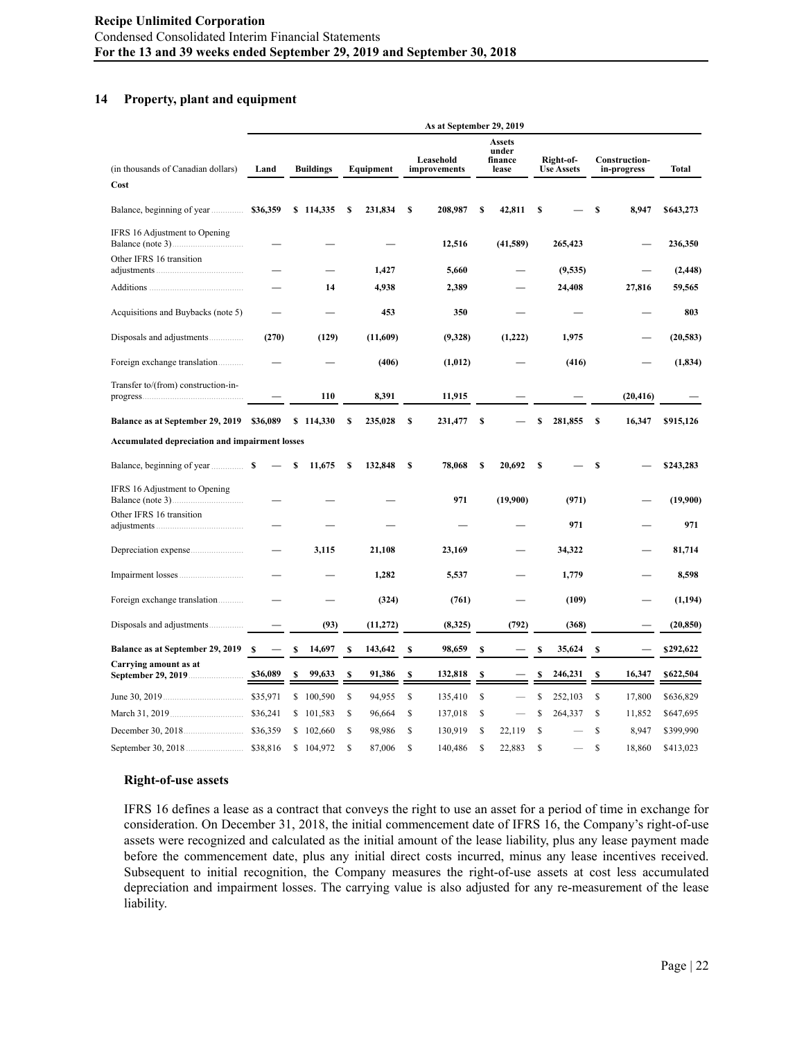#### **14 Property, plant and equipment**

|                                                       |          |    |                  |    |           |    | As at September 29, 2019  |    |                                            |    |                                |    |                                     |           |
|-------------------------------------------------------|----------|----|------------------|----|-----------|----|---------------------------|----|--------------------------------------------|----|--------------------------------|----|-------------------------------------|-----------|
| (in thousands of Canadian dollars)                    | Land     |    | <b>Buildings</b> |    | Equipment |    | Leasehold<br>improvements |    | <b>Assets</b><br>under<br>finance<br>lease |    | Right-of-<br><b>Use Assets</b> |    | <b>Construction-</b><br>in-progress | Total     |
| Cost                                                  |          |    |                  |    |           |    |                           |    |                                            |    |                                |    |                                     |           |
| Balance, beginning of year                            | \$36,359 | \$ | 114,335          | \$ | 231,834   | S  | 208,987                   | \$ | 42,811                                     | \$ |                                | \$ | 8,947                               | \$643,273 |
| IFRS 16 Adjustment to Opening                         |          |    |                  |    |           |    | 12,516                    |    | (41,589)                                   |    | 265,423                        |    |                                     | 236,350   |
| Other IFRS 16 transition                              |          |    |                  |    | 1,427     |    | 5,660                     |    |                                            |    | (9,535)                        |    |                                     | (2, 448)  |
|                                                       |          |    | 14               |    | 4,938     |    | 2,389                     |    |                                            |    | 24,408                         |    | 27,816                              | 59,565    |
| Acquisitions and Buybacks (note 5)                    |          |    |                  |    | 453       |    | 350                       |    |                                            |    |                                |    |                                     | 803       |
|                                                       | (270)    |    | (129)            |    | (11,609)  |    | (9,328)                   |    | (1,222)                                    |    | 1,975                          |    |                                     | (20, 583) |
| Foreign exchange translation                          |          |    |                  |    | (406)     |    | (1,012)                   |    |                                            |    | (416)                          |    |                                     | (1, 834)  |
| Transfer to/(from) construction-in-                   |          |    | 110              |    | 8,391     |    | 11,915                    |    |                                            |    |                                |    | (20, 416)                           |           |
| Balance as at September 29, 2019                      | \$36,089 |    | \$114,330        | \$ | 235,028   | S  | 231,477                   | \$ |                                            | \$ | 281,855                        | s  | 16,347                              | \$915,126 |
| <b>Accumulated depreciation and impairment losses</b> |          |    |                  |    |           |    |                           |    |                                            |    |                                |    |                                     |           |
|                                                       |          | S  | 11.675           | S  | 132,848   | s  | 78,068                    | S  | 20,692                                     | -S |                                | S  |                                     | \$243,283 |
| IFRS 16 Adjustment to Opening<br>Balance (note 3)     |          |    |                  |    |           |    | 971                       |    | (19,900)                                   |    | (971)                          |    |                                     | (19,900)  |
| Other IFRS 16 transition                              |          |    |                  |    |           |    |                           |    |                                            |    | 971                            |    |                                     | 971       |
|                                                       |          |    | 3,115            |    | 21,108    |    | 23,169                    |    |                                            |    | 34,322                         |    |                                     | 81,714    |
|                                                       |          |    |                  |    | 1,282     |    | 5,537                     |    |                                            |    | 1,779                          |    |                                     | 8,598     |
| Foreign exchange translation                          |          |    |                  |    | (324)     |    | (761)                     |    |                                            |    | (109)                          |    |                                     | (1, 194)  |
|                                                       |          |    | (93)             |    | (11, 272) |    | (8,325)                   |    | (792)                                      |    | (368)                          |    |                                     | (20, 850) |
| Balance as at September 29, 2019                      | -S       | \$ | 14,697           | s  | 143,642   | S  | 98,659                    | \$ |                                            | \$ | 35,624                         | S  |                                     | \$292,622 |
| Carrying amount as at                                 | \$36,089 | \$ | 99,633           | S  | 91,386    | S  | 132,818                   | S  |                                            | S  | 246,231                        | S  | 16,347                              | \$622,504 |
|                                                       | \$35,971 | \$ | 100,590          | \$ | 94,955    | \$ | 135,410                   | \$ |                                            | \$ | 252,103                        | \$ | 17,800                              | \$636,829 |
|                                                       | \$36,241 | \$ | 101,583          | \$ | 96,664    | \$ | 137,018                   | \$ |                                            | S  | 264,337                        | \$ | 11,852                              | \$647,695 |
|                                                       | \$36,359 | \$ | 102,660          | \$ | 98,986    | \$ | 130,919                   | \$ | 22,119                                     | \$ |                                | \$ | 8,947                               | \$399,990 |
| September 30, 2018                                    | \$38,816 | \$ | 104,972          | Ŝ  | 87,006    | S  | 140,486                   | Ŝ  | 22,883                                     | S  |                                | S  | 18,860                              | \$413,023 |

#### **Right-of-use assets**

IFRS 16 defines a lease as a contract that conveys the right to use an asset for a period of time in exchange for consideration. On December 31, 2018, the initial commencement date of IFRS 16, the Company's right-of-use assets were recognized and calculated as the initial amount of the lease liability, plus any lease payment made before the commencement date, plus any initial direct costs incurred, minus any lease incentives received. Subsequent to initial recognition, the Company measures the right-of-use assets at cost less accumulated depreciation and impairment losses. The carrying value is also adjusted for any re-measurement of the lease liability.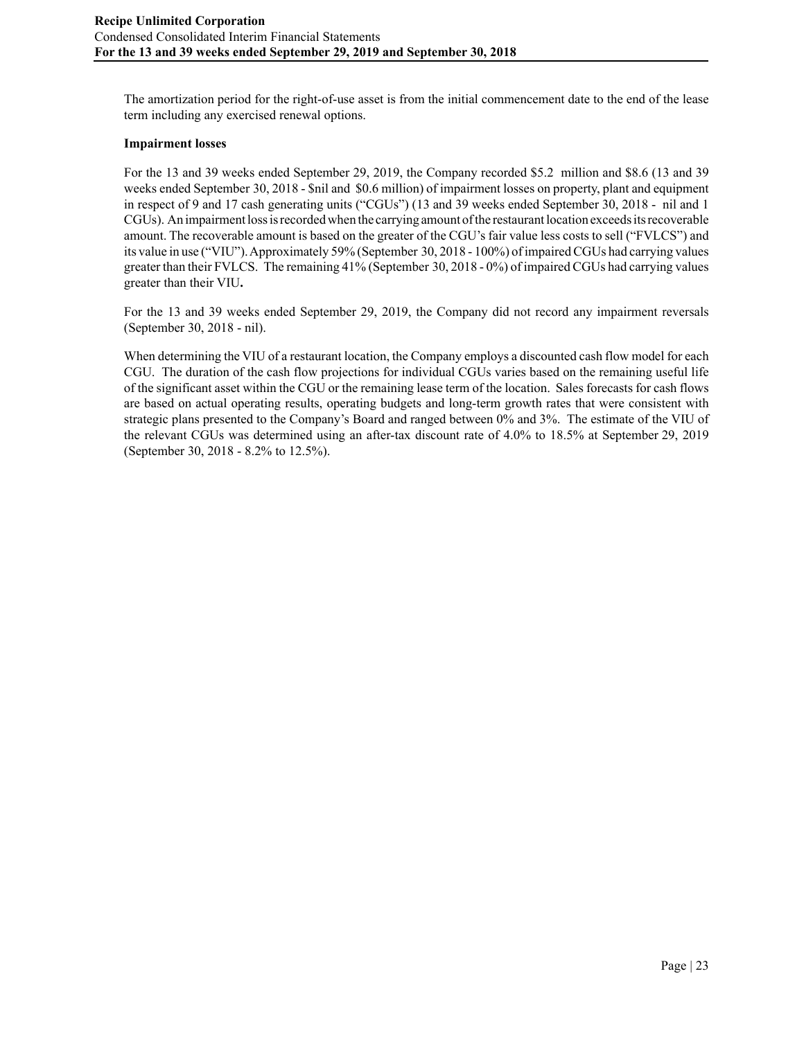The amortization period for the right-of-use asset is from the initial commencement date to the end of the lease term including any exercised renewal options.

### **Impairment losses**

For the 13 and 39 weeks ended September 29, 2019, the Company recorded \$5.2 million and \$8.6 (13 and 39 weeks ended September 30, 2018 - \$nil and \$0.6 million) of impairment losses on property, plant and equipment in respect of 9 and 17 cash generating units ("CGUs") (13 and 39 weeks ended September 30, 2018 - nil and 1 CGUs). An impairment loss is recorded when the carrying amount of the restaurant location exceeds its recoverable amount. The recoverable amount is based on the greater of the CGU's fair value less costs to sell ("FVLCS") and its value in use ("VIU"). Approximately 59% (September 30, 2018 - 100%) of impaired CGUs had carrying values greater than their FVLCS. The remaining 41% (September 30, 2018 - 0%) of impaired CGUs had carrying values greater than their VIU**.** 

For the 13 and 39 weeks ended September 29, 2019, the Company did not record any impairment reversals (September 30, 2018 - nil).

When determining the VIU of a restaurant location, the Company employs a discounted cash flow model for each CGU. The duration of the cash flow projections for individual CGUs varies based on the remaining useful life of the significant asset within the CGU or the remaining lease term of the location. Sales forecasts for cash flows are based on actual operating results, operating budgets and long-term growth rates that were consistent with strategic plans presented to the Company's Board and ranged between 0% and 3%. The estimate of the VIU of the relevant CGUs was determined using an after-tax discount rate of 4.0% to 18.5% at September 29, 2019 (September 30, 2018 - 8.2% to 12.5%).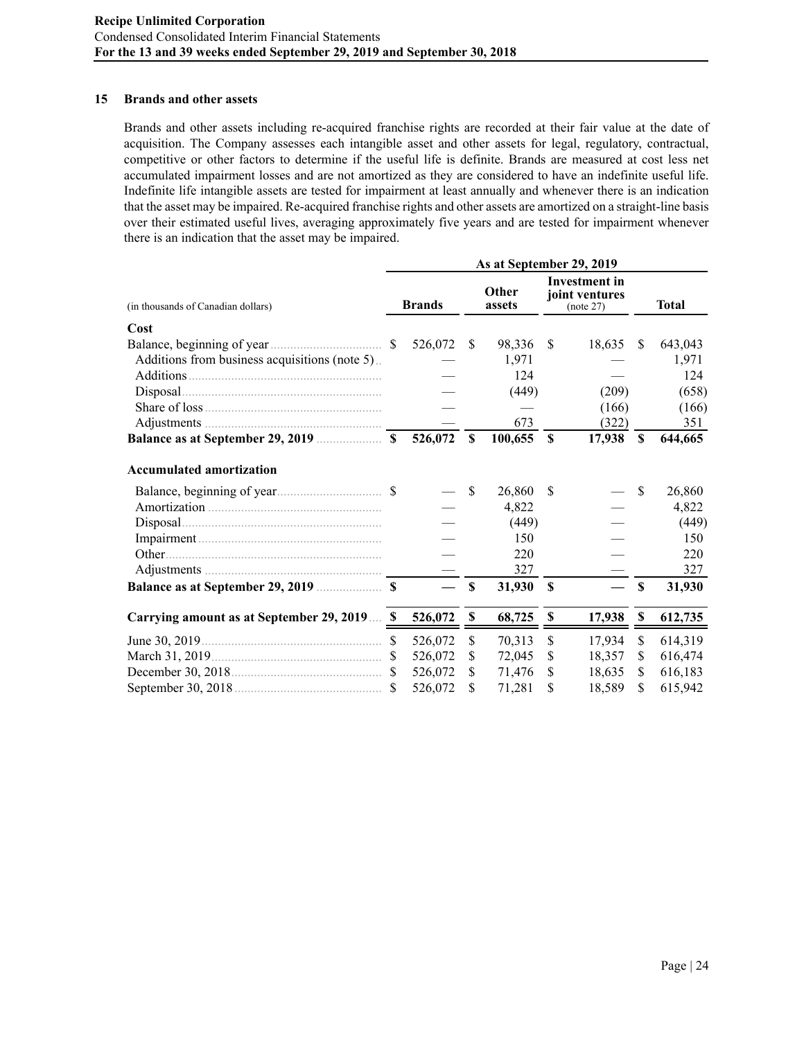#### **15 Brands and other assets**

Brands and other assets including re-acquired franchise rights are recorded at their fair value at the date of acquisition. The Company assesses each intangible asset and other assets for legal, regulatory, contractual, competitive or other factors to determine if the useful life is definite. Brands are measured at cost less net accumulated impairment losses and are not amortized as they are considered to have an indefinite useful life. Indefinite life intangible assets are tested for impairment at least annually and whenever there is an indication that the asset may be impaired. Re-acquired franchise rights and other assets are amortized on a straight-line basis over their estimated useful lives, averaging approximately five years and are tested for impairment whenever there is an indication that the asset may be impaired.

|                                                | As at September 29, 2019 |               |                           |                 |                                                     |        |               |              |  |  |  |  |
|------------------------------------------------|--------------------------|---------------|---------------------------|-----------------|-----------------------------------------------------|--------|---------------|--------------|--|--|--|--|
| (in thousands of Canadian dollars)             |                          | <b>Brands</b> |                           | Other<br>assets | <b>Investment</b> in<br>joint ventures<br>(note 27) |        |               | <b>Total</b> |  |  |  |  |
| Cost                                           |                          |               |                           |                 |                                                     |        |               |              |  |  |  |  |
|                                                |                          | 526,072       | <b>S</b>                  | 98,336          | <sup>\$</sup>                                       | 18,635 | <sup>\$</sup> | 643,043      |  |  |  |  |
| Additions from business acquisitions (note 5). |                          |               |                           | 1,971           |                                                     |        |               | 1,971        |  |  |  |  |
| Additions                                      |                          |               |                           | 124             |                                                     |        |               | 124          |  |  |  |  |
|                                                |                          |               |                           | (449)           |                                                     | (209)  |               | (658)        |  |  |  |  |
|                                                |                          |               |                           |                 |                                                     | (166)  |               | (166)        |  |  |  |  |
|                                                |                          |               |                           | 673             |                                                     | (322)  |               | 351          |  |  |  |  |
|                                                |                          | 526,072       | $\mathbf S$               | 100,655         | $\mathbf S$                                         | 17,938 | $\mathbf S$   | 644,665      |  |  |  |  |
| <b>Accumulated amortization</b>                |                          |               |                           |                 |                                                     |        |               |              |  |  |  |  |
|                                                |                          |               | \$                        | 26,860          | <sup>\$</sup>                                       |        | \$            | 26,860       |  |  |  |  |
|                                                |                          |               |                           | 4,822           |                                                     |        |               | 4,822        |  |  |  |  |
|                                                |                          |               |                           | (449)           |                                                     |        |               | (449)        |  |  |  |  |
|                                                |                          |               |                           | 150             |                                                     |        |               | 150          |  |  |  |  |
| Other.                                         |                          |               |                           | 220             |                                                     |        |               | 220          |  |  |  |  |
|                                                |                          |               |                           | 327             |                                                     |        |               | 327          |  |  |  |  |
|                                                |                          |               | \$                        | 31,930          | $\mathbf s$                                         |        | \$            | 31,930       |  |  |  |  |
| Carrying amount as at September 29, 2019 \$    |                          | 526,072       | $\boldsymbol{\mathsf{S}}$ | 68,725          | $\boldsymbol{\mathsf{s}}$                           | 17,938 | $\mathbb S$   | 612,735      |  |  |  |  |
|                                                | <sup>S</sup>             | 526,072       | \$                        | 70,313          | \$                                                  | 17,934 | \$            | 614,319      |  |  |  |  |
|                                                |                          | 526,072       | \$                        | 72,045          | <sup>S</sup>                                        | 18,357 | \$            | 616,474      |  |  |  |  |
|                                                |                          | 526,072       | \$.                       | 71,476          | \$.                                                 | 18,635 | \$            | 616,183      |  |  |  |  |
|                                                |                          | 526,072       | S                         | 71,281          | S                                                   | 18,589 | \$            | 615,942      |  |  |  |  |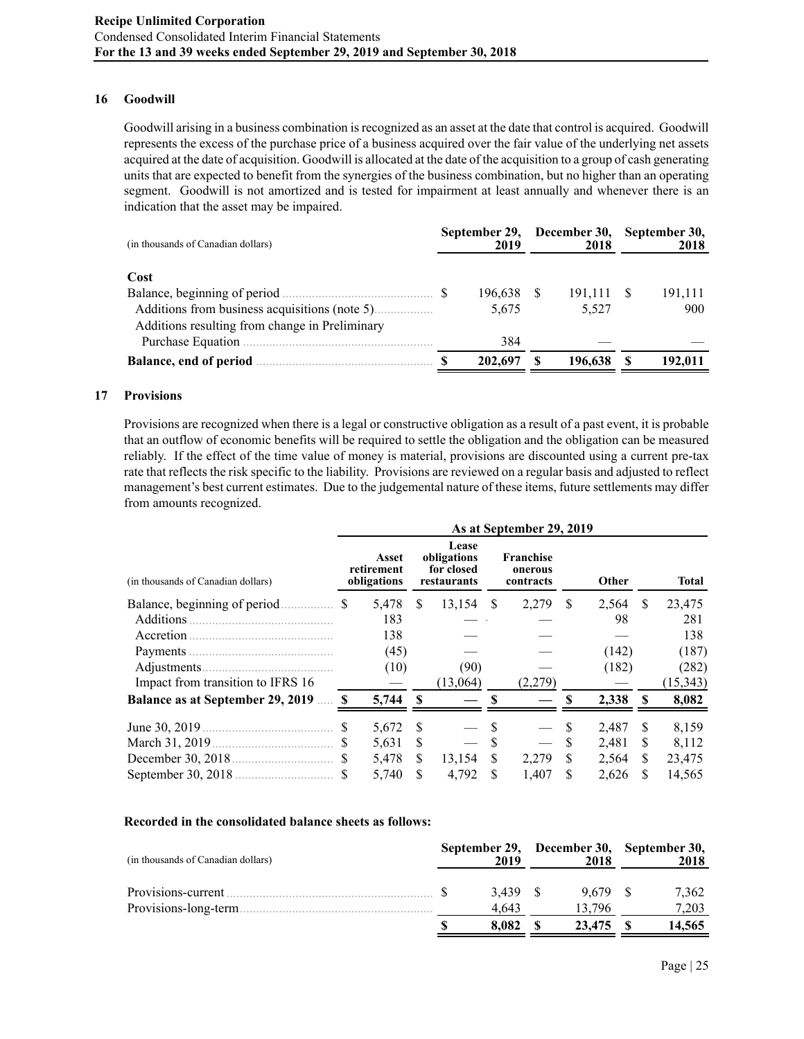### **16 Goodwill**

Goodwill arising in a business combination is recognized as an asset at the date that control is acquired. Goodwill represents the excess of the purchase price of a business acquired over the fair value of the underlying net assets acquired at the date of acquisition. Goodwill is allocated at the date of the acquisition to a group of cash generating units that are expected to benefit from the synergies of the business combination, but no higher than an operating segment. Goodwill is not amortized and is tested for impairment at least annually and whenever there is an indication that the asset may be impaired.

| (in thousands of Canadian dollars)             | September 29,<br>2019 | December 30,<br>2018 | September 30,<br>2018 |         |  |
|------------------------------------------------|-----------------------|----------------------|-----------------------|---------|--|
| Cost                                           |                       |                      |                       |         |  |
|                                                | 196,638               | 191,111 \$           |                       | 191,111 |  |
|                                                | 5,675                 | 5,527                |                       | 900     |  |
| Additions resulting from change in Preliminary |                       |                      |                       |         |  |
|                                                | 384                   |                      |                       |         |  |
|                                                | 202,697               | 196,638              |                       | 192,011 |  |

#### **17 Provisions**

Provisions are recognized when there is a legal or constructive obligation as a result of a past event, it is probable that an outflow of economic benefits will be required to settle the obligation and the obligation can be measured reliably. If the effect of the time value of money is material, provisions are discounted using a current pre-tax rate that reflects the risk specific to the liability. Provisions are reviewed on a regular basis and adjusted to reflect management's best current estimates. Due to the judgemental nature of these items, future settlements may differ from amounts recognized.

|                                                                                                                                                                                                                                            | As at September 29, 2019 |                                    |              |                                                   |   |                                          |     |       |              |           |
|--------------------------------------------------------------------------------------------------------------------------------------------------------------------------------------------------------------------------------------------|--------------------------|------------------------------------|--------------|---------------------------------------------------|---|------------------------------------------|-----|-------|--------------|-----------|
| (in thousands of Canadian dollars)                                                                                                                                                                                                         |                          | Asset<br>retirement<br>obligations |              | Lease<br>obligations<br>for closed<br>restaurants |   | <b>Franchise</b><br>onerous<br>contracts |     | Other |              | Total     |
|                                                                                                                                                                                                                                            | <sup>\$</sup>            | 5,478                              | <sup>S</sup> | $13,154$ \$                                       |   | 2,279                                    | -S  | 2,564 | <sup>S</sup> | 23,475    |
| Additions<br>and a construction of the construction of the construction of the construction of the construction of the construction of the construction of the construction of the construction of the construction of the construction of |                          | 183                                |              |                                                   |   |                                          |     | 98    |              | 281       |
| Accretion.                                                                                                                                                                                                                                 |                          | 138                                |              |                                                   |   |                                          |     |       |              | 138       |
|                                                                                                                                                                                                                                            |                          | (45)                               |              |                                                   |   |                                          |     | (142) |              | (187)     |
|                                                                                                                                                                                                                                            |                          | (10)                               |              | (90)                                              |   |                                          |     | (182) |              | (282)     |
| Impact from transition to IFRS 16                                                                                                                                                                                                          |                          |                                    |              | (13,064)                                          |   | (2.279)                                  |     |       |              | (15, 343) |
| Balance as at September 29, 2019  \$                                                                                                                                                                                                       |                          | 5,744                              | $\mathbf{s}$ |                                                   |   |                                          |     | 2,338 | $\mathbf{s}$ | 8,082     |
|                                                                                                                                                                                                                                            | S                        | 5,672                              | S            |                                                   |   |                                          |     | 2,487 | <b>S</b>     | 8,159     |
|                                                                                                                                                                                                                                            |                          | 5,631                              | \$.          |                                                   |   |                                          | \$. | 2,481 | S            | 8,112     |
|                                                                                                                                                                                                                                            |                          | 5,478                              | S            | 13,154                                            | S | 2,279                                    | S.  | 2,564 | S.           | 23,475    |
|                                                                                                                                                                                                                                            |                          | 5,740                              | \$.          | 4,792                                             | S | 1,407                                    | S   | 2,626 | S            | 14,565    |

#### **Recorded in the consolidated balance sheets as follows:**

| (in thousands of Canadian dollars)           | 2019           | 2018            | September 29, December 30, September 30,<br>2018 |
|----------------------------------------------|----------------|-----------------|--------------------------------------------------|
| Provisions-current.<br>Provisions-long-term. | 3.439<br>4.643 | 9.679<br>13.796 | 7.362<br>7.203                                   |
|                                              | 8.082          | 23,475          | 14,565                                           |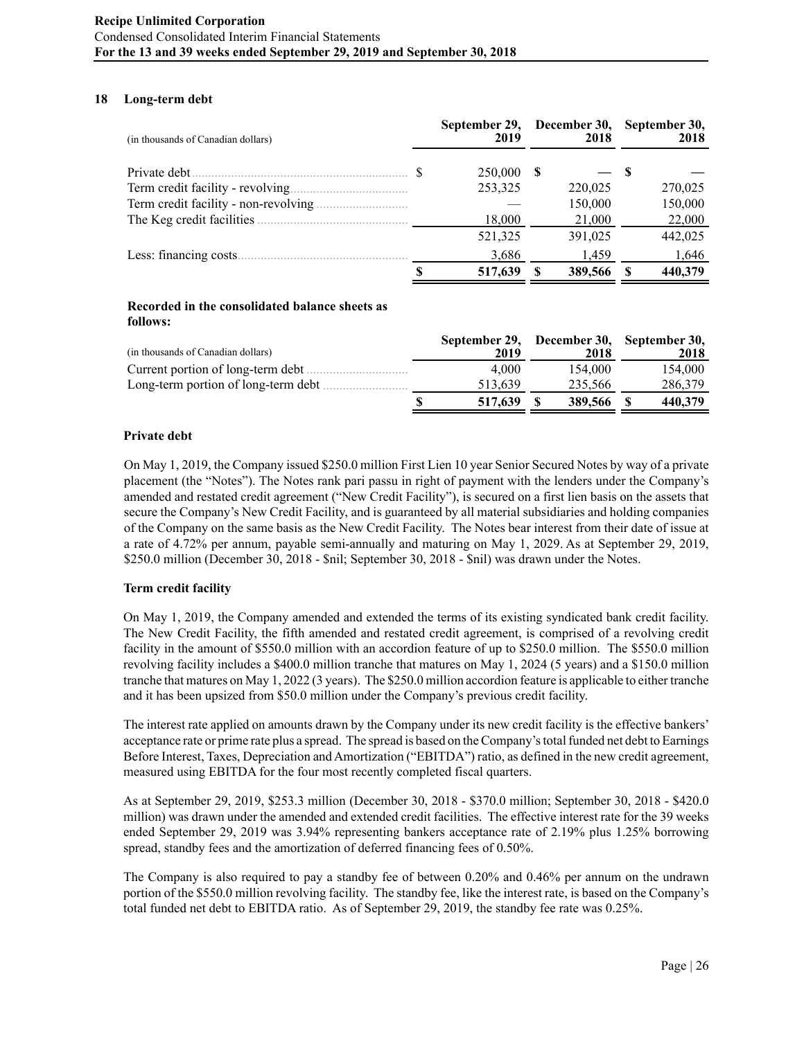### **18 Long-term debt**

| (in thousands of Canadian dollars) |  | September 29,<br>2019 |    | December 30,<br>2018 | September 30,<br>2018 |         |  |
|------------------------------------|--|-----------------------|----|----------------------|-----------------------|---------|--|
|                                    |  | 250,000               | -S |                      | - \$                  |         |  |
| Term credit facility - revolving   |  | 253,325               |    | 220,025              |                       | 270,025 |  |
|                                    |  |                       |    | 150,000              |                       | 150,000 |  |
|                                    |  | 18,000                |    | 21,000               |                       | 22,000  |  |
|                                    |  | 521,325               |    | 391,025              |                       | 442,025 |  |
| Less: financing costs.             |  | 3,686                 |    | 1,459                |                       | 1,646   |  |
|                                    |  | 517,639               |    | 389,566              | £.                    | 440,379 |  |

# **Recorded in the consolidated balance sheets as follows:**

|                                     | September 29, | December 30, September 30, |         |      |
|-------------------------------------|---------------|----------------------------|---------|------|
| (in thousands of Canadian dollars)  | 2019          | 2018                       |         | 2018 |
| Current portion of long-term debt   | 4.000         | 154.000                    | 154,000 |      |
| Long-term portion of long-term debt | 513.639       | 235.566                    | 286,379 |      |
|                                     | 517,639       | 389,566                    | 440.379 |      |

### **Private debt**

On May 1, 2019, the Company issued \$250.0 million First Lien 10 year Senior Secured Notes by way of a private placement (the "Notes"). The Notes rank pari passu in right of payment with the lenders under the Company's amended and restated credit agreement ("New Credit Facility"), is secured on a first lien basis on the assets that secure the Company's New Credit Facility, and is guaranteed by all material subsidiaries and holding companies of the Company on the same basis as the New Credit Facility. The Notes bear interest from their date of issue at a rate of 4.72% per annum, payable semi-annually and maturing on May 1, 2029. As at September 29, 2019, \$250.0 million (December 30, 2018 - \$nil; September 30, 2018 - \$nil) was drawn under the Notes.

# **Term credit facility**

On May 1, 2019, the Company amended and extended the terms of its existing syndicated bank credit facility. The New Credit Facility, the fifth amended and restated credit agreement, is comprised of a revolving credit facility in the amount of \$550.0 million with an accordion feature of up to \$250.0 million. The \$550.0 million revolving facility includes a \$400.0 million tranche that matures on May 1, 2024 (5 years) and a \$150.0 million tranche that matures on May 1, 2022 (3 years). The \$250.0 million accordion feature is applicable to either tranche and it has been upsized from \$50.0 million under the Company's previous credit facility.

The interest rate applied on amounts drawn by the Company under its new credit facility is the effective bankers' acceptance rate or prime rate plus a spread. The spread is based on the Company's total funded net debt to Earnings Before Interest, Taxes, Depreciation and Amortization ("EBITDA") ratio, as defined in the new credit agreement, measured using EBITDA for the four most recently completed fiscal quarters.

As at September 29, 2019, \$253.3 million (December 30, 2018 - \$370.0 million; September 30, 2018 - \$420.0 million) was drawn under the amended and extended credit facilities. The effective interest rate for the 39 weeks ended September 29, 2019 was 3.94% representing bankers acceptance rate of 2.19% plus 1.25% borrowing spread, standby fees and the amortization of deferred financing fees of 0.50%.

The Company is also required to pay a standby fee of between 0.20% and 0.46% per annum on the undrawn portion of the \$550.0 million revolving facility. The standby fee, like the interest rate, is based on the Company's total funded net debt to EBITDA ratio. As of September 29, 2019, the standby fee rate was 0.25%.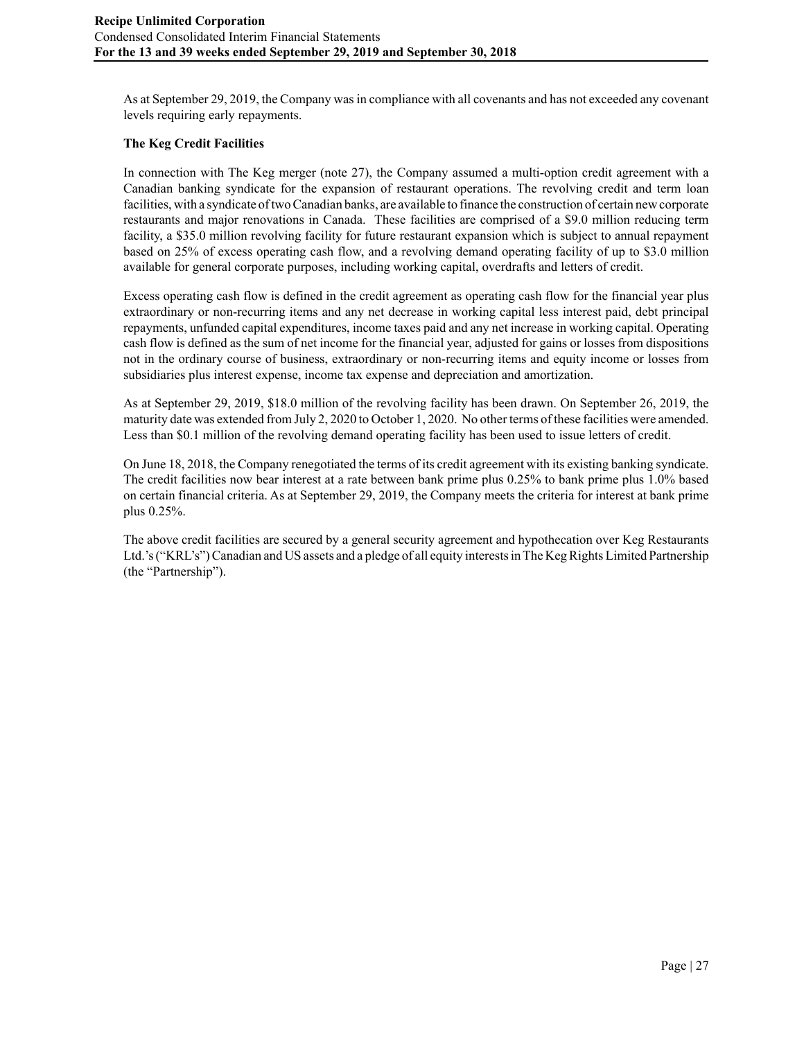As at September 29, 2019, the Company was in compliance with all covenants and has not exceeded any covenant levels requiring early repayments.

# **The Keg Credit Facilities**

In connection with The Keg merger (note 27), the Company assumed a multi-option credit agreement with a Canadian banking syndicate for the expansion of restaurant operations. The revolving credit and term loan facilities, with a syndicate of two Canadian banks, are available to finance the construction of certain new corporate restaurants and major renovations in Canada. These facilities are comprised of a \$9.0 million reducing term facility, a \$35.0 million revolving facility for future restaurant expansion which is subject to annual repayment based on 25% of excess operating cash flow, and a revolving demand operating facility of up to \$3.0 million available for general corporate purposes, including working capital, overdrafts and letters of credit.

Excess operating cash flow is defined in the credit agreement as operating cash flow for the financial year plus extraordinary or non-recurring items and any net decrease in working capital less interest paid, debt principal repayments, unfunded capital expenditures, income taxes paid and any net increase in working capital. Operating cash flow is defined as the sum of net income for the financial year, adjusted for gains or losses from dispositions not in the ordinary course of business, extraordinary or non-recurring items and equity income or losses from subsidiaries plus interest expense, income tax expense and depreciation and amortization.

As at September 29, 2019, \$18.0 million of the revolving facility has been drawn. On September 26, 2019, the maturity date was extended from July 2, 2020 to October 1, 2020. No other terms of these facilities were amended. Less than \$0.1 million of the revolving demand operating facility has been used to issue letters of credit.

On June 18, 2018, the Company renegotiated the terms of its credit agreement with its existing banking syndicate. The credit facilities now bear interest at a rate between bank prime plus 0.25% to bank prime plus 1.0% based on certain financial criteria. As at September 29, 2019, the Company meets the criteria for interest at bank prime plus 0.25%.

The above credit facilities are secured by a general security agreement and hypothecation over Keg Restaurants Ltd.'s ("KRL's") Canadian and US assets and a pledge of all equity interests in The Keg Rights Limited Partnership (the "Partnership").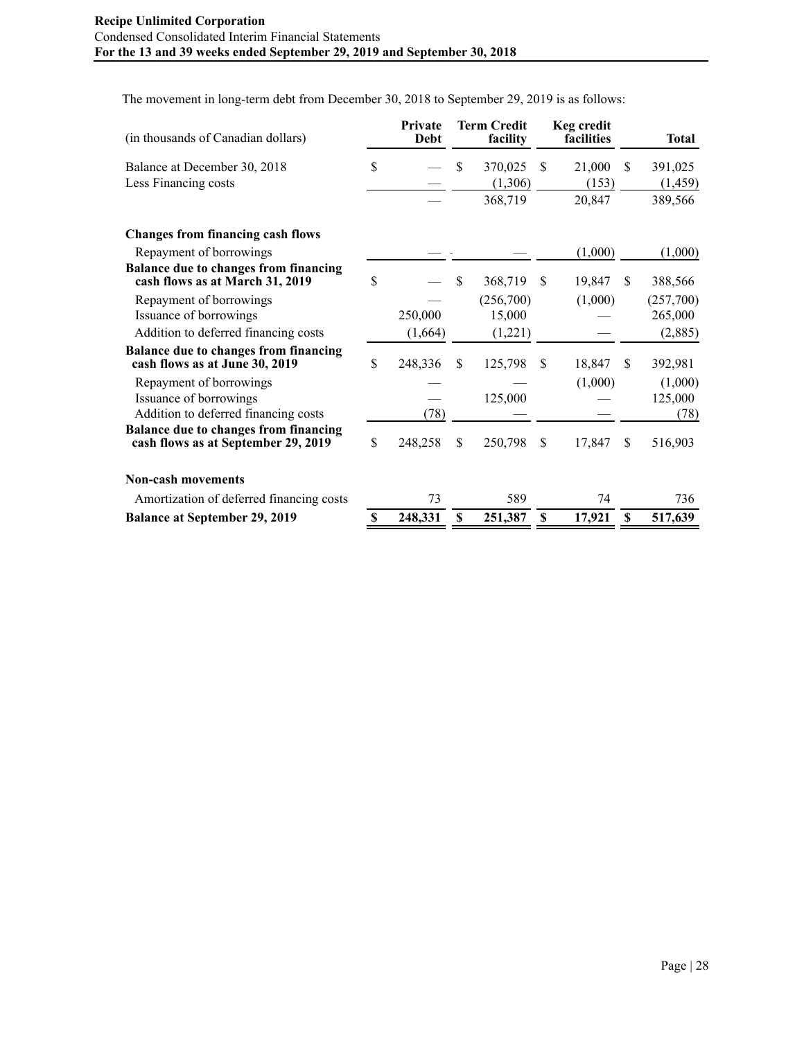The movement in long-term debt from December 30, 2018 to September 29, 2019 is as follows:

| (in thousands of Canadian dollars)                                             | Private<br>Debt | <b>Term Credit</b><br>facility |               | <b>Keg credit</b><br>facilities |    | Total     |
|--------------------------------------------------------------------------------|-----------------|--------------------------------|---------------|---------------------------------|----|-----------|
| Balance at December 30, 2018                                                   | \$              | \$<br>370,025                  | <sup>\$</sup> | 21,000                          | \$ | 391,025   |
| Less Financing costs                                                           |                 | (1,306)                        |               | (153)                           |    | (1, 459)  |
|                                                                                |                 | 368,719                        |               | 20,847                          |    | 389,566   |
| <b>Changes from financing cash flows</b>                                       |                 |                                |               |                                 |    |           |
| Repayment of borrowings                                                        |                 |                                |               | (1,000)                         |    | (1,000)   |
| Balance due to changes from financing<br>cash flows as at March 31, 2019       | \$              | \$<br>368,719                  | <sup>\$</sup> | 19,847                          | \$ | 388,566   |
| Repayment of borrowings                                                        |                 | (256,700)                      |               | (1,000)                         |    | (257,700) |
| Issuance of borrowings                                                         | 250,000         | 15,000                         |               |                                 |    | 265,000   |
| Addition to deferred financing costs                                           | (1,664)         | (1,221)                        |               |                                 |    | (2,885)   |
| <b>Balance due to changes from financing</b><br>cash flows as at June 30, 2019 | \$<br>248,336   | \$<br>125,798                  | <sup>\$</sup> | 18,847                          | \$ | 392,981   |
| Repayment of borrowings                                                        |                 |                                |               | (1,000)                         |    | (1,000)   |
| Issuance of borrowings                                                         |                 | 125,000                        |               |                                 |    | 125,000   |
| Addition to deferred financing costs                                           | (78)            |                                |               |                                 |    | (78)      |
| Balance due to changes from financing<br>cash flows as at September 29, 2019   | \$<br>248,258   | \$<br>250,798                  | <sup>\$</sup> | 17,847                          | S  | 516,903   |
| <b>Non-cash movements</b>                                                      |                 |                                |               |                                 |    |           |
| Amortization of deferred financing costs                                       | 73              | 589                            |               | 74                              |    | 736       |
| <b>Balance at September 29, 2019</b>                                           | \$<br>248,331   | \$<br>251,387                  | \$            | 17,921                          | \$ | 517,639   |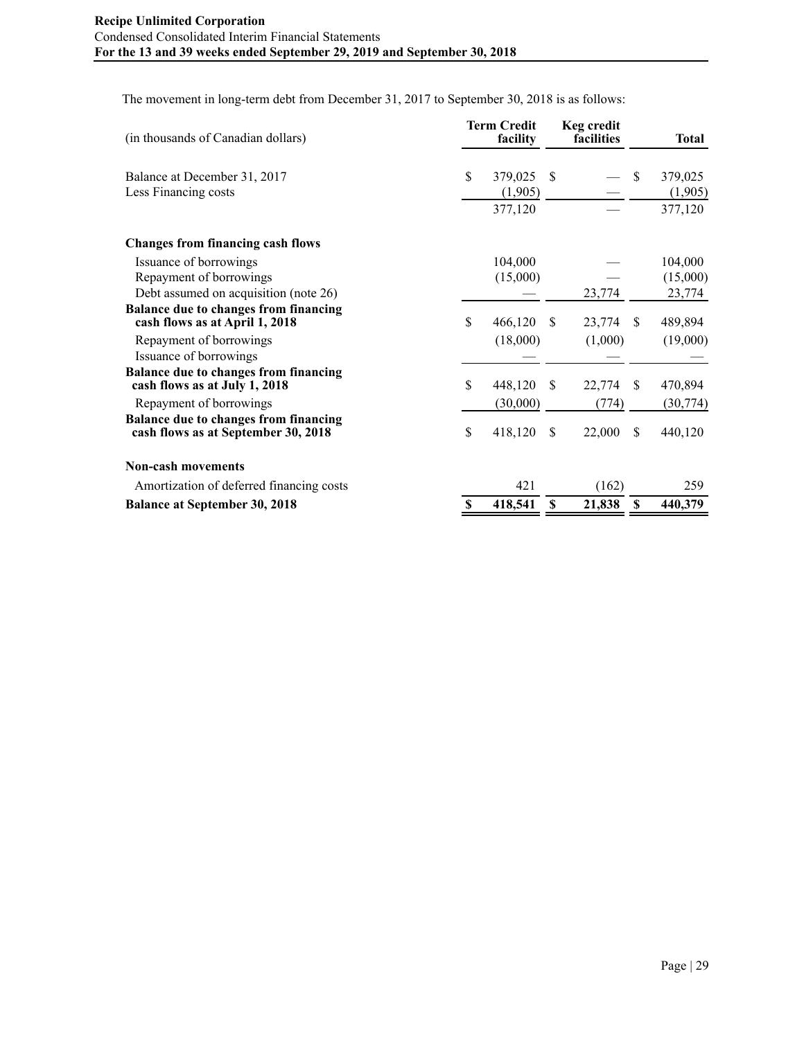The movement in long-term debt from December 31, 2017 to September 30, 2018 is as follows:

| (in thousands of Canadian dollars)                                            | <b>Term Credit</b><br>facility |          |               | <b>Keg credit</b><br>facilities |              | <b>Total</b> |
|-------------------------------------------------------------------------------|--------------------------------|----------|---------------|---------------------------------|--------------|--------------|
| Balance at December 31, 2017                                                  | \$                             | 379,025  | -S            |                                 | \$           | 379,025      |
| Less Financing costs                                                          |                                | (1,905)  |               |                                 |              | (1,905)      |
|                                                                               |                                | 377,120  |               |                                 |              | 377,120      |
| <b>Changes from financing cash flows</b>                                      |                                |          |               |                                 |              |              |
| Issuance of borrowings                                                        |                                | 104,000  |               |                                 |              | 104,000      |
| Repayment of borrowings                                                       |                                | (15,000) |               |                                 |              | (15,000)     |
| Debt assumed on acquisition (note 26)                                         |                                |          |               | 23,774                          |              | 23,774       |
| Balance due to changes from financing<br>cash flows as at April 1, 2018       | \$                             | 466,120  | <sup>\$</sup> | 23,774                          | <sup>S</sup> | 489,894      |
| Repayment of borrowings                                                       |                                | (18,000) |               | (1,000)                         |              | (19,000)     |
| Issuance of borrowings                                                        |                                |          |               |                                 |              |              |
| <b>Balance due to changes from financing</b><br>cash flows as at July 1, 2018 | \$                             | 448,120  | <sup>\$</sup> | 22,774                          | \$           | 470,894      |
| Repayment of borrowings                                                       |                                | (30,000) |               | (774)                           |              | (30, 774)    |
| Balance due to changes from financing<br>cash flows as at September 30, 2018  | \$                             | 418,120  | <sup>\$</sup> | 22,000                          | \$           | 440,120      |
| <b>Non-cash movements</b>                                                     |                                |          |               |                                 |              |              |
| Amortization of deferred financing costs                                      |                                | 421      |               | (162)                           |              | 259          |
| <b>Balance at September 30, 2018</b>                                          | \$                             | 418,541  | S             | 21,838                          | \$           | 440,379      |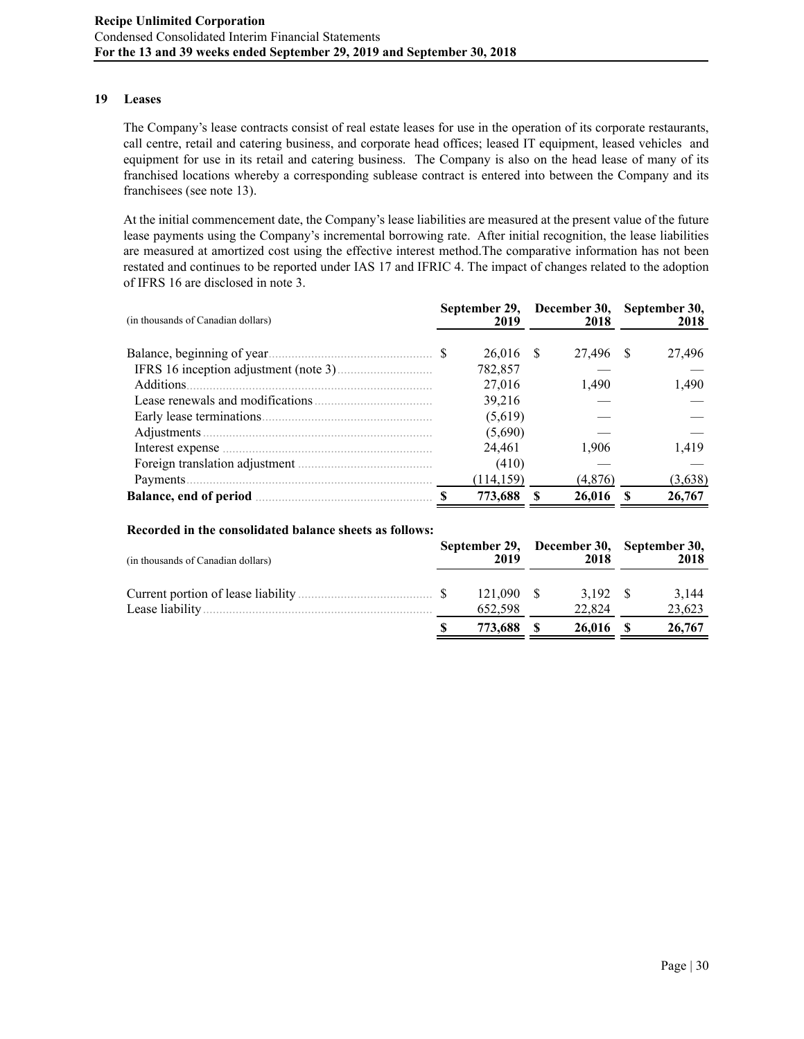#### **19 Leases**

The Company's lease contracts consist of real estate leases for use in the operation of its corporate restaurants, call centre, retail and catering business, and corporate head offices; leased IT equipment, leased vehicles and equipment for use in its retail and catering business. The Company is also on the head lease of many of its franchised locations whereby a corresponding sublease contract is entered into between the Company and its franchisees (see note 13).

At the initial commencement date, the Company's lease liabilities are measured at the present value of the future lease payments using the Company's incremental borrowing rate. After initial recognition, the lease liabilities are measured at amortized cost using the effective interest method.The comparative information has not been restated and continues to be reported under IAS 17 and IFRIC 4. The impact of changes related to the adoption of IFRS 16 are disclosed in note 3.

| (in thousands of Canadian dollars)        | September 29, December 30,<br>2019 | 2018      | September 30,<br>2018 |
|-------------------------------------------|------------------------------------|-----------|-----------------------|
|                                           | 26,016 \$                          | 27,496 \$ | 27,496                |
|                                           | 782,857                            |           |                       |
| Additions.                                | 27,016                             | 1,490     | 1,490                 |
|                                           | 39,216                             |           |                       |
|                                           | (5,619)                            |           |                       |
|                                           | (5,690)                            |           |                       |
|                                           | 24,461                             | 1,906     | 1,419                 |
|                                           | (410)                              |           |                       |
|                                           | (114, 159)                         | (4,876)   | (3,638)               |
| Balance, end of period <b>contained</b> S | 773,688                            | 26,016    | 26,767                |

#### **Recorded in the consolidated balance sheets as follows:**

| (in thousands of Canadian dollars) | 2019      | 2018     | September 29, December 30, September 30,<br>2018 |
|------------------------------------|-----------|----------|--------------------------------------------------|
|                                    | 121.090 S | 3.192 \$ | 3.144                                            |
|                                    | 652.598   | 22.824   | 23,623                                           |
|                                    | 773,688   | 26,016   | 26,767                                           |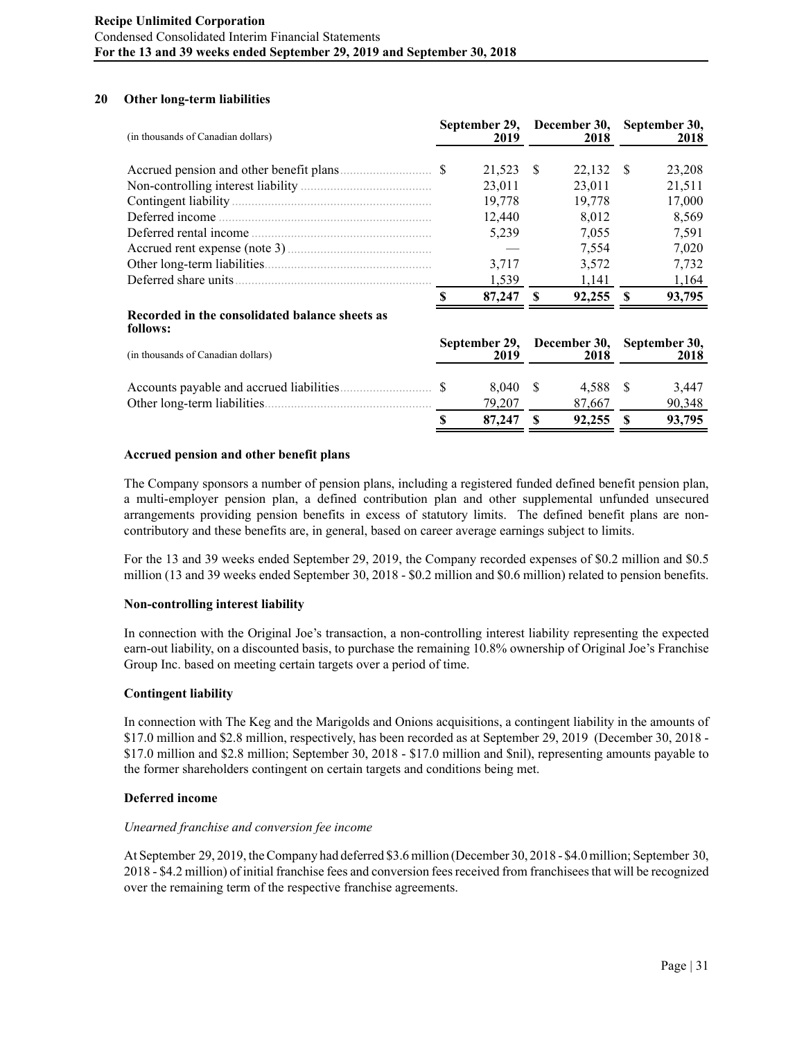# **20 Other long-term liabilities**

| (in thousands of Canadian dollars)                         |                       | September 29,<br>2019 |                      | December 30,<br>2018 |                       | September 30,<br>2018 |
|------------------------------------------------------------|-----------------------|-----------------------|----------------------|----------------------|-----------------------|-----------------------|
|                                                            |                       | 21,523                | <sup>S</sup>         | $22,132$ \$          |                       | 23,208                |
|                                                            |                       | 23,011                |                      | 23,011               |                       | 21,511                |
|                                                            |                       | 19,778                |                      | 19,778               |                       | 17,000                |
|                                                            |                       | 12,440                |                      | 8,012                |                       | 8,569                 |
|                                                            |                       | 5,239                 |                      | 7,055                |                       | 7.591                 |
|                                                            |                       |                       |                      | 7,554                |                       | 7,020                 |
|                                                            |                       | 3,717                 |                      | 3,572                |                       | 7,732                 |
|                                                            |                       | 1,539                 |                      | 1,141                |                       | 1,164                 |
|                                                            |                       | 87,247                | -S                   | $92,255$ \$          |                       | 93,795                |
| Recorded in the consolidated balance sheets as<br>follows: |                       |                       |                      |                      |                       |                       |
| (in thousands of Canadian dollars)                         | September 29,<br>2019 |                       | December 30,<br>2018 |                      | September 30,<br>2018 |                       |
|                                                            |                       | 8.040 \$              |                      | 4.588 \$             |                       | 3.447                 |

# **Accrued pension and other benefit plans**

The Company sponsors a number of pension plans, including a registered funded defined benefit pension plan, a multi-employer pension plan, a defined contribution plan and other supplemental unfunded unsecured arrangements providing pension benefits in excess of statutory limits. The defined benefit plans are noncontributory and these benefits are, in general, based on career average earnings subject to limits.

Other long-term liabilities................................................... 79,207 87,667 90,348

**\$ 87,247 \$ 92,255 \$ 93,795**

For the 13 and 39 weeks ended September 29, 2019, the Company recorded expenses of \$0.2 million and \$0.5 million (13 and 39 weeks ended September 30, 2018 - \$0.2 million and \$0.6 million) related to pension benefits.

#### **Non-controlling interest liability**

In connection with the Original Joe's transaction, a non-controlling interest liability representing the expected earn-out liability, on a discounted basis, to purchase the remaining 10.8% ownership of Original Joe's Franchise Group Inc. based on meeting certain targets over a period of time.

#### **Contingent liability**

In connection with The Keg and the Marigolds and Onions acquisitions, a contingent liability in the amounts of \$17.0 million and \$2.8 million, respectively, has been recorded as at September 29, 2019 (December 30, 2018 - \$17.0 million and \$2.8 million; September 30, 2018 - \$17.0 million and \$nil), representing amounts payable to the former shareholders contingent on certain targets and conditions being met.

#### **Deferred income**

#### *Unearned franchise and conversion fee income*

At September 29, 2019, the Company had deferred \$3.6 million (December 30, 2018 - \$4.0 million; September 30, 2018 - \$4.2 million) of initial franchise fees and conversion fees received from franchisees that will be recognized over the remaining term of the respective franchise agreements.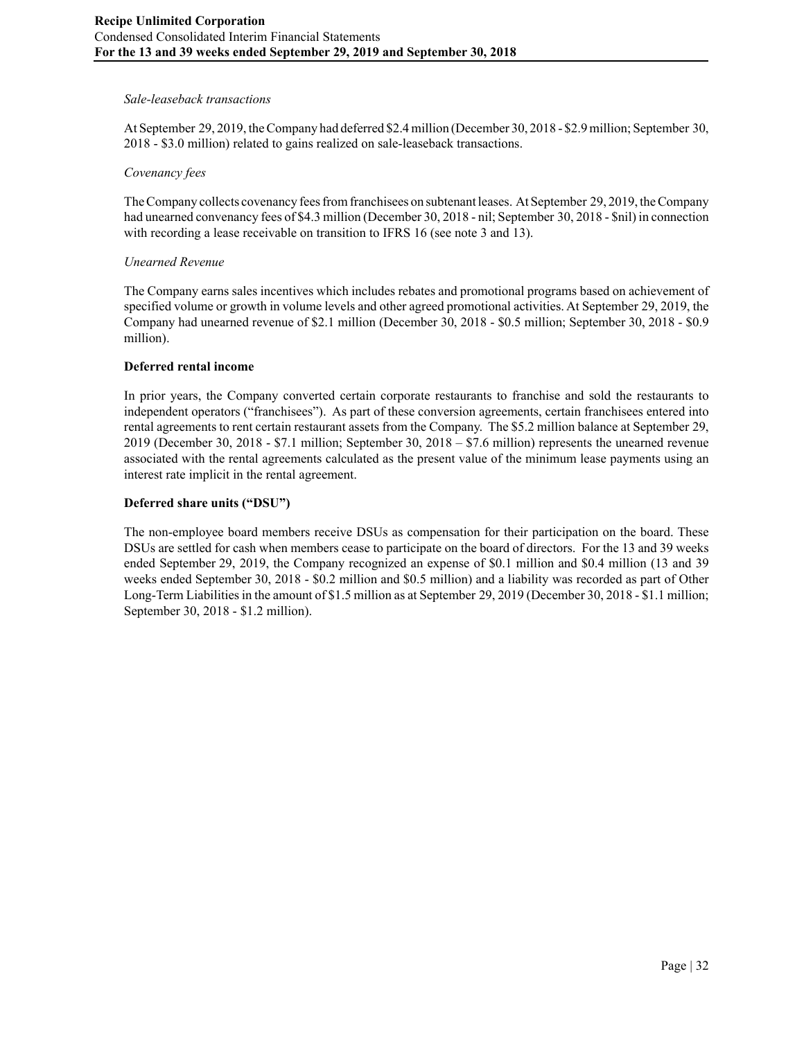# *Sale-leaseback transactions*

At September 29, 2019, the Company had deferred \$2.4 million (December 30, 2018 - \$2.9 million; September 30, 2018 - \$3.0 million) related to gains realized on sale-leaseback transactions.

#### *Covenancy fees*

The Company collects covenancy fees from franchisees on subtenant leases. At September 29, 2019, the Company had unearned convenancy fees of \$4.3 million (December 30, 2018 - nil; September 30, 2018 - \$nil) in connection with recording a lease receivable on transition to IFRS 16 (see note 3 and 13).

### *Unearned Revenue*

The Company earns sales incentives which includes rebates and promotional programs based on achievement of specified volume or growth in volume levels and other agreed promotional activities. At September 29, 2019, the Company had unearned revenue of \$2.1 million (December 30, 2018 - \$0.5 million; September 30, 2018 - \$0.9 million).

### **Deferred rental income**

In prior years, the Company converted certain corporate restaurants to franchise and sold the restaurants to independent operators ("franchisees"). As part of these conversion agreements, certain franchisees entered into rental agreements to rent certain restaurant assets from the Company. The \$5.2 million balance at September 29, 2019 (December 30, 2018 - \$7.1 million; September 30, 2018 – \$7.6 million) represents the unearned revenue associated with the rental agreements calculated as the present value of the minimum lease payments using an interest rate implicit in the rental agreement.

### **Deferred share units ("DSU")**

The non-employee board members receive DSUs as compensation for their participation on the board. These DSUs are settled for cash when members cease to participate on the board of directors. For the 13 and 39 weeks ended September 29, 2019, the Company recognized an expense of \$0.1 million and \$0.4 million (13 and 39 weeks ended September 30, 2018 - \$0.2 million and \$0.5 million) and a liability was recorded as part of Other Long-Term Liabilities in the amount of \$1.5 million as at September 29, 2019 (December 30, 2018 - \$1.1 million; September 30, 2018 - \$1.2 million).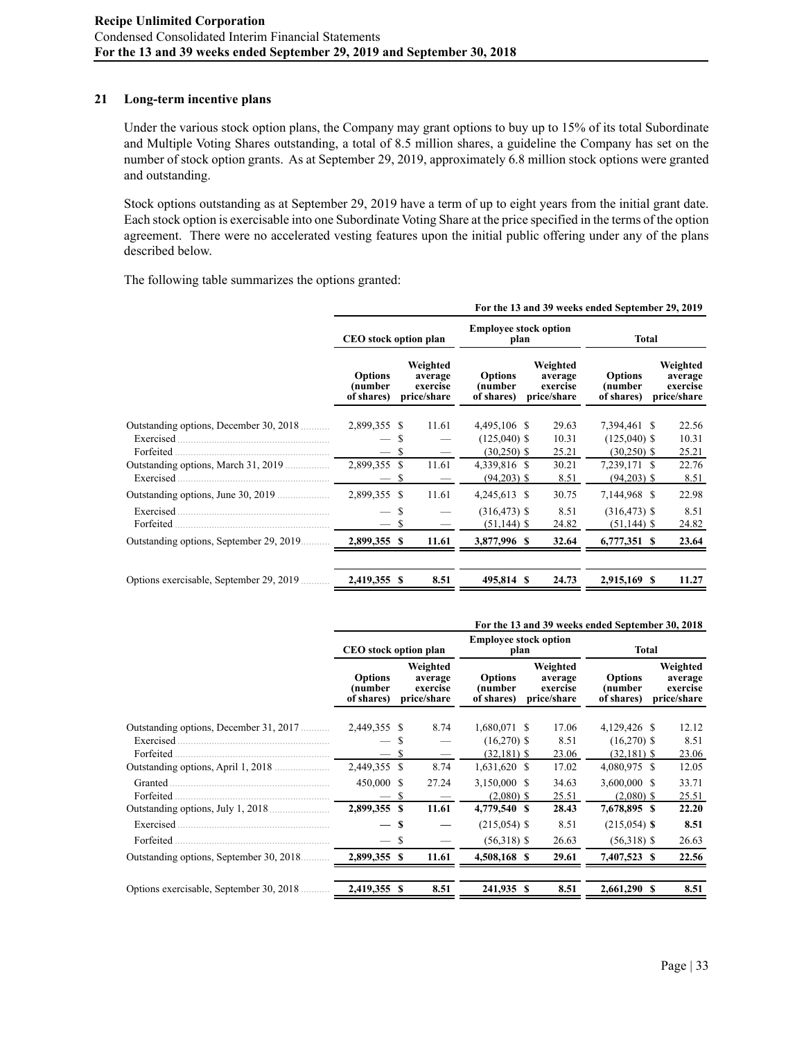#### **21 Long-term incentive plans**

Under the various stock option plans, the Company may grant options to buy up to 15% of its total Subordinate and Multiple Voting Shares outstanding, a total of 8.5 million shares, a guideline the Company has set on the number of stock option grants. As at September 29, 2019, approximately 6.8 million stock options were granted and outstanding.

Stock options outstanding as at September 29, 2019 have a term of up to eight years from the initial grant date. Each stock option is exercisable into one Subordinate Voting Share at the price specified in the terms of the option agreement. There were no accelerated vesting features upon the initial public offering under any of the plans described below.

The following table summarizes the options granted:

|                                                                  | For the 13 and 39 weeks ended September 29, 2019 |    |                                                |                                                 |                                                |                                                 |                                                |  |  |
|------------------------------------------------------------------|--------------------------------------------------|----|------------------------------------------------|-------------------------------------------------|------------------------------------------------|-------------------------------------------------|------------------------------------------------|--|--|
|                                                                  | CEO stock option plan                            |    |                                                | <b>Employee stock option</b><br>plan            |                                                | Total                                           |                                                |  |  |
|                                                                  | <b>Options</b><br>(number<br>of shares)          |    | Weighted<br>average<br>exercise<br>price/share | <b>Options</b><br>(number<br>of shares)         | Weighted<br>average<br>exercise<br>price/share | <b>Options</b><br>(number<br>of shares)         | Weighted<br>average<br>exercise<br>price/share |  |  |
| Outstanding options, December 30, 2018<br>Exercised<br>Forfeited | 2,899,355 \$<br>$-$ S<br>— \$                    |    | 11.61                                          | 4,495,106 \$<br>$(125,040)$ \$<br>$(30,250)$ \$ | 29.63<br>10.31<br>25.21                        | 7,394,461 \$<br>$(125,040)$ \$<br>$(30,250)$ \$ | 22.56<br>10.31<br>25.21                        |  |  |
| Outstanding options, March 31, 2019<br>Exercised                 | 2,899,355 \$<br>$-$ \$                           |    | 11.61                                          | 4,339,816 \$<br>$(94,203)$ \$                   | 30.21<br>8.51                                  | 7,239,171 \$<br>$(94,203)$ \$                   | 22.76<br>8.51                                  |  |  |
|                                                                  | 2,899,355 \$                                     |    | 11.61                                          | 4,245,613 \$                                    | 30.75                                          | 7,144,968 \$                                    | 22.98                                          |  |  |
| Exercised.<br>Forfeited                                          | $\overline{\phantom{m}}$<br>$-$ \$               | S  |                                                | $(316, 473)$ \$<br>$(51, 144)$ \$               | 8.51<br>24.82                                  | $(316, 473)$ \$<br>$(51, 144)$ \$               | 8.51<br>24.82                                  |  |  |
| Outstanding options, September 29, 2019                          | 2,899,355 \$                                     |    | 11.61                                          | 3,877,996 \$                                    | 32.64                                          | 6,777,351 \$                                    | 23.64                                          |  |  |
| Options exercisable, September 29, 2019                          | 2,419,355                                        | -S | 8.51                                           | 495,814 \$                                      | 24.73                                          | 2,915,169 \$                                    | 11.27                                          |  |  |

|                                          | For the 13 and 39 weeks ended September 30, 2018 |    |                                                |                                         |  |                                                |                                         |  |                                                |
|------------------------------------------|--------------------------------------------------|----|------------------------------------------------|-----------------------------------------|--|------------------------------------------------|-----------------------------------------|--|------------------------------------------------|
|                                          | <b>CEO</b> stock option plan                     |    |                                                | <b>Employee stock option</b><br>plan    |  |                                                | Total                                   |  |                                                |
|                                          | <b>Options</b><br>(number<br>of shares)          |    | Weighted<br>average<br>exercise<br>price/share | <b>Options</b><br>(number<br>of shares) |  | Weighted<br>average<br>exercise<br>price/share | <b>Options</b><br>(number<br>of shares) |  | Weighted<br>average<br>exercise<br>price/share |
| Outstanding options, December 31, 2017   | 2,449,355 \$                                     |    | 8.74                                           | 1,680,071 \$                            |  | 17.06                                          | 4,129,426 \$                            |  | 12.12                                          |
| Exercised.                               |                                                  |    |                                                | $(16,270)$ \$                           |  | 8.51                                           | $(16,270)$ \$                           |  | 8.51                                           |
| Forfeited                                | $-$ \$                                           |    |                                                | $(32,181)$ \$                           |  | 23.06                                          | $(32,181)$ \$                           |  | 23.06                                          |
| Outstanding options, April 1, 2018       | 2,449,355 \$                                     |    | 8.74                                           | $1,631,620$ \$                          |  | 17.02                                          | 4,080,975 \$                            |  | 12.05                                          |
| Granted                                  | 450,000 \$                                       |    | 27.24                                          | 3,150,000 \$                            |  | 34.63                                          | 3,600,000 \$                            |  | 33.71                                          |
| Forfeited                                | — S                                              |    |                                                | $(2,080)$ \$                            |  | 25.51                                          | $(2,080)$ \$                            |  | 25.51                                          |
| Outstanding options, July 1, 2018        | 2,899,355 \$                                     |    | 11.61                                          | 4,779,540 \$                            |  | 28.43                                          | 7,678,895 \$                            |  | 22.20                                          |
| Exercised                                |                                                  | -S |                                                | $(215,054)$ \$                          |  | 8.51                                           | $(215,054)$ \$                          |  | 8.51                                           |
| Forfeited                                |                                                  | S  |                                                | $(56,318)$ \$                           |  | 26.63                                          | $(56,318)$ \$                           |  | 26.63                                          |
| Outstanding options, September 30, 2018. | 2,899,355 \$                                     |    | 11.61                                          | 4,508,168 \$                            |  | 29.61                                          | 7,407,523 \$                            |  | 22.56                                          |
| Options exercisable, September 30, 2018  | 2,419,355 \$                                     |    | 8.51                                           | 241,935 \$                              |  | 8.51                                           | 2,661,290 \$                            |  | 8.51                                           |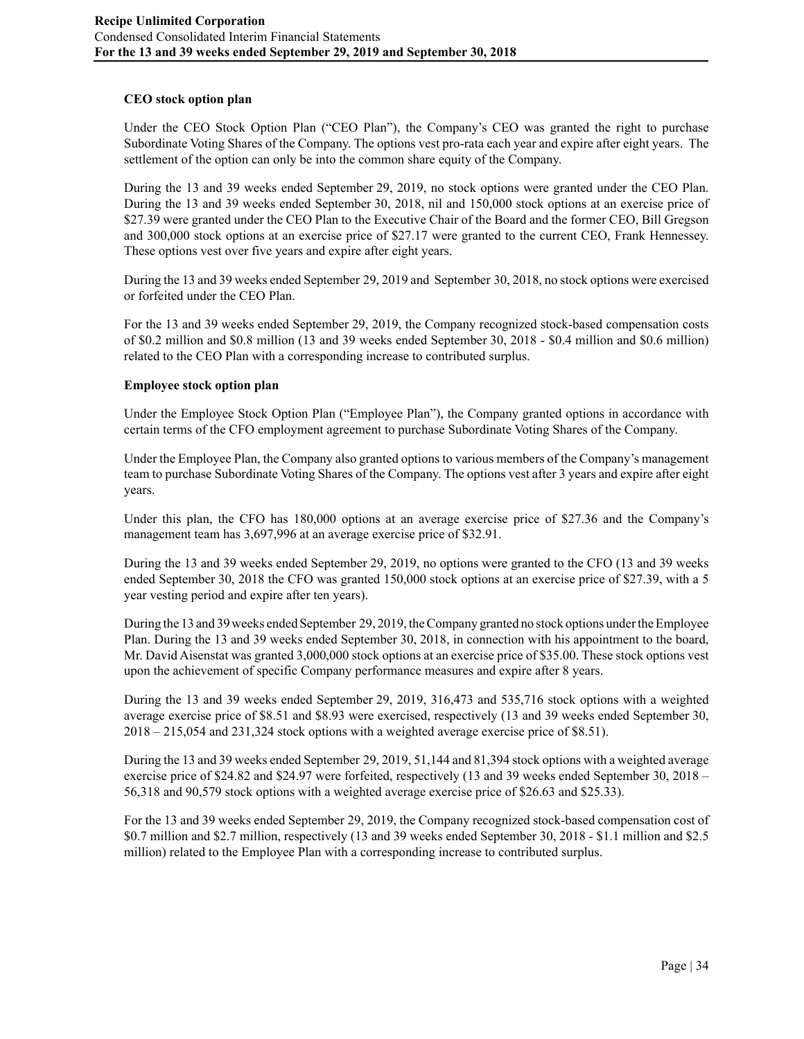# **CEO stock option plan**

Under the CEO Stock Option Plan ("CEO Plan"), the Company's CEO was granted the right to purchase Subordinate Voting Shares of the Company. The options vest pro-rata each year and expire after eight years. The settlement of the option can only be into the common share equity of the Company.

During the 13 and 39 weeks ended September 29, 2019, no stock options were granted under the CEO Plan. During the 13 and 39 weeks ended September 30, 2018, nil and 150,000 stock options at an exercise price of \$27.39 were granted under the CEO Plan to the Executive Chair of the Board and the former CEO, Bill Gregson and 300,000 stock options at an exercise price of \$27.17 were granted to the current CEO, Frank Hennessey. These options vest over five years and expire after eight years.

During the 13 and 39 weeks ended September 29, 2019 and September 30, 2018, no stock options were exercised or forfeited under the CEO Plan.

For the 13 and 39 weeks ended September 29, 2019, the Company recognized stock-based compensation costs of \$0.2 million and \$0.8 million (13 and 39 weeks ended September 30, 2018 - \$0.4 million and \$0.6 million) related to the CEO Plan with a corresponding increase to contributed surplus.

### **Employee stock option plan**

Under the Employee Stock Option Plan ("Employee Plan"), the Company granted options in accordance with certain terms of the CFO employment agreement to purchase Subordinate Voting Shares of the Company.

Under the Employee Plan, the Company also granted options to various members of the Company's management team to purchase Subordinate Voting Shares of the Company. The options vest after 3 years and expire after eight years.

Under this plan, the CFO has 180,000 options at an average exercise price of \$27.36 and the Company's management team has 3,697,996 at an average exercise price of \$32.91.

During the 13 and 39 weeks ended September 29, 2019, no options were granted to the CFO (13 and 39 weeks ended September 30, 2018 the CFO was granted 150,000 stock options at an exercise price of \$27.39, with a 5 year vesting period and expire after ten years).

During the 13 and 39 weeks ended September 29, 2019, the Company granted no stock options under the Employee Plan. During the 13 and 39 weeks ended September 30, 2018, in connection with his appointment to the board, Mr. David Aisenstat was granted 3,000,000 stock options at an exercise price of \$35.00. These stock options vest upon the achievement of specific Company performance measures and expire after 8 years.

During the 13 and 39 weeks ended September 29, 2019, 316,473 and 535,716 stock options with a weighted average exercise price of \$8.51 and \$8.93 were exercised, respectively (13 and 39 weeks ended September 30, 2018 – 215,054 and 231,324 stock options with a weighted average exercise price of \$8.51).

During the 13 and 39 weeks ended September 29, 2019, 51,144 and 81,394 stock options with a weighted average exercise price of \$24.82 and \$24.97 were forfeited, respectively (13 and 39 weeks ended September 30, 2018 – 56,318 and 90,579 stock options with a weighted average exercise price of \$26.63 and \$25.33).

For the 13 and 39 weeks ended September 29, 2019, the Company recognized stock-based compensation cost of \$0.7 million and \$2.7 million, respectively (13 and 39 weeks ended September 30, 2018 - \$1.1 million and \$2.5 million) related to the Employee Plan with a corresponding increase to contributed surplus.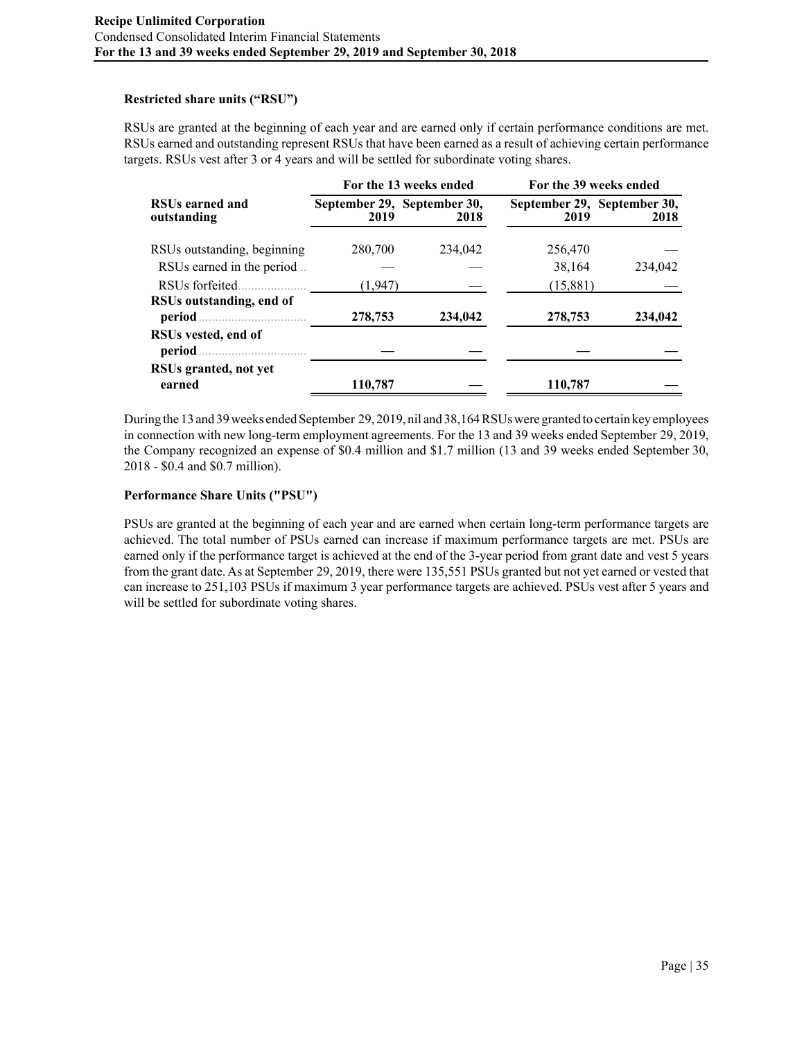# **Restricted share units ("RSU")**

RSUs are granted at the beginning of each year and are earned only if certain performance conditions are met. RSUs earned and outstanding represent RSUs that have been earned as a result of achieving certain performance targets. RSUs vest after 3 or 4 years and will be settled for subordinate voting shares.

|                                       |         | For the 13 weeks ended              |                                     | For the 39 weeks ended |  |  |  |  |
|---------------------------------------|---------|-------------------------------------|-------------------------------------|------------------------|--|--|--|--|
| <b>RSUs earned and</b><br>outstanding | 2019    | September 29, September 30,<br>2018 | September 29, September 30,<br>2019 | 2018                   |  |  |  |  |
| RSUs outstanding, beginning           | 280,700 | 234,042                             | 256,470                             |                        |  |  |  |  |
| RSUs earned in the period             |         |                                     | 38,164                              | 234,042                |  |  |  |  |
| RSUs forfeited                        | (1,947) |                                     | (15,881)                            |                        |  |  |  |  |
| RSUs outstanding, end of<br>period    | 278,753 | 234,042                             | 278,753                             | 234,042                |  |  |  |  |
| RSUs vested, end of<br>period         |         |                                     |                                     |                        |  |  |  |  |
| RSUs granted, not yet<br>earned       | 110,787 |                                     | 110,787                             |                        |  |  |  |  |

During the 13 and 39 weeks ended September 29, 2019, nil and 38,164 RSUs were granted to certain key employees in connection with new long-term employment agreements. For the 13 and 39 weeks ended September 29, 2019, the Company recognized an expense of \$0.4 million and \$1.7 million (13 and 39 weeks ended September 30, 2018 - \$0.4 and \$0.7 million).

# **Performance Share Units ("PSU")**

PSUs are granted at the beginning of each year and are earned when certain long-term performance targets are achieved. The total number of PSUs earned can increase if maximum performance targets are met. PSUs are earned only if the performance target is achieved at the end of the 3-year period from grant date and vest 5 years from the grant date. As at September 29, 2019, there were 135,551 PSUs granted but not yet earned or vested that can increase to 251,103 PSUs if maximum 3 year performance targets are achieved. PSUs vest after 5 years and will be settled for subordinate voting shares.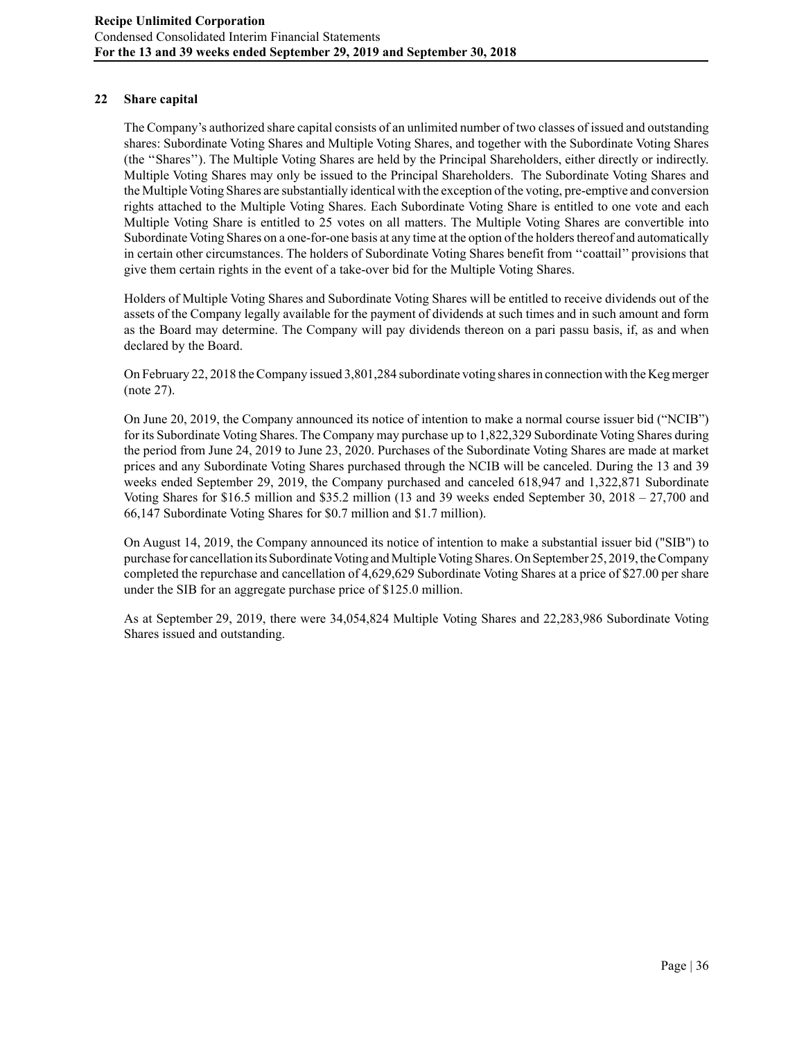# **22 Share capital**

The Company's authorized share capital consists of an unlimited number of two classes of issued and outstanding shares: Subordinate Voting Shares and Multiple Voting Shares, and together with the Subordinate Voting Shares (the ''Shares''). The Multiple Voting Shares are held by the Principal Shareholders, either directly or indirectly. Multiple Voting Shares may only be issued to the Principal Shareholders. The Subordinate Voting Shares and the Multiple Voting Shares are substantially identical with the exception of the voting, pre-emptive and conversion rights attached to the Multiple Voting Shares. Each Subordinate Voting Share is entitled to one vote and each Multiple Voting Share is entitled to 25 votes on all matters. The Multiple Voting Shares are convertible into Subordinate Voting Shares on a one-for-one basis at any time at the option of the holders thereof and automatically in certain other circumstances. The holders of Subordinate Voting Shares benefit from ''coattail'' provisions that give them certain rights in the event of a take-over bid for the Multiple Voting Shares.

Holders of Multiple Voting Shares and Subordinate Voting Shares will be entitled to receive dividends out of the assets of the Company legally available for the payment of dividends at such times and in such amount and form as the Board may determine. The Company will pay dividends thereon on a pari passu basis, if, as and when declared by the Board.

On February 22, 2018 the Company issued 3,801,284 subordinate voting shares in connection with the Keg merger (note 27).

On June 20, 2019, the Company announced its notice of intention to make a normal course issuer bid ("NCIB") for its Subordinate Voting Shares. The Company may purchase up to 1,822,329 Subordinate Voting Shares during the period from June 24, 2019 to June 23, 2020. Purchases of the Subordinate Voting Shares are made at market prices and any Subordinate Voting Shares purchased through the NCIB will be canceled. During the 13 and 39 weeks ended September 29, 2019, the Company purchased and canceled 618,947 and 1,322,871 Subordinate Voting Shares for \$16.5 million and \$35.2 million (13 and 39 weeks ended September 30, 2018 – 27,700 and 66,147 Subordinate Voting Shares for \$0.7 million and \$1.7 million).

On August 14, 2019, the Company announced its notice of intention to make a substantial issuer bid ("SIB") to purchase for cancellation its Subordinate Voting and Multiple Voting Shares. On September 25, 2019, the Company completed the repurchase and cancellation of 4,629,629 Subordinate Voting Shares at a price of \$27.00 per share under the SIB for an aggregate purchase price of \$125.0 million.

As at September 29, 2019, there were 34,054,824 Multiple Voting Shares and 22,283,986 Subordinate Voting Shares issued and outstanding.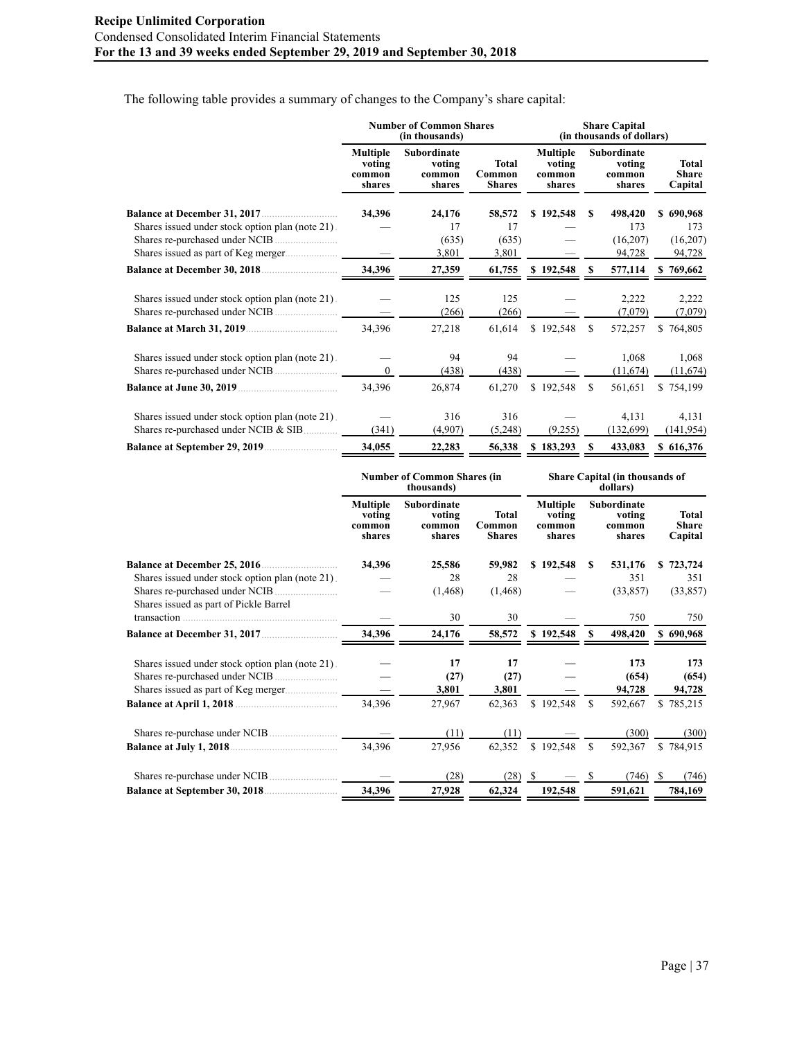The following table provides a summary of changes to the Company's share capital:

|                                                                                          |                                               | <b>Number of Common Shares</b><br>(in thousands) | <b>Share Capital</b><br>(in thousands of dollars) |                                               |               |                                                  |  |                                         |  |
|------------------------------------------------------------------------------------------|-----------------------------------------------|--------------------------------------------------|---------------------------------------------------|-----------------------------------------------|---------------|--------------------------------------------------|--|-----------------------------------------|--|
|                                                                                          | <b>Multiple</b><br>voting<br>common<br>shares | <b>Subordinate</b><br>voting<br>common<br>shares | Total<br>Common<br><b>Shares</b>                  | <b>Multiple</b><br>voting<br>common<br>shares |               | <b>Subordinate</b><br>voting<br>common<br>shares |  | <b>Total</b><br><b>Share</b><br>Capital |  |
|                                                                                          | 34,396                                        | 24,176                                           | 58,572                                            | \$192,548                                     | \$.           | 498,420                                          |  | \$690,968                               |  |
| Shares issued under stock option plan (note 21).                                         |                                               | 17                                               | 17                                                |                                               |               | 173                                              |  | 173                                     |  |
|                                                                                          |                                               | (635)                                            | (635)                                             |                                               |               | (16,207)                                         |  | (16,207)                                |  |
|                                                                                          |                                               | 3,801                                            | 3,801                                             |                                               |               | 94,728                                           |  | 94,728                                  |  |
| <b>Balance at December 30, 2018</b>                                                      | 34,396                                        | 27,359                                           | 61,755                                            | \$192,548                                     | \$.           | 577,114                                          |  | \$769,662                               |  |
| Shares issued under stock option plan (note 21).                                         |                                               | 125<br>(266)                                     | 125<br>(266)                                      |                                               |               | 2,222<br>(7,079)                                 |  | 2,222<br>(7,079)                        |  |
| <b>Balance at March 31, 2019</b>                                                         | 34,396                                        | 27,218                                           | 61,614                                            | \$192,548                                     | <sup>\$</sup> | 572,257                                          |  | \$764,805                               |  |
| Shares issued under stock option plan (note 21).                                         | $\theta$                                      | 94<br>(438)                                      | 94<br>(438)                                       |                                               |               | 1,068<br>(11,674)                                |  | 1,068<br>(11,674)                       |  |
|                                                                                          | 34,396                                        | 26,874                                           | 61,270                                            | \$192,548                                     | <sup>\$</sup> | 561,651                                          |  | \$754,199                               |  |
| Shares issued under stock option plan (note 21).<br>Shares re-purchased under NCIB & SIB | (341)                                         | 316<br>(4,907)                                   | 316<br>(5,248)                                    | (9,255)                                       |               | 4,131<br>(132,699)                               |  | 4,131<br>(141, 954)                     |  |
|                                                                                          | 34,055                                        | 22,283                                           | 56,338                                            | \$183,293                                     | S             | 433,083                                          |  | \$616,376                               |  |

|                                                  |                                               | <b>Number of Common Shares (in</b><br>thousands) |                                  | Share Capital (in thousands of<br>dollars)    |               |                                           |     |                                  |  |  |  |
|--------------------------------------------------|-----------------------------------------------|--------------------------------------------------|----------------------------------|-----------------------------------------------|---------------|-------------------------------------------|-----|----------------------------------|--|--|--|
|                                                  | <b>Multiple</b><br>voting<br>common<br>shares | Subordinate<br>voting<br>common<br>shares        | Total<br>Common<br><b>Shares</b> | <b>Multiple</b><br>voting<br>common<br>shares |               | Subordinate<br>voting<br>common<br>shares |     | Total<br><b>Share</b><br>Capital |  |  |  |
|                                                  | 34,396                                        | 25,586                                           | 59,982                           | \$192,548                                     | S             | 531,176                                   |     | \$723,724                        |  |  |  |
| Shares issued under stock option plan (note 21). |                                               | 28                                               | 28                               |                                               |               | 351                                       |     | 351                              |  |  |  |
|                                                  |                                               | (1, 468)                                         | (1, 468)                         |                                               |               | (33, 857)                                 |     | (33, 857)                        |  |  |  |
| Shares issued as part of Pickle Barrel           |                                               |                                                  |                                  |                                               |               |                                           |     |                                  |  |  |  |
|                                                  |                                               | 30                                               | 30                               |                                               |               | 750                                       |     | 750                              |  |  |  |
|                                                  | 34,396                                        | 24,176                                           | 58,572                           | \$192,548                                     |               | 498,420                                   |     | \$690,968                        |  |  |  |
| Shares issued under stock option plan (note 21). |                                               | 17                                               | 17                               |                                               |               | 173                                       |     | 173                              |  |  |  |
|                                                  |                                               | (27)                                             | (27)                             |                                               |               | (654)                                     |     | (654)                            |  |  |  |
| Shares issued as part of Keg merger              |                                               | 3,801                                            | 3,801                            |                                               |               | 94,728                                    |     | 94,728                           |  |  |  |
|                                                  | 34,396                                        | 27,967                                           | 62,363                           | \$192,548                                     | <sup>\$</sup> | 592,667                                   |     | \$785,215                        |  |  |  |
|                                                  |                                               | (11)                                             | (11)                             |                                               |               | (300)                                     |     | (300)                            |  |  |  |
|                                                  | 34,396                                        | 27,956                                           | 62,352                           | \$192,548                                     | <sup>\$</sup> | 592,367                                   |     | \$784,915                        |  |  |  |
|                                                  |                                               | (28)                                             | (28)                             | - \$                                          |               | (746)                                     | - S | (746)                            |  |  |  |
|                                                  | 34,396                                        | 27,928                                           | 62,324                           | 192,548                                       |               | 591,621                                   |     | 784,169                          |  |  |  |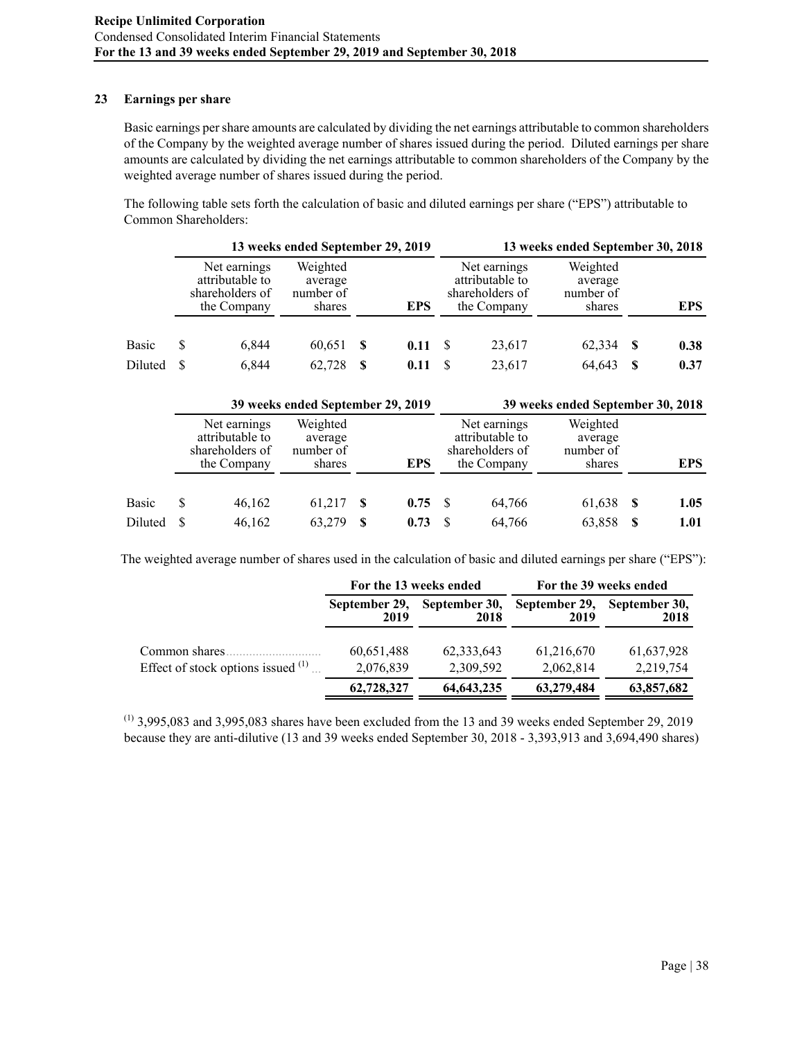### **23 Earnings per share**

Basic earnings per share amounts are calculated by dividing the net earnings attributable to common shareholders of the Company by the weighted average number of shares issued during the period. Diluted earnings per share amounts are calculated by dividing the net earnings attributable to common shareholders of the Company by the weighted average number of shares issued during the period.

The following table sets forth the calculation of basic and diluted earnings per share ("EPS") attributable to Common Shareholders:

|         |                                                                   | 13 weeks ended September 29, 2019          |    |            |  | 13 weeks ended September 30, 2018                                 |                                            |    |            |
|---------|-------------------------------------------------------------------|--------------------------------------------|----|------------|--|-------------------------------------------------------------------|--------------------------------------------|----|------------|
|         | Net earnings<br>attributable to<br>shareholders of<br>the Company | Weighted<br>average<br>number of<br>shares |    | <b>EPS</b> |  | Net earnings<br>attributable to<br>shareholders of<br>the Company | Weighted<br>average<br>number of<br>shares |    | <b>EPS</b> |
| Basic   | 6.844                                                             | 60,651                                     | -S | 0.11       |  | 23,617                                                            | 62,334                                     | -S | 0.38       |
| Diluted | 6,844                                                             | 62.728                                     | S. | 0.11       |  | 23,617                                                            | 64,643                                     | -S | 0.37       |

|         | 39 weeks ended September 29, 2019 |                                                                   |                                            |    |      | 39 weeks ended September 30, 2018 |                                                                   |                                            |    |            |  |  |
|---------|-----------------------------------|-------------------------------------------------------------------|--------------------------------------------|----|------|-----------------------------------|-------------------------------------------------------------------|--------------------------------------------|----|------------|--|--|
|         |                                   | Net earnings<br>attributable to<br>shareholders of<br>the Company | Weighted<br>average<br>number of<br>shares |    | EPS  |                                   | Net earnings<br>attributable to<br>shareholders of<br>the Company | Weighted<br>average<br>number of<br>shares |    | <b>EPS</b> |  |  |
| Basic   |                                   | 46,162                                                            | 61.217                                     | -S | 0.75 | - S                               | 64,766                                                            | 61,638                                     | -S | 1.05       |  |  |
| Diluted |                                   | 46,162                                                            | 63,279                                     | S  | 0.73 |                                   | 64,766                                                            | 63,858                                     | S  | 1.01       |  |  |

The weighted average number of shares used in the calculation of basic and diluted earnings per share ("EPS"):

|                                      |                       | For the 13 weeks ended | For the 39 weeks ended |                       |  |  |  |  |
|--------------------------------------|-----------------------|------------------------|------------------------|-----------------------|--|--|--|--|
|                                      | September 29,<br>2019 | September 30,<br>2018  | September 29,<br>2019  | September 30,<br>2018 |  |  |  |  |
| Common shares.                       | 60,651,488            | 62, 333, 643           | 61,216,670             | 61,637,928            |  |  |  |  |
| Effect of stock options issued $(1)$ | 2,076,839             | 2,309,592              | 2,062,814              | 2,219,754             |  |  |  |  |
|                                      | 62,728,327            | 64, 643, 235           | 63,279,484             | 63,857,682            |  |  |  |  |

 $(1)$  3,995,083 and 3,995,083 shares have been excluded from the 13 and 39 weeks ended September 29, 2019 because they are anti-dilutive (13 and 39 weeks ended September 30, 2018 - 3,393,913 and 3,694,490 shares)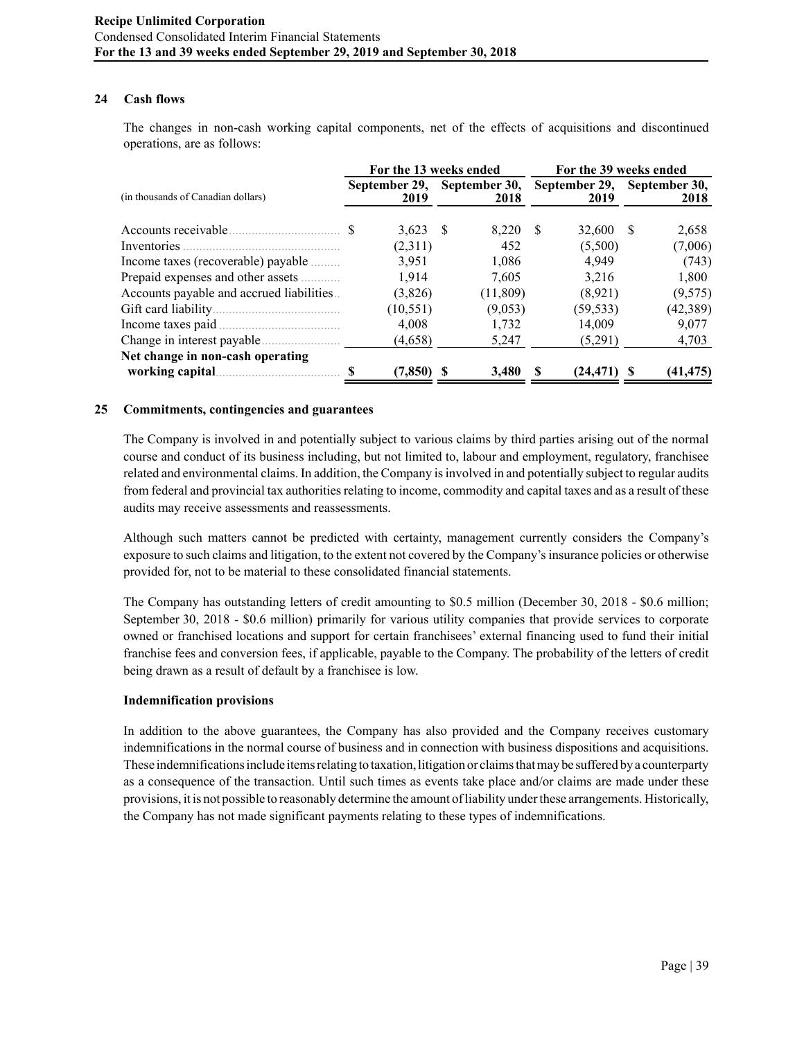# **24 Cash flows**

The changes in non-cash working capital components, net of the effects of acquisitions and discontinued operations, are as follows:

|                                          |  | For the 13 weeks ended |  |                       | For the 39 weeks ended |                       |                       |           |
|------------------------------------------|--|------------------------|--|-----------------------|------------------------|-----------------------|-----------------------|-----------|
| (in thousands of Canadian dollars)       |  | September 29,<br>2019  |  | September 30,<br>2018 |                        | September 29,<br>2019 | September 30,<br>2018 |           |
|                                          |  | $3,623$ \$             |  | 8,220                 | -S                     | 32,600                | -S                    | 2,658     |
|                                          |  | (2,311)                |  | 452                   |                        | (5,500)               |                       | (7,006)   |
| Income taxes (recoverable) payable       |  | 3,951                  |  | 1,086                 |                        | 4,949                 |                       | (743)     |
| Prepaid expenses and other assets        |  | 1,914                  |  | 7.605                 |                        | 3,216                 |                       | 1,800     |
| Accounts payable and accrued liabilities |  | (3,826)                |  | (11, 809)             |                        | (8.921)               |                       | (9,575)   |
|                                          |  | (10, 551)              |  | (9,053)               |                        | (59, 533)             |                       | (42, 389) |
|                                          |  | 4,008                  |  | 1,732                 |                        | 14,009                |                       | 9,077     |
|                                          |  | (4,658)                |  | 5,247                 |                        | (5,291)               |                       | 4,703     |
| Net change in non-cash operating         |  |                        |  |                       |                        |                       |                       |           |
| working capital                          |  | (7, 850)               |  | 3,480                 |                        | (24, 471)             |                       | (41,475)  |

### **25 Commitments, contingencies and guarantees**

The Company is involved in and potentially subject to various claims by third parties arising out of the normal course and conduct of its business including, but not limited to, labour and employment, regulatory, franchisee related and environmental claims. In addition, the Company is involved in and potentially subject to regular audits from federal and provincial tax authorities relating to income, commodity and capital taxes and as a result of these audits may receive assessments and reassessments.

Although such matters cannot be predicted with certainty, management currently considers the Company's exposure to such claims and litigation, to the extent not covered by the Company's insurance policies or otherwise provided for, not to be material to these consolidated financial statements.

The Company has outstanding letters of credit amounting to \$0.5 million (December 30, 2018 - \$0.6 million; September 30, 2018 - \$0.6 million) primarily for various utility companies that provide services to corporate owned or franchised locations and support for certain franchisees' external financing used to fund their initial franchise fees and conversion fees, if applicable, payable to the Company. The probability of the letters of credit being drawn as a result of default by a franchisee is low.

# **Indemnification provisions**

In addition to the above guarantees, the Company has also provided and the Company receives customary indemnifications in the normal course of business and in connection with business dispositions and acquisitions. These indemnifications include items relating to taxation, litigation or claims that may be suffered by a counterparty as a consequence of the transaction. Until such times as events take place and/or claims are made under these provisions, it is not possible to reasonably determine the amount of liability under these arrangements. Historically, the Company has not made significant payments relating to these types of indemnifications.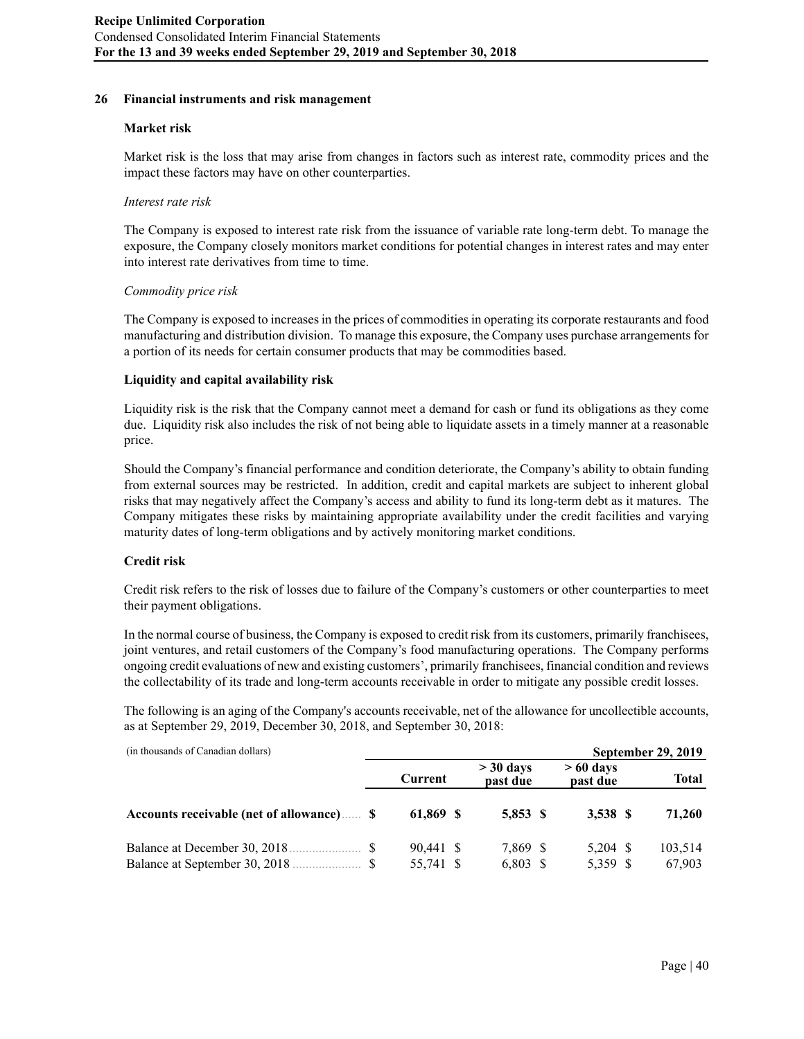#### **26 Financial instruments and risk management**

#### **Market risk**

Market risk is the loss that may arise from changes in factors such as interest rate, commodity prices and the impact these factors may have on other counterparties.

#### *Interest rate risk*

The Company is exposed to interest rate risk from the issuance of variable rate long-term debt. To manage the exposure, the Company closely monitors market conditions for potential changes in interest rates and may enter into interest rate derivatives from time to time.

### *Commodity price risk*

The Company is exposed to increases in the prices of commodities in operating its corporate restaurants and food manufacturing and distribution division. To manage this exposure, the Company uses purchase arrangements for a portion of its needs for certain consumer products that may be commodities based.

# **Liquidity and capital availability risk**

Liquidity risk is the risk that the Company cannot meet a demand for cash or fund its obligations as they come due. Liquidity risk also includes the risk of not being able to liquidate assets in a timely manner at a reasonable price.

Should the Company's financial performance and condition deteriorate, the Company's ability to obtain funding from external sources may be restricted. In addition, credit and capital markets are subject to inherent global risks that may negatively affect the Company's access and ability to fund its long-term debt as it matures. The Company mitigates these risks by maintaining appropriate availability under the credit facilities and varying maturity dates of long-term obligations and by actively monitoring market conditions.

# **Credit risk**

Credit risk refers to the risk of losses due to failure of the Company's customers or other counterparties to meet their payment obligations.

In the normal course of business, the Company is exposed to credit risk from its customers, primarily franchisees, joint ventures, and retail customers of the Company's food manufacturing operations. The Company performs ongoing credit evaluations of new and existing customers', primarily franchisees, financial condition and reviews the collectability of its trade and long-term accounts receivable in order to mitigate any possible credit losses.

The following is an aging of the Company's accounts receivable, net of the allowance for uncollectible accounts, as at September 29, 2019, December 30, 2018, and September 30, 2018:

| (in thousands of Canadian dollars)        |     |                        |                         |                        | September 29, 2019 |
|-------------------------------------------|-----|------------------------|-------------------------|------------------------|--------------------|
|                                           |     | Current                | $>$ 30 days<br>past due | $>60$ days<br>past due | <b>Total</b>       |
| Accounts receivable (net of allowance)  S |     | 61,869 \$              | 5.853 \$                | 3,538 S                | 71,260             |
| Balance at December 30, 2018.             | -SS | 90,441 \$<br>55,741 \$ | 7,869 \$<br>$6,803$ \$  | $5,204$ \$<br>5,359 \$ | 103,514<br>67,903  |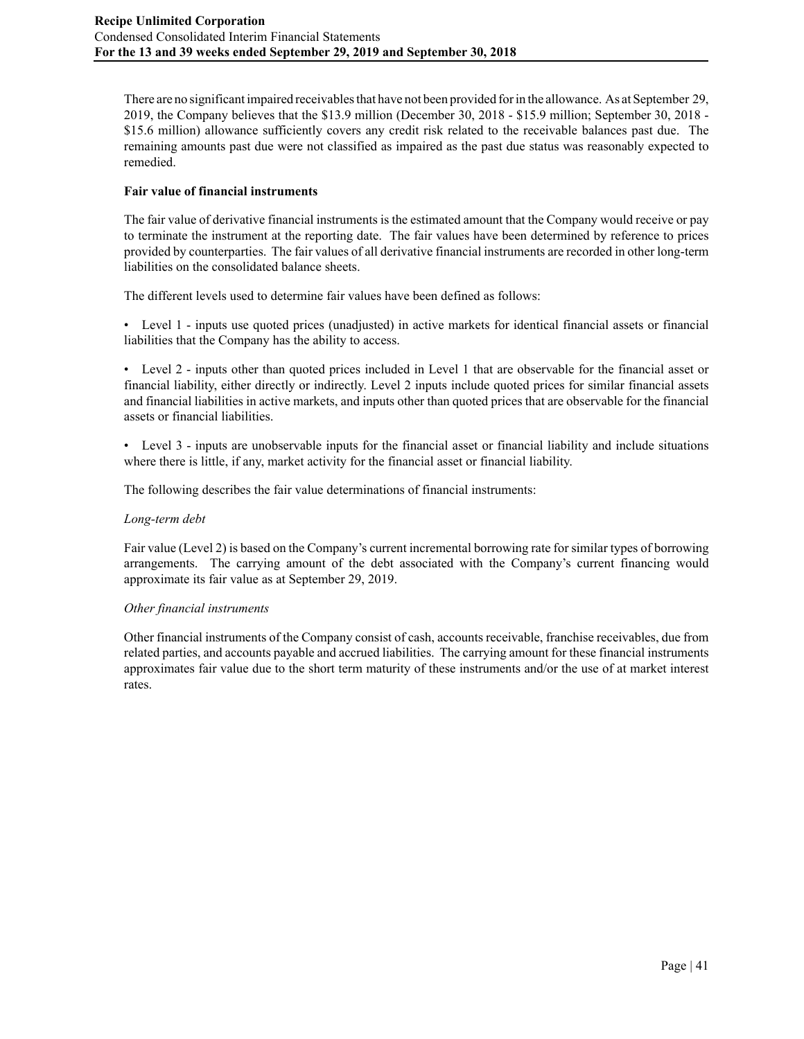There are no significant impaired receivables that have not been provided for in the allowance. As at September 29, 2019, the Company believes that the \$13.9 million (December 30, 2018 - \$15.9 million; September 30, 2018 - \$15.6 million) allowance sufficiently covers any credit risk related to the receivable balances past due. The remaining amounts past due were not classified as impaired as the past due status was reasonably expected to remedied.

# **Fair value of financial instruments**

The fair value of derivative financial instruments is the estimated amount that the Company would receive or pay to terminate the instrument at the reporting date. The fair values have been determined by reference to prices provided by counterparties. The fair values of all derivative financial instruments are recorded in other long-term liabilities on the consolidated balance sheets.

The different levels used to determine fair values have been defined as follows:

• Level 1 - inputs use quoted prices (unadjusted) in active markets for identical financial assets or financial liabilities that the Company has the ability to access.

• Level 2 - inputs other than quoted prices included in Level 1 that are observable for the financial asset or financial liability, either directly or indirectly. Level 2 inputs include quoted prices for similar financial assets and financial liabilities in active markets, and inputs other than quoted prices that are observable for the financial assets or financial liabilities.

• Level 3 - inputs are unobservable inputs for the financial asset or financial liability and include situations where there is little, if any, market activity for the financial asset or financial liability.

The following describes the fair value determinations of financial instruments:

# *Long-term debt*

Fair value (Level 2) is based on the Company's current incremental borrowing rate for similar types of borrowing arrangements. The carrying amount of the debt associated with the Company's current financing would approximate its fair value as at September 29, 2019.

# *Other financial instruments*

Other financial instruments of the Company consist of cash, accounts receivable, franchise receivables, due from related parties, and accounts payable and accrued liabilities. The carrying amount for these financial instruments approximates fair value due to the short term maturity of these instruments and/or the use of at market interest rates.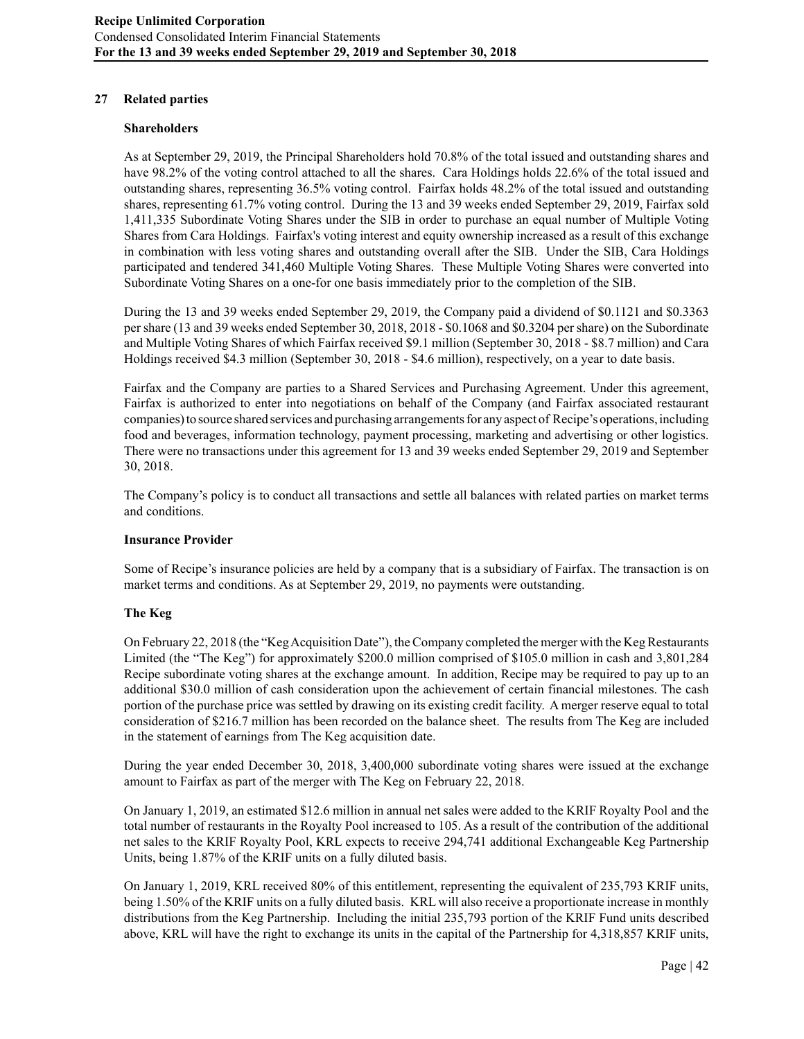### **27 Related parties**

#### **Shareholders**

As at September 29, 2019, the Principal Shareholders hold 70.8% of the total issued and outstanding shares and have 98.2% of the voting control attached to all the shares. Cara Holdings holds 22.6% of the total issued and outstanding shares, representing 36.5% voting control. Fairfax holds 48.2% of the total issued and outstanding shares, representing 61.7% voting control. During the 13 and 39 weeks ended September 29, 2019, Fairfax sold 1,411,335 Subordinate Voting Shares under the SIB in order to purchase an equal number of Multiple Voting Shares from Cara Holdings. Fairfax's voting interest and equity ownership increased as a result of this exchange in combination with less voting shares and outstanding overall after the SIB. Under the SIB, Cara Holdings participated and tendered 341,460 Multiple Voting Shares. These Multiple Voting Shares were converted into Subordinate Voting Shares on a one-for one basis immediately prior to the completion of the SIB.

During the 13 and 39 weeks ended September 29, 2019, the Company paid a dividend of \$0.1121 and \$0.3363 per share (13 and 39 weeks ended September 30, 2018, 2018 - \$0.1068 and \$0.3204 per share) on the Subordinate and Multiple Voting Shares of which Fairfax received \$9.1 million (September 30, 2018 - \$8.7 million) and Cara Holdings received \$4.3 million (September 30, 2018 - \$4.6 million), respectively, on a year to date basis.

Fairfax and the Company are parties to a Shared Services and Purchasing Agreement. Under this agreement, Fairfax is authorized to enter into negotiations on behalf of the Company (and Fairfax associated restaurant companies) to source shared services and purchasing arrangements for any aspect of Recipe's operations, including food and beverages, information technology, payment processing, marketing and advertising or other logistics. There were no transactions under this agreement for 13 and 39 weeks ended September 29, 2019 and September 30, 2018.

The Company's policy is to conduct all transactions and settle all balances with related parties on market terms and conditions.

#### **Insurance Provider**

Some of Recipe's insurance policies are held by a company that is a subsidiary of Fairfax. The transaction is on market terms and conditions. As at September 29, 2019, no payments were outstanding.

# **The Keg**

On February 22, 2018 (the "Keg Acquisition Date"), the Company completed the merger with the Keg Restaurants Limited (the "The Keg") for approximately \$200.0 million comprised of \$105.0 million in cash and 3,801,284 Recipe subordinate voting shares at the exchange amount. In addition, Recipe may be required to pay up to an additional \$30.0 million of cash consideration upon the achievement of certain financial milestones. The cash portion of the purchase price was settled by drawing on its existing credit facility. A merger reserve equal to total consideration of \$216.7 million has been recorded on the balance sheet. The results from The Keg are included in the statement of earnings from The Keg acquisition date.

During the year ended December 30, 2018, 3,400,000 subordinate voting shares were issued at the exchange amount to Fairfax as part of the merger with The Keg on February 22, 2018.

On January 1, 2019, an estimated \$12.6 million in annual net sales were added to the KRIF Royalty Pool and the total number of restaurants in the Royalty Pool increased to 105. As a result of the contribution of the additional net sales to the KRIF Royalty Pool, KRL expects to receive 294,741 additional Exchangeable Keg Partnership Units, being 1.87% of the KRIF units on a fully diluted basis.

On January 1, 2019, KRL received 80% of this entitlement, representing the equivalent of 235,793 KRIF units, being 1.50% of the KRIF units on a fully diluted basis. KRL will also receive a proportionate increase in monthly distributions from the Keg Partnership. Including the initial 235,793 portion of the KRIF Fund units described above, KRL will have the right to exchange its units in the capital of the Partnership for 4,318,857 KRIF units,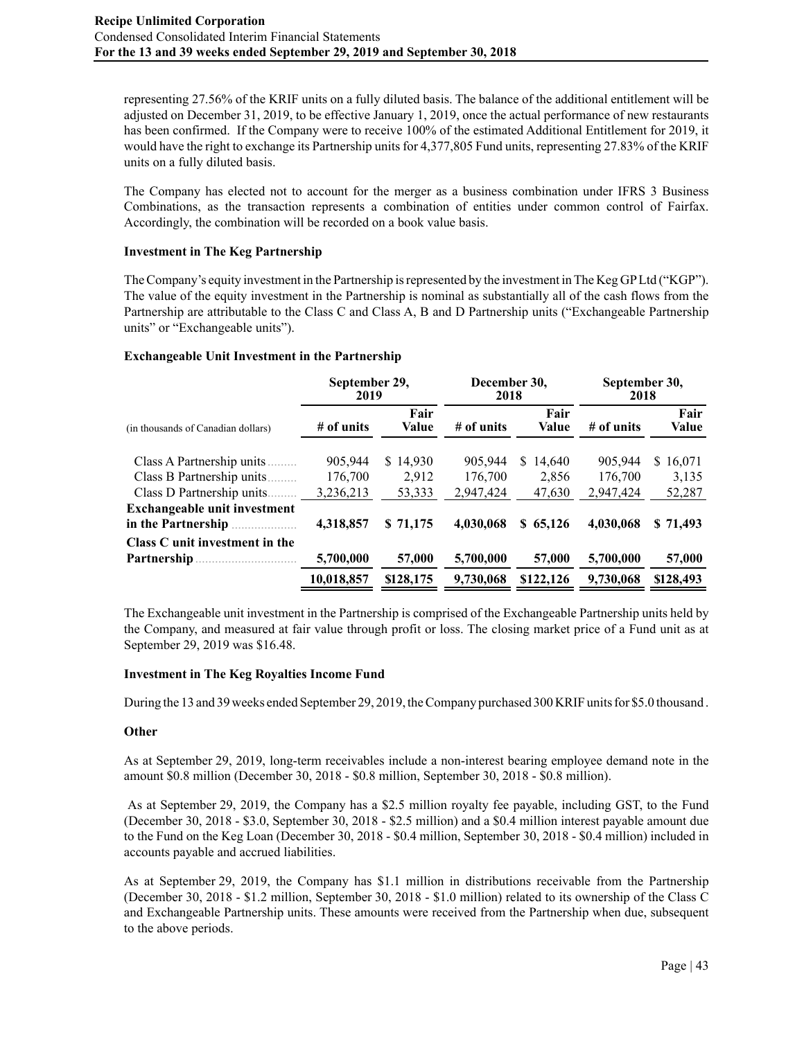representing 27.56% of the KRIF units on a fully diluted basis. The balance of the additional entitlement will be adjusted on December 31, 2019, to be effective January 1, 2019, once the actual performance of new restaurants has been confirmed. If the Company were to receive 100% of the estimated Additional Entitlement for 2019, it would have the right to exchange its Partnership units for 4,377,805 Fund units, representing 27.83% of the KRIF units on a fully diluted basis.

The Company has elected not to account for the merger as a business combination under IFRS 3 Business Combinations, as the transaction represents a combination of entities under common control of Fairfax. Accordingly, the combination will be recorded on a book value basis.

# **Investment in The Keg Partnership**

The Company's equity investment in the Partnership is represented by the investment in The Keg GP Ltd ("KGP"). The value of the equity investment in the Partnership is nominal as substantially all of the cash flows from the Partnership are attributable to the Class C and Class A, B and D Partnership units ("Exchangeable Partnership units" or "Exchangeable units").

# **Exchangeable Unit Investment in the Partnership**

|                                                    | September 29,<br>2019 |               | December 30,<br>2018 |               | September 30,<br>2018 |               |  |
|----------------------------------------------------|-----------------------|---------------|----------------------|---------------|-----------------------|---------------|--|
| (in thousands of Canadian dollars)                 | # of units            | Fair<br>Value | # of units           | Fair<br>Value | $#$ of units          | Fair<br>Value |  |
| Class A Partnership units.                         | 905,944               | \$14.930      | 905.944              | 14.640<br>S.  | 905,944               | 16,071<br>S.  |  |
| Class B Partnership units                          | 176,700               | 2.912         | 176,700              | 2,856         | 176,700               | 3,135         |  |
| Class D Partnership units.                         | 3,236,213             | 53,333        | 2,947,424            | 47,630        | 2,947,424             | 52,287        |  |
| Exchangeable unit investment<br>in the Partnership | 4,318,857             | \$71,175      | 4,030,068            | \$65,126      | 4,030,068             | \$71,493      |  |
| Class C unit investment in the                     |                       |               |                      |               |                       |               |  |
| Partnership                                        | 5,700,000             | 57,000        | 5,700,000            | 57,000        | 5,700,000             | 57,000        |  |
|                                                    | 10.018.857            | \$128,175     | 9,730,068            | \$122,126     | 9,730,068             | \$128,493     |  |

The Exchangeable unit investment in the Partnership is comprised of the Exchangeable Partnership units held by the Company, and measured at fair value through profit or loss. The closing market price of a Fund unit as at September 29, 2019 was \$16.48.

# **Investment in The Keg Royalties Income Fund**

During the 13 and 39 weeks ended September 29, 2019, the Company purchased 300 KRIF units for \$5.0 thousand .

# **Other**

As at September 29, 2019, long-term receivables include a non-interest bearing employee demand note in the amount \$0.8 million (December 30, 2018 - \$0.8 million, September 30, 2018 - \$0.8 million).

 As at September 29, 2019, the Company has a \$2.5 million royalty fee payable, including GST, to the Fund (December 30, 2018 - \$3.0, September 30, 2018 - \$2.5 million) and a \$0.4 million interest payable amount due to the Fund on the Keg Loan (December 30, 2018 - \$0.4 million, September 30, 2018 - \$0.4 million) included in accounts payable and accrued liabilities.

As at September 29, 2019, the Company has \$1.1 million in distributions receivable from the Partnership (December 30, 2018 - \$1.2 million, September 30, 2018 - \$1.0 million) related to its ownership of the Class C and Exchangeable Partnership units. These amounts were received from the Partnership when due, subsequent to the above periods.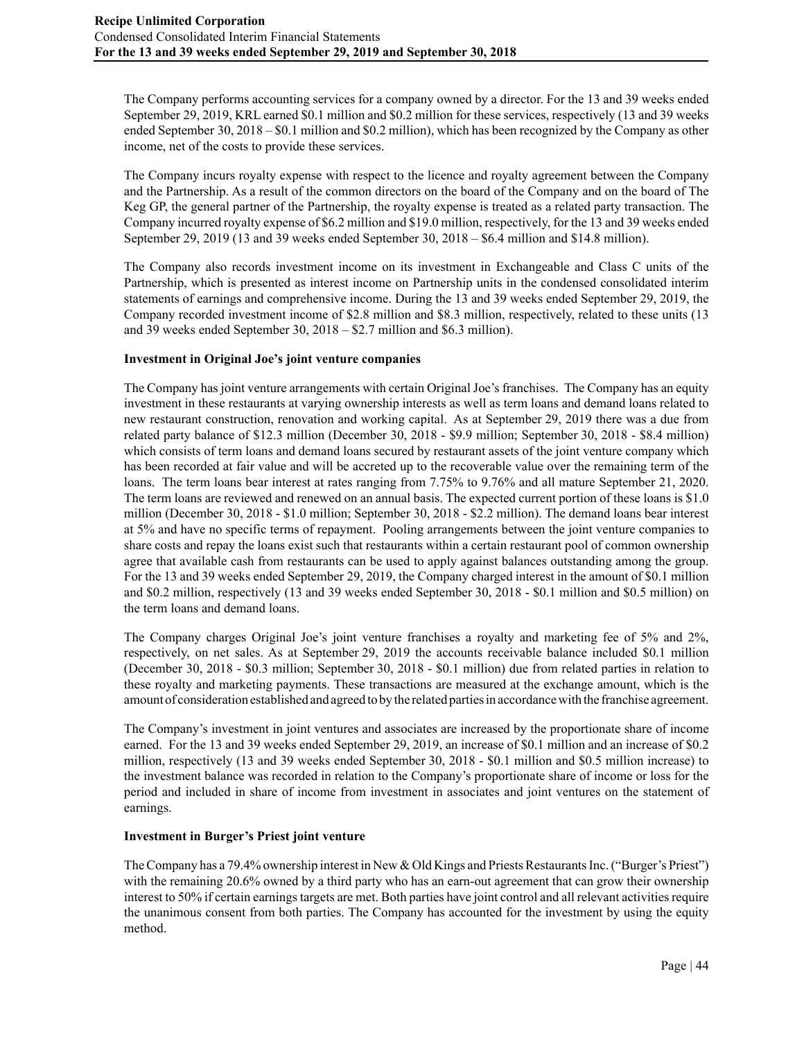The Company performs accounting services for a company owned by a director. For the 13 and 39 weeks ended September 29, 2019, KRL earned \$0.1 million and \$0.2 million for these services, respectively (13 and 39 weeks ended September 30, 2018 – \$0.1 million and \$0.2 million), which has been recognized by the Company as other income, net of the costs to provide these services.

The Company incurs royalty expense with respect to the licence and royalty agreement between the Company and the Partnership. As a result of the common directors on the board of the Company and on the board of The Keg GP, the general partner of the Partnership, the royalty expense is treated as a related party transaction. The Company incurred royalty expense of \$6.2 million and \$19.0 million, respectively, for the 13 and 39 weeks ended September 29, 2019 (13 and 39 weeks ended September 30, 2018 – \$6.4 million and \$14.8 million).

The Company also records investment income on its investment in Exchangeable and Class C units of the Partnership, which is presented as interest income on Partnership units in the condensed consolidated interim statements of earnings and comprehensive income. During the 13 and 39 weeks ended September 29, 2019, the Company recorded investment income of \$2.8 million and \$8.3 million, respectively, related to these units (13 and 39 weeks ended September 30, 2018 – \$2.7 million and \$6.3 million).

### **Investment in Original Joe's joint venture companies**

The Company has joint venture arrangements with certain Original Joe's franchises. The Company has an equity investment in these restaurants at varying ownership interests as well as term loans and demand loans related to new restaurant construction, renovation and working capital. As at September 29, 2019 there was a due from related party balance of \$12.3 million (December 30, 2018 - \$9.9 million; September 30, 2018 - \$8.4 million) which consists of term loans and demand loans secured by restaurant assets of the joint venture company which has been recorded at fair value and will be accreted up to the recoverable value over the remaining term of the loans. The term loans bear interest at rates ranging from 7.75% to 9.76% and all mature September 21, 2020. The term loans are reviewed and renewed on an annual basis. The expected current portion of these loans is \$1.0 million (December 30, 2018 - \$1.0 million; September 30, 2018 - \$2.2 million). The demand loans bear interest at 5% and have no specific terms of repayment. Pooling arrangements between the joint venture companies to share costs and repay the loans exist such that restaurants within a certain restaurant pool of common ownership agree that available cash from restaurants can be used to apply against balances outstanding among the group. For the 13 and 39 weeks ended September 29, 2019, the Company charged interest in the amount of \$0.1 million and \$0.2 million, respectively (13 and 39 weeks ended September 30, 2018 - \$0.1 million and \$0.5 million) on the term loans and demand loans.

The Company charges Original Joe's joint venture franchises a royalty and marketing fee of 5% and 2%, respectively, on net sales. As at September 29, 2019 the accounts receivable balance included \$0.1 million (December 30, 2018 - \$0.3 million; September 30, 2018 - \$0.1 million) due from related parties in relation to these royalty and marketing payments. These transactions are measured at the exchange amount, which is the amount of consideration established and agreed to by the related parties in accordance with the franchise agreement.

The Company's investment in joint ventures and associates are increased by the proportionate share of income earned. For the 13 and 39 weeks ended September 29, 2019, an increase of \$0.1 million and an increase of \$0.2 million, respectively (13 and 39 weeks ended September 30, 2018 - \$0.1 million and \$0.5 million increase) to the investment balance was recorded in relation to the Company's proportionate share of income or loss for the period and included in share of income from investment in associates and joint ventures on the statement of earnings.

#### **Investment in Burger's Priest joint venture**

The Company has a 79.4% ownership interest in New & Old Kings and Priests Restaurants Inc. ("Burger's Priest") with the remaining 20.6% owned by a third party who has an earn-out agreement that can grow their ownership interest to 50% if certain earnings targets are met. Both parties have joint control and all relevant activities require the unanimous consent from both parties. The Company has accounted for the investment by using the equity method.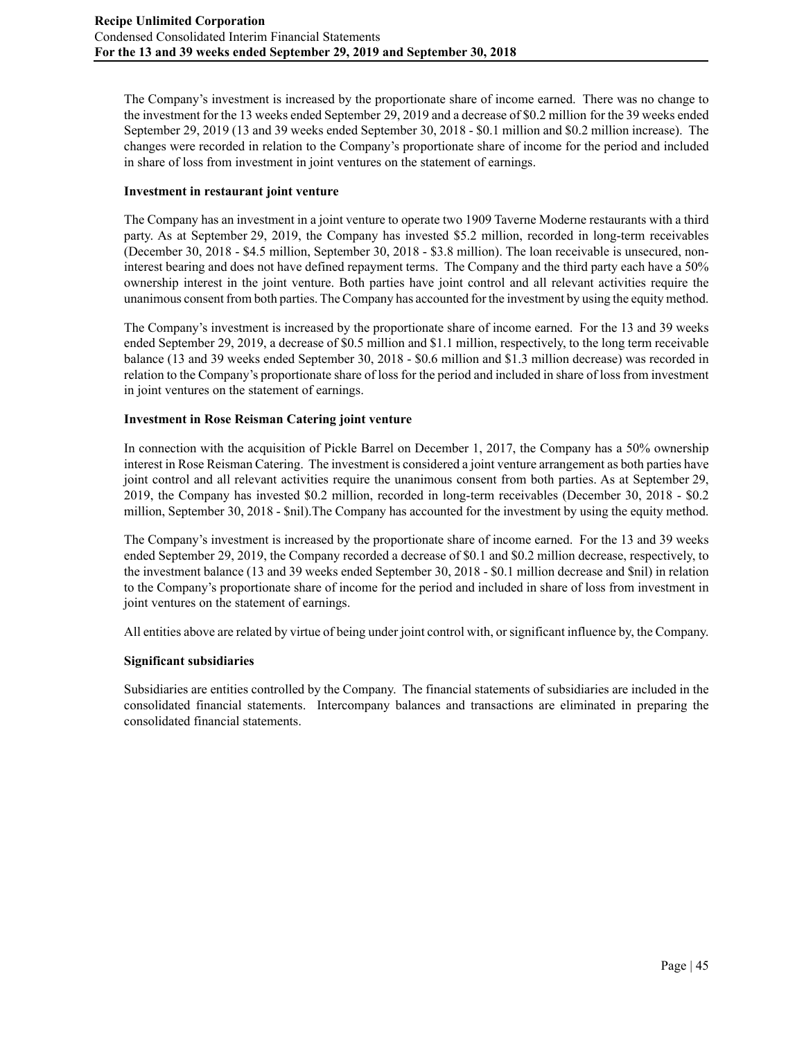The Company's investment is increased by the proportionate share of income earned. There was no change to the investment for the 13 weeks ended September 29, 2019 and a decrease of \$0.2 million for the 39 weeks ended September 29, 2019 (13 and 39 weeks ended September 30, 2018 - \$0.1 million and \$0.2 million increase). The changes were recorded in relation to the Company's proportionate share of income for the period and included in share of loss from investment in joint ventures on the statement of earnings.

# **Investment in restaurant joint venture**

The Company has an investment in a joint venture to operate two 1909 Taverne Moderne restaurants with a third party. As at September 29, 2019, the Company has invested \$5.2 million, recorded in long-term receivables (December 30, 2018 - \$4.5 million, September 30, 2018 - \$3.8 million). The loan receivable is unsecured, noninterest bearing and does not have defined repayment terms. The Company and the third party each have a 50% ownership interest in the joint venture. Both parties have joint control and all relevant activities require the unanimous consent from both parties. The Company has accounted for the investment by using the equity method.

The Company's investment is increased by the proportionate share of income earned. For the 13 and 39 weeks ended September 29, 2019, a decrease of \$0.5 million and \$1.1 million, respectively, to the long term receivable balance (13 and 39 weeks ended September 30, 2018 - \$0.6 million and \$1.3 million decrease) was recorded in relation to the Company's proportionate share of loss for the period and included in share of loss from investment in joint ventures on the statement of earnings.

### **Investment in Rose Reisman Catering joint venture**

In connection with the acquisition of Pickle Barrel on December 1, 2017, the Company has a 50% ownership interest in Rose Reisman Catering. The investment is considered a joint venture arrangement as both parties have joint control and all relevant activities require the unanimous consent from both parties. As at September 29, 2019, the Company has invested \$0.2 million, recorded in long-term receivables (December 30, 2018 - \$0.2 million, September 30, 2018 - \$nil). The Company has accounted for the investment by using the equity method.

The Company's investment is increased by the proportionate share of income earned. For the 13 and 39 weeks ended September 29, 2019, the Company recorded a decrease of \$0.1 and \$0.2 million decrease, respectively, to the investment balance (13 and 39 weeks ended September 30, 2018 - \$0.1 million decrease and \$nil) in relation to the Company's proportionate share of income for the period and included in share of loss from investment in joint ventures on the statement of earnings.

All entities above are related by virtue of being under joint control with, or significant influence by, the Company.

# **Significant subsidiaries**

Subsidiaries are entities controlled by the Company. The financial statements of subsidiaries are included in the consolidated financial statements. Intercompany balances and transactions are eliminated in preparing the consolidated financial statements.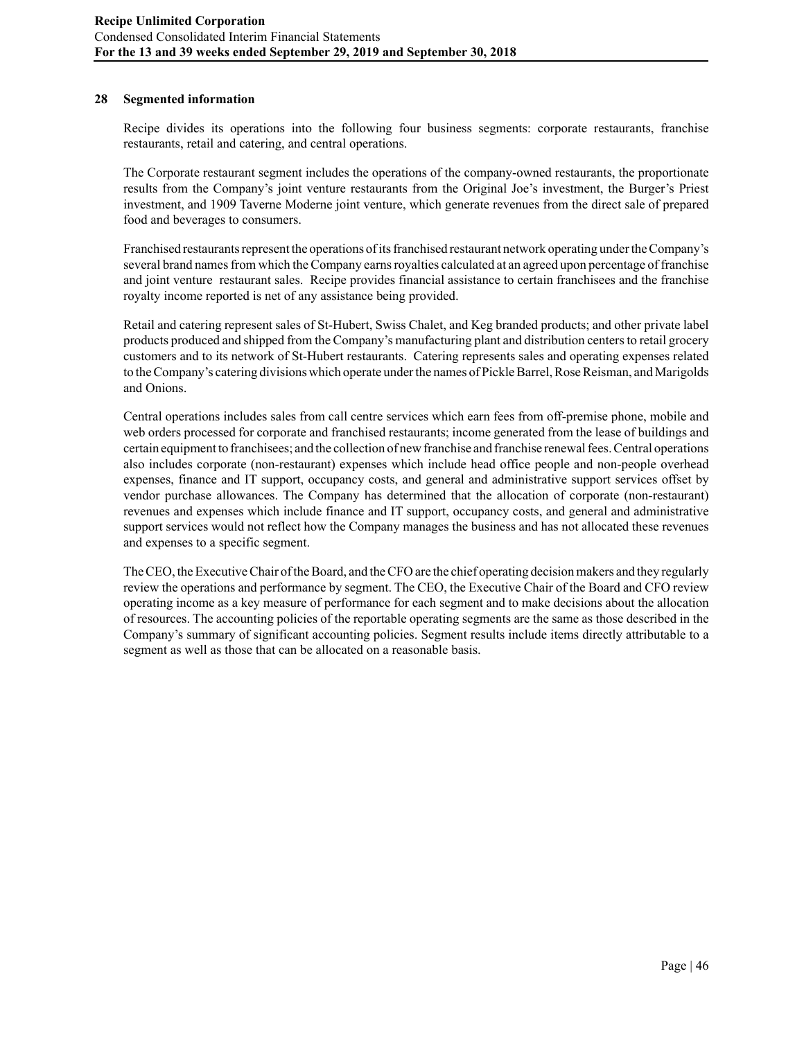### **28 Segmented information**

Recipe divides its operations into the following four business segments: corporate restaurants, franchise restaurants, retail and catering, and central operations.

The Corporate restaurant segment includes the operations of the company-owned restaurants, the proportionate results from the Company's joint venture restaurants from the Original Joe's investment, the Burger's Priest investment, and 1909 Taverne Moderne joint venture, which generate revenues from the direct sale of prepared food and beverages to consumers.

Franchised restaurants represent the operations of its franchised restaurant network operating under the Company's several brand names from which the Company earns royalties calculated at an agreed upon percentage of franchise and joint venture restaurant sales. Recipe provides financial assistance to certain franchisees and the franchise royalty income reported is net of any assistance being provided.

Retail and catering represent sales of St-Hubert, Swiss Chalet, and Keg branded products; and other private label products produced and shipped from the Company's manufacturing plant and distribution centers to retail grocery customers and to its network of St-Hubert restaurants. Catering represents sales and operating expenses related to the Company's catering divisions which operate under the names of Pickle Barrel, Rose Reisman, and Marigolds and Onions.

Central operations includes sales from call centre services which earn fees from off-premise phone, mobile and web orders processed for corporate and franchised restaurants; income generated from the lease of buildings and certain equipment to franchisees; and the collection of new franchise and franchise renewal fees. Central operations also includes corporate (non-restaurant) expenses which include head office people and non-people overhead expenses, finance and IT support, occupancy costs, and general and administrative support services offset by vendor purchase allowances. The Company has determined that the allocation of corporate (non-restaurant) revenues and expenses which include finance and IT support, occupancy costs, and general and administrative support services would not reflect how the Company manages the business and has not allocated these revenues and expenses to a specific segment.

The CEO, the Executive Chair of the Board, and the CFO are the chief operating decision makers and they regularly review the operations and performance by segment. The CEO, the Executive Chair of the Board and CFO review operating income as a key measure of performance for each segment and to make decisions about the allocation of resources. The accounting policies of the reportable operating segments are the same as those described in the Company's summary of significant accounting policies. Segment results include items directly attributable to a segment as well as those that can be allocated on a reasonable basis.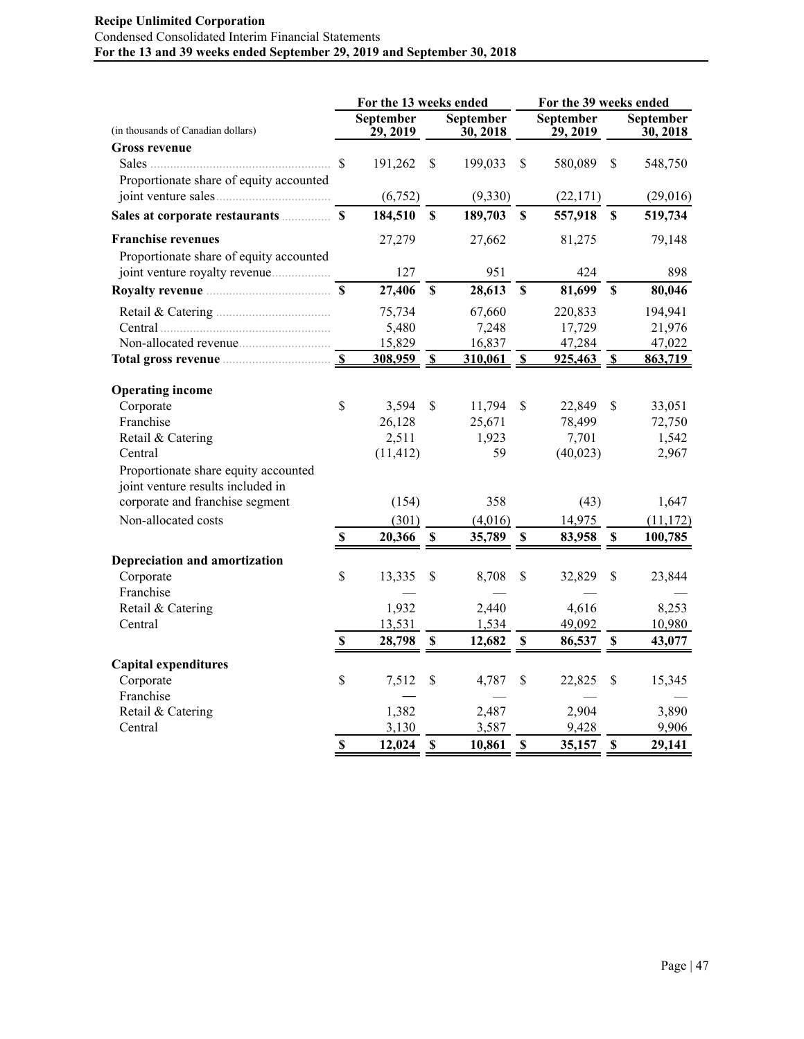# **Recipe Unlimited Corporation** Condensed Consolidated Interim Financial Statements **For the 13 and 39 weeks ended September 29, 2019 and September 30, 2018**

|                                          |                           |                      |                           | For the 13 weeks ended |              | For the 39 weeks ended |                           |                                        |  |  |
|------------------------------------------|---------------------------|----------------------|---------------------------|------------------------|--------------|------------------------|---------------------------|----------------------------------------|--|--|
| (in thousands of Canadian dollars)       |                           | September<br>29,2019 |                           | September<br>30, 2018  |              | September<br>29, 2019  |                           | September<br>$\mathbf{\bar{30}, 2018}$ |  |  |
| <b>Gross revenue</b>                     |                           |                      |                           |                        |              |                        |                           |                                        |  |  |
|                                          |                           | 191,262              | \$                        | 199,033                | \$           | 580,089                | \$                        | 548,750                                |  |  |
| Proportionate share of equity accounted  |                           |                      |                           |                        |              |                        |                           |                                        |  |  |
|                                          |                           | (6,752)              |                           | (9, 330)               |              | (22, 171)              |                           | (29,016)                               |  |  |
|                                          |                           | 184,510              | \$                        | 189,703                | \$           | 557,918                | $\boldsymbol{\mathsf{S}}$ | 519,734                                |  |  |
| <b>Franchise revenues</b>                |                           | 27,279               |                           | 27,662                 |              | 81,275                 |                           | 79,148                                 |  |  |
| Proportionate share of equity accounted  |                           |                      |                           |                        |              |                        |                           |                                        |  |  |
|                                          |                           | 127                  |                           | 951                    |              | 424                    |                           | 898                                    |  |  |
|                                          |                           | 27,406               | $\boldsymbol{\mathsf{S}}$ | 28,613                 | $\mathbf S$  | 81,699                 | $\boldsymbol{\mathsf{S}}$ | 80,046                                 |  |  |
|                                          |                           | 75,734               |                           | 67,660                 |              | 220,833                |                           | 194,941                                |  |  |
|                                          |                           | 5,480                |                           | 7,248                  |              | 17,729                 |                           | 21,976                                 |  |  |
|                                          |                           | 15,829               |                           | 16,837                 |              | 47,284                 |                           | 47,022                                 |  |  |
| Total gross revenue <b>Exercise 20</b> S |                           | 308,959              | $\mathbf{s}$              | 310,061                | $\mathbf{s}$ | $925,463$ \$           |                           | 863,719                                |  |  |
|                                          |                           |                      |                           |                        |              |                        |                           |                                        |  |  |
| <b>Operating income</b>                  |                           |                      |                           |                        |              |                        |                           |                                        |  |  |
| Corporate                                | \$                        | 3,594                | \$                        | 11,794                 | \$           | 22,849                 | \$                        | 33,051                                 |  |  |
| Franchise                                |                           | 26,128               |                           | 25,671                 |              | 78,499                 |                           | 72,750                                 |  |  |
| Retail & Catering                        |                           | 2,511                |                           | 1,923                  |              | 7,701                  |                           | 1,542                                  |  |  |
| Central                                  |                           | (11, 412)            |                           | 59                     |              | (40, 023)              |                           | 2,967                                  |  |  |
| Proportionate share equity accounted     |                           |                      |                           |                        |              |                        |                           |                                        |  |  |
| joint venture results included in        |                           |                      |                           |                        |              |                        |                           |                                        |  |  |
| corporate and franchise segment          |                           | (154)                |                           | 358                    |              | (43)                   |                           | 1,647                                  |  |  |
| Non-allocated costs                      |                           | (301)                |                           | (4,016)                |              | 14,975                 |                           | (11, 172)                              |  |  |
|                                          | $\mathbf S$               | 20,366               | $\mathbf{s}$              | 35,789                 | $\mathbf S$  | 83,958                 | $\mathbf S$               | 100,785                                |  |  |
| Depreciation and amortization            |                           |                      |                           |                        |              |                        |                           |                                        |  |  |
| Corporate                                | \$                        | 13,335               | \$                        | 8,708                  | \$           | 32,829                 | \$                        | 23,844                                 |  |  |
| Franchise                                |                           |                      |                           |                        |              |                        |                           |                                        |  |  |
| Retail & Catering                        |                           | 1,932                |                           | 2,440                  |              | 4,616                  |                           | 8,253                                  |  |  |
| Central                                  |                           | 13,531               |                           | 1,534                  |              | 49,092                 |                           | 10,980                                 |  |  |
|                                          | $\boldsymbol{\mathsf{S}}$ | 28,798               | S                         | 12,682                 | \$           | 86,537                 | -S                        | 43,077                                 |  |  |
| <b>Capital expenditures</b>              |                           |                      |                           |                        |              |                        |                           |                                        |  |  |
| Corporate                                | $\mathsf{\$}$             | 7,512                | S                         | 4,787                  | S            | 22,825                 | \$                        | 15,345                                 |  |  |
| Franchise                                |                           |                      |                           |                        |              |                        |                           |                                        |  |  |
| Retail & Catering                        |                           | 1,382                |                           | 2,487                  |              | 2,904                  |                           | 3,890                                  |  |  |
| Central                                  |                           | 3,130                |                           | 3,587                  |              | 9,428                  |                           | 9,906                                  |  |  |
|                                          | $\mathbf S$               | 12,024               | $\mathbf S$               | 10,861                 | $\mathbf S$  | 35,157                 | \$                        | 29,141                                 |  |  |